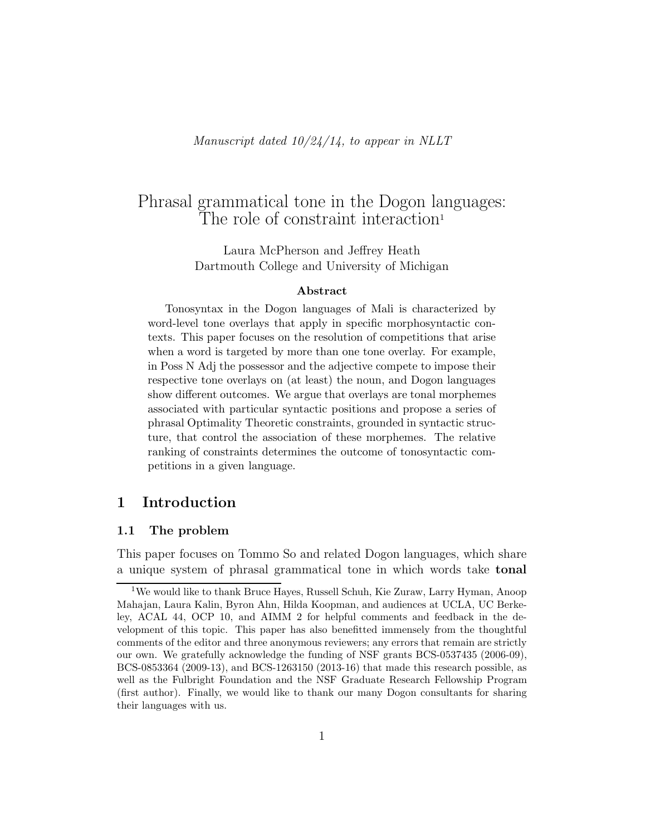# Phrasal grammatical tone in the Dogon languages: The role of constraint interaction<sup>1</sup>

Laura McPherson and Jeffrey Heath Dartmouth College and University of Michigan

#### Abstract

Tonosyntax in the Dogon languages of Mali is characterized by word-level tone overlays that apply in specific morphosyntactic contexts. This paper focuses on the resolution of competitions that arise when a word is targeted by more than one tone overlay. For example, in Poss N Adj the possessor and the adjective compete to impose their respective tone overlays on (at least) the noun, and Dogon languages show different outcomes. We argue that overlays are tonal morphemes associated with particular syntactic positions and propose a series of phrasal Optimality Theoretic constraints, grounded in syntactic structure, that control the association of these morphemes. The relative ranking of constraints determines the outcome of tonosyntactic competitions in a given language.

# 1 Introduction

### 1.1 The problem

This paper focuses on Tommo So and related Dogon languages, which share a unique system of phrasal grammatical tone in which words take tonal

 $^{1}$  We would like to thank Bruce Hayes, Russell Schuh, Kie Zuraw, Larry Hyman, Anoop Mahajan, Laura Kalin, Byron Ahn, Hilda Koopman, and audiences at UCLA, UC Berkeley, ACAL 44, OCP 10, and AIMM 2 for helpful comments and feedback in the development of this topic. This paper has also benefitted immensely from the thoughtful comments of the editor and three anonymous reviewers; any errors that remain are strictly our own. We gratefully acknowledge the funding of NSF grants BCS-0537435 (2006-09), BCS-0853364 (2009-13), and BCS-1263150 (2013-16) that made this research possible, as well as the Fulbright Foundation and the NSF Graduate Research Fellowship Program (first author). Finally, we would like to thank our many Dogon consultants for sharing their languages with us.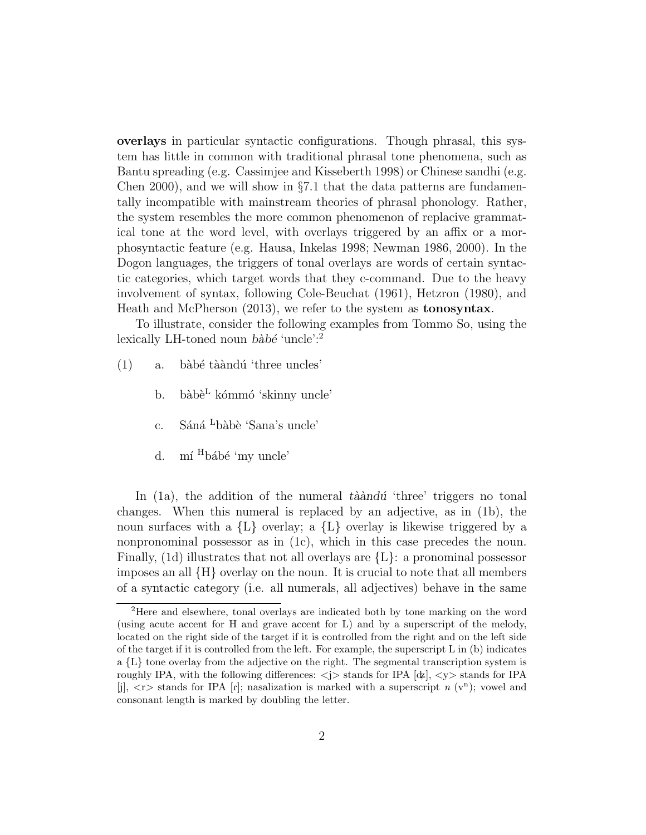overlays in particular syntactic configurations. Though phrasal, this system has little in common with traditional phrasal tone phenomena, such as Bantu spreading (e.g. Cassimjee and Kisseberth 1998) or Chinese sandhi (e.g. Chen 2000), and we will show in §7.1 that the data patterns are fundamentally incompatible with mainstream theories of phrasal phonology. Rather, the system resembles the more common phenomenon of replacive grammatical tone at the word level, with overlays triggered by an affix or a morphosyntactic feature (e.g. Hausa, Inkelas 1998; Newman 1986, 2000). In the Dogon languages, the triggers of tonal overlays are words of certain syntactic categories, which target words that they c-command. Due to the heavy involvement of syntax, following Cole-Beuchat (1961), Hetzron (1980), and Heath and McPherson (2013), we refer to the system as tonosyntax.

To illustrate, consider the following examples from Tommo So, using the lexically LH-toned noun bàbé 'uncle':<sup>2</sup>

- $(1)$  a. bàbé tààndú 'three uncles'
	- b. bàbè<sup>L</sup> kómmó 'skinny uncle'
	- c. Sáná <sup>L</sup>bàbè 'Sana's uncle'
	- d. mí <sup>H</sup>bábé 'my uncle'

In  $(1a)$ , the addition of the numeral tààndú 'three' triggers no tonal changes. When this numeral is replaced by an adjective, as in (1b), the noun surfaces with a  ${L}$  overlay; a  ${L}$  overlay is likewise triggered by a nonpronominal possessor as in (1c), which in this case precedes the noun. Finally, (1d) illustrates that not all overlays are  ${L}$ : a pronominal possessor imposes an all  ${H}$  overlay on the noun. It is crucial to note that all members of a syntactic category (i.e. all numerals, all adjectives) behave in the same

<sup>2</sup>Here and elsewhere, tonal overlays are indicated both by tone marking on the word (using acute accent for H and grave accent for L) and by a superscript of the melody, located on the right side of the target if it is controlled from the right and on the left side of the target if it is controlled from the left. For example, the superscript L in (b) indicates a {L} tone overlay from the adjective on the right. The segmental transcription system is roughly IPA, with the following differences:  $\langle j \rangle$  stands for IPA  $[\alpha_k]$ ,  $\langle y \rangle$  stands for IPA [j],  $\langle r \rangle$  stands for IPA [r]; nasalization is marked with a superscript *n* ( $v^n$ ); vowel and consonant length is marked by doubling the letter.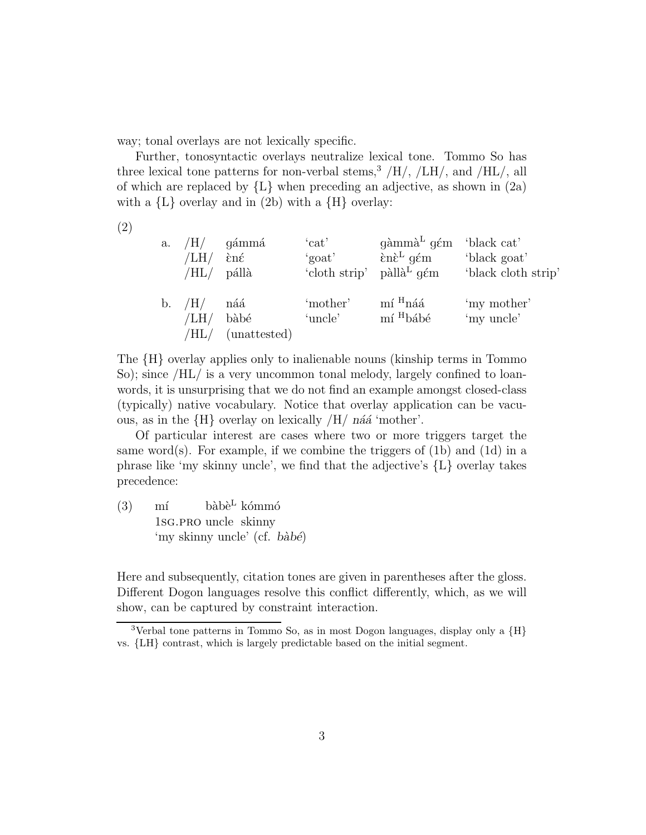way; tonal overlays are not lexically specific.

Further, tonosyntactic overlays neutralize lexical tone. Tommo So has three lexical tone patterns for non-verbal stems,<sup>3</sup> /H/, /LH/, and /HL/, all of which are replaced by  ${L}$  when preceding an adjective, as shown in  $(2a)$ with a  ${L}$  overlay and in (2b) with a  ${H}$  overlay:

(2)

| a.             | Ή<br>/LH/<br>/HL/   | gámmá<br>$\sin \! \hat{\epsilon}$<br>pállà | 'cat'<br>'goat'<br>'cloth strip' pàlla <sup>L</sup> gém | $q\text{àmmà}^L$ gém<br>$\hat{\epsilon}$ n $\hat{\epsilon}^L$ gém | 'black cat'<br>'black goat'<br>'black cloth strip' |
|----------------|---------------------|--------------------------------------------|---------------------------------------------------------|-------------------------------------------------------------------|----------------------------------------------------|
| $\mathbf{b}$ . | /H/<br>/LH/<br>/HL/ | náá<br>bàbé<br>(unattested)                | 'mother'<br>'uncle'                                     | mí <sup>H</sup> náá<br>mí <sup>H</sup> bábé                       | 'my mother'<br>'my uncle'                          |

The {H} overlay applies only to inalienable nouns (kinship terms in Tommo So); since /HL/ is a very uncommon tonal melody, largely confined to loanwords, it is unsurprising that we do not find an example amongst closed-class (typically) native vocabulary. Notice that overlay application can be vacuous, as in the  ${H}$  overlay on lexically  $/H/$  náa 'mother'.

Of particular interest are cases where two or more triggers target the same word(s). For example, if we combine the triggers of  $(1b)$  and  $(1d)$  in a phrase like 'my skinny uncle', we find that the adjective's {L} overlay takes precedence:

 $(3)$  mí 1sg.pro uncle skinny  $b$ à $b$ è $^L$  kómmó 'my skinny uncle' (cf. bàbé)

Here and subsequently, citation tones are given in parentheses after the gloss. Different Dogon languages resolve this conflict differently, which, as we will show, can be captured by constraint interaction.

 $3$ Verbal tone patterns in Tommo So, as in most Dogon languages, display only a  ${H}$ vs. {LH} contrast, which is largely predictable based on the initial segment.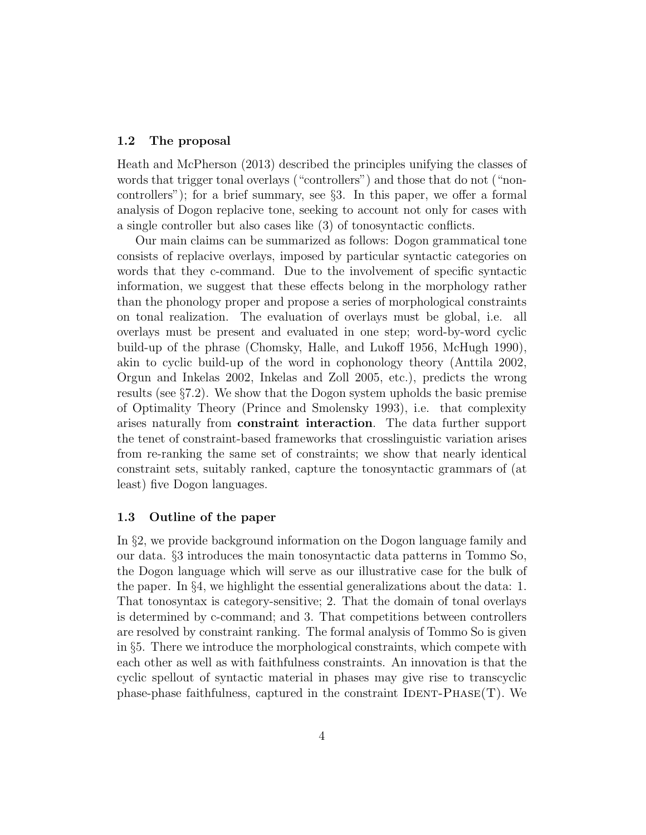#### 1.2 The proposal

Heath and McPherson (2013) described the principles unifying the classes of words that trigger tonal overlays ("controllers") and those that do not ("noncontrollers"); for a brief summary, see §3. In this paper, we offer a formal analysis of Dogon replacive tone, seeking to account not only for cases with a single controller but also cases like (3) of tonosyntactic conflicts.

Our main claims can be summarized as follows: Dogon grammatical tone consists of replacive overlays, imposed by particular syntactic categories on words that they c-command. Due to the involvement of specific syntactic information, we suggest that these effects belong in the morphology rather than the phonology proper and propose a series of morphological constraints on tonal realization. The evaluation of overlays must be global, i.e. all overlays must be present and evaluated in one step; word-by-word cyclic build-up of the phrase (Chomsky, Halle, and Lukoff 1956, McHugh 1990), akin to cyclic build-up of the word in cophonology theory (Anttila 2002, Orgun and Inkelas 2002, Inkelas and Zoll 2005, etc.), predicts the wrong results (see §7.2). We show that the Dogon system upholds the basic premise of Optimality Theory (Prince and Smolensky 1993), i.e. that complexity arises naturally from constraint interaction. The data further support the tenet of constraint-based frameworks that crosslinguistic variation arises from re-ranking the same set of constraints; we show that nearly identical constraint sets, suitably ranked, capture the tonosyntactic grammars of (at least) five Dogon languages.

#### 1.3 Outline of the paper

In §2, we provide background information on the Dogon language family and our data. §3 introduces the main tonosyntactic data patterns in Tommo So, the Dogon language which will serve as our illustrative case for the bulk of the paper. In §4, we highlight the essential generalizations about the data: 1. That tonosyntax is category-sensitive; 2. That the domain of tonal overlays is determined by c-command; and 3. That competitions between controllers are resolved by constraint ranking. The formal analysis of Tommo So is given in §5. There we introduce the morphological constraints, which compete with each other as well as with faithfulness constraints. An innovation is that the cyclic spellout of syntactic material in phases may give rise to transcyclic  $phase-phase$  faithfulness, captured in the constraint IDENT-PHASE $(T)$ . We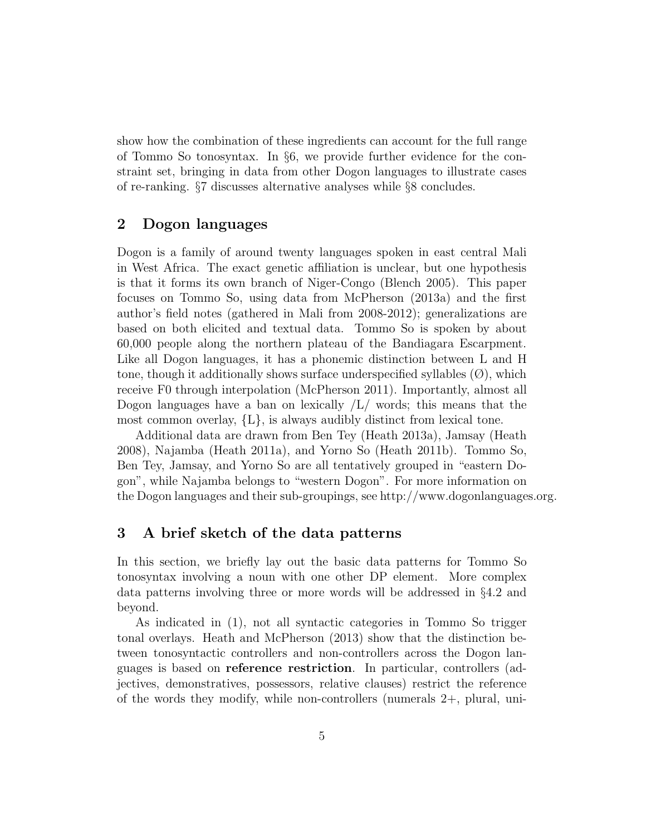show how the combination of these ingredients can account for the full range of Tommo So tonosyntax. In  $\S6$ , we provide further evidence for the constraint set, bringing in data from other Dogon languages to illustrate cases of re-ranking. §7 discusses alternative analyses while §8 concludes.

# 2 Dogon languages

Dogon is a family of around twenty languages spoken in east central Mali in West Africa. The exact genetic affiliation is unclear, but one hypothesis is that it forms its own branch of Niger-Congo (Blench 2005). This paper focuses on Tommo So, using data from McPherson (2013a) and the first author's field notes (gathered in Mali from 2008-2012); generalizations are based on both elicited and textual data. Tommo So is spoken by about 60,000 people along the northern plateau of the Bandiagara Escarpment. Like all Dogon languages, it has a phonemic distinction between L and H tone, though it additionally shows surface underspecified syllables  $(\emptyset)$ , which receive F0 through interpolation (McPherson 2011). Importantly, almost all Dogon languages have a ban on lexically  $\langle L / \text{words}$ ; this means that the most common overlay,  ${L}$ , is always audibly distinct from lexical tone.

Additional data are drawn from Ben Tey (Heath 2013a), Jamsay (Heath 2008), Najamba (Heath 2011a), and Yorno So (Heath 2011b). Tommo So, Ben Tey, Jamsay, and Yorno So are all tentatively grouped in "eastern Dogon", while Najamba belongs to "western Dogon". For more information on the Dogon languages and their sub-groupings, see http://www.dogonlanguages.org.

# 3 A brief sketch of the data patterns

In this section, we briefly lay out the basic data patterns for Tommo So tonosyntax involving a noun with one other DP element. More complex data patterns involving three or more words will be addressed in §4.2 and beyond.

As indicated in (1), not all syntactic categories in Tommo So trigger tonal overlays. Heath and McPherson (2013) show that the distinction between tonosyntactic controllers and non-controllers across the Dogon languages is based on reference restriction. In particular, controllers (adjectives, demonstratives, possessors, relative clauses) restrict the reference of the words they modify, while non-controllers (numerals 2+, plural, uni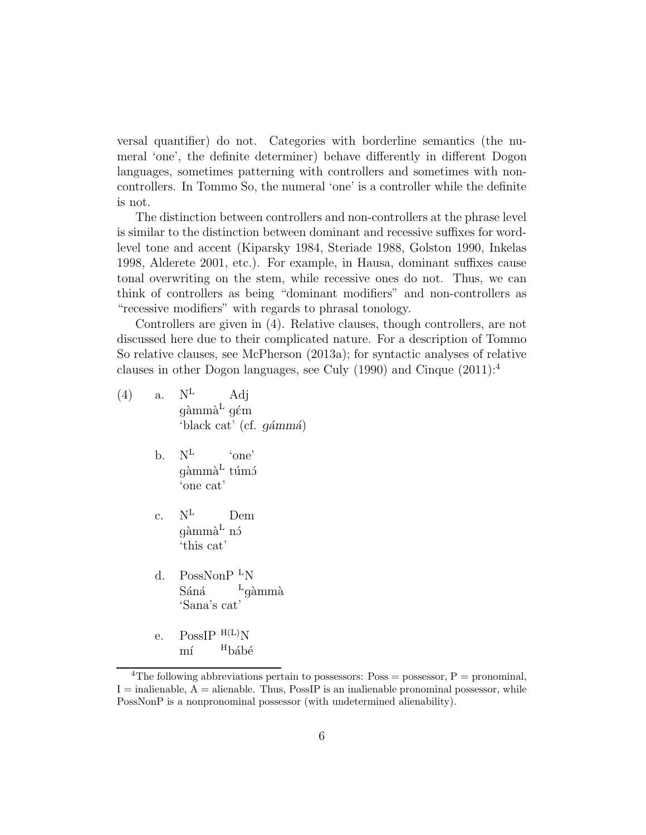versal quantifier) do not. Categories with borderline semantics (the numeral 'one', the definite determiner) behave differently in different Dogon languages, sometimes patterning with controllers and sometimes with noncontrollers. In Tommo So, the numeral 'one' is a controller while the definite is not.

The distinction between controllers and non-controllers at the phrase level is similar to the distinction between dominant and recessive suffixes for wordlevel tone and accent (Kiparsky 1984, Steriade 1988, Golston 1990, Inkelas 1998, Alderete 2001, etc.). For example, in Hausa, dominant suffixes cause tonal overwriting on the stem, while recessive ones do not. Thus, we can think of controllers as being "dominant modifiers" and non-controllers as "recessive modifiers" with regards to phrasal tonology.

Controllers are given in (4). Relative clauses, though controllers, are not discussed here due to their complicated nature. For a description of Tommo So relative clauses, see McPherson (2013a); for syntactic analyses of relative clauses in other Dogon languages, see Culy (1990) and Cinque (2011):<sup>4</sup>

- $(4)$  a. N<sup>L</sup> gàmmà $^{\rm L}$  gém Adj 'black cat' (cf.  $qámmá$ )
	- $b. N^L$  $\mathrm{g\`amm\`a}^{\mathrm{L}}$  túm $\mathrm{f\`a}$ 'one' 'one cat'
	- c.  $N^L$  $\mathrm{g\grave{a}mm\grave{a}^L}$  nó Dem 'this cat'
	- d. PossNonP <sup>L</sup>N Sáná  $L$ gàmmà 'Sana's cat'
	- e. PossIP <sup>H(L)</sup>N m´ı  $H<sub>bá</sub>$ bé

<sup>&</sup>lt;sup>4</sup>The following abbreviations pertain to possessors: Poss = possessor,  $P =$  pronominal,  $I =$  inalienable,  $A =$  alienable. Thus, PossIP is an inalienable pronominal possessor, while PossNonP is a nonpronominal possessor (with undetermined alienability).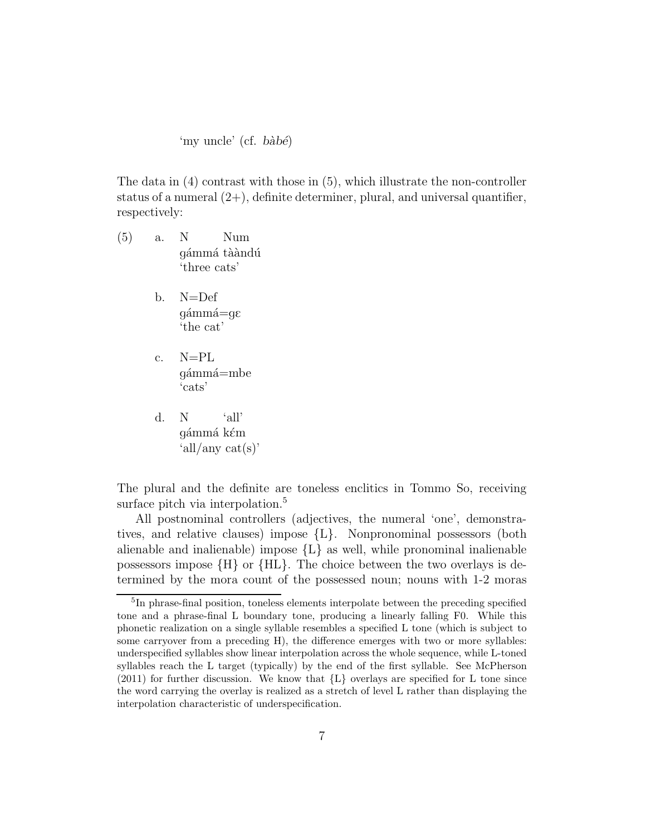'my uncle' (cf.  $b\grave{a}b\acute{e}$ )

The data in (4) contrast with those in (5), which illustrate the non-controller status of a numeral  $(2+)$ , definite determiner, plural, and universal quantifier, respectively:

- (5) a. N gámmá tààndú Num 'three cats'
	- b. N=Def  $gamma = g\epsilon$ 'the cat'
	- c. N=PL gámmá=mbe 'cats'
	- d. N gámmá kém 'all' 'all/any cat(s)'

The plural and the definite are toneless enclitics in Tommo So, receiving surface pitch via interpolation.<sup>5</sup>

All postnominal controllers (adjectives, the numeral 'one', demonstratives, and relative clauses) impose  ${L}$ . Nonpronominal possessors (both alienable and inalienable) impose  ${L}$  as well, while pronominal inalienable possessors impose  ${H}$  or  ${H L}$ . The choice between the two overlays is determined by the mora count of the possessed noun; nouns with 1-2 moras

<sup>5</sup> In phrase-final position, toneless elements interpolate between the preceding specified tone and a phrase-final L boundary tone, producing a linearly falling F0. While this phonetic realization on a single syllable resembles a specified L tone (which is subject to some carryover from a preceding H), the difference emerges with two or more syllables: underspecified syllables show linear interpolation across the whole sequence, while L-toned syllables reach the L target (typically) by the end of the first syllable. See McPherson  $(2011)$  for further discussion. We know that  ${L}$  overlays are specified for L tone since the word carrying the overlay is realized as a stretch of level L rather than displaying the interpolation characteristic of underspecification.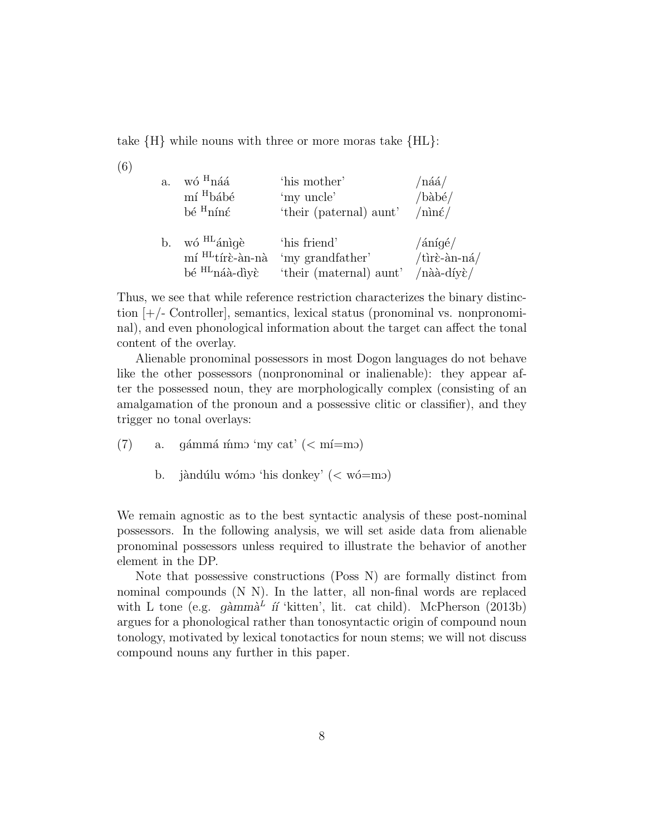take  ${H}$  while nouns with three or more moras take  ${H}$ :

(6)

| $\mathbf{a}$ . | wó <sup>H</sup> náá              | 'his mother'            | $/\mathrm{n}\acute{\rm{a}}\acute{\rm{a}}/$ |
|----------------|----------------------------------|-------------------------|--------------------------------------------|
|                | mí <sup>H</sup> bábé             | 'my uncle'              | $/b\grave{a}\acute{b}\acute{e}/$           |
|                | $b\acute{e}$ $H$ nín $\acute{e}$ | 'their (paternal) aunt' | $/$ nin $\acute{\epsilon}/$                |
|                | b. wó <sup>HL</sup> ánìqè        | 'his friend'            | $/\ n\ $                                   |
|                | mí <sup>HL</sup> tírè-àn-nà      | 'my grandfather'        | /tìrè-àn-ná/                               |
|                | bé <sup>HL</sup> náà-dìyè        | 'their (maternal) aunt' | $/$ nàà-díyè $/$                           |

Thus, we see that while reference restriction characterizes the binary distinction  $[+/$ - Controller], semantics, lexical status (pronominal vs. nonpronominal), and even phonological information about the target can affect the tonal content of the overlay.

Alienable pronominal possessors in most Dogon languages do not behave like the other possessors (nonpronominal or inalienable): they appear after the possessed noun, they are morphologically complex (consisting of an amalgamation of the pronoun and a possessive clitic or classifier), and they trigger no tonal overlays:

(7) a. gámmá rímo 'my cat' (< 
$$
mí=mo
$$
)

b. jàndúlu wómo 'his donkey' ( $\lt$  wó=mo)

We remain agnostic as to the best syntactic analysis of these post-nominal possessors. In the following analysis, we will set aside data from alienable pronominal possessors unless required to illustrate the behavior of another element in the DP.

Note that possessive constructions (Poss N) are formally distinct from nominal compounds (N N). In the latter, all non-final words are replaced with L tone (e.g.  $g\text{àmmà}^L$  ii 'kitten', lit. cat child). McPherson (2013b) argues for a phonological rather than tonosyntactic origin of compound noun tonology, motivated by lexical tonotactics for noun stems; we will not discuss compound nouns any further in this paper.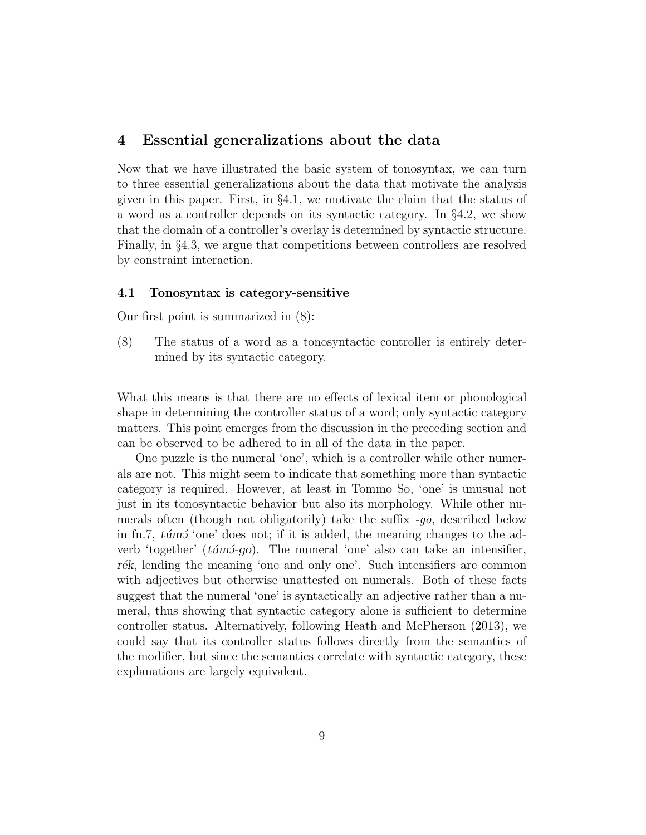# 4 Essential generalizations about the data

Now that we have illustrated the basic system of tonosyntax, we can turn to three essential generalizations about the data that motivate the analysis given in this paper. First, in §4.1, we motivate the claim that the status of a word as a controller depends on its syntactic category. In §4.2, we show that the domain of a controller's overlay is determined by syntactic structure. Finally, in §4.3, we argue that competitions between controllers are resolved by constraint interaction.

### 4.1 Tonosyntax is category-sensitive

Our first point is summarized in (8):

(8) The status of a word as a tonosyntactic controller is entirely determined by its syntactic category.

What this means is that there are no effects of lexical item or phonological shape in determining the controller status of a word; only syntactic category matters. This point emerges from the discussion in the preceding section and can be observed to be adhered to in all of the data in the paper.

One puzzle is the numeral 'one', which is a controller while other numerals are not. This might seem to indicate that something more than syntactic category is required. However, at least in Tommo So, 'one' is unusual not just in its tonosyntactic behavior but also its morphology. While other numerals often (though not obligatorily) take the suffix *-go*, described below in fn.7,  $\tilde{t}$  túm's 'one' does not; if it is added, the meaning changes to the adverb 'together' ( $túm5-go$ ). The numeral 'one' also can take an intensifier, rek, lending the meaning 'one and only one'. Such intensifiers are common with adjectives but otherwise unattested on numerals. Both of these facts suggest that the numeral 'one' is syntactically an adjective rather than a numeral, thus showing that syntactic category alone is sufficient to determine controller status. Alternatively, following Heath and McPherson (2013), we could say that its controller status follows directly from the semantics of the modifier, but since the semantics correlate with syntactic category, these explanations are largely equivalent.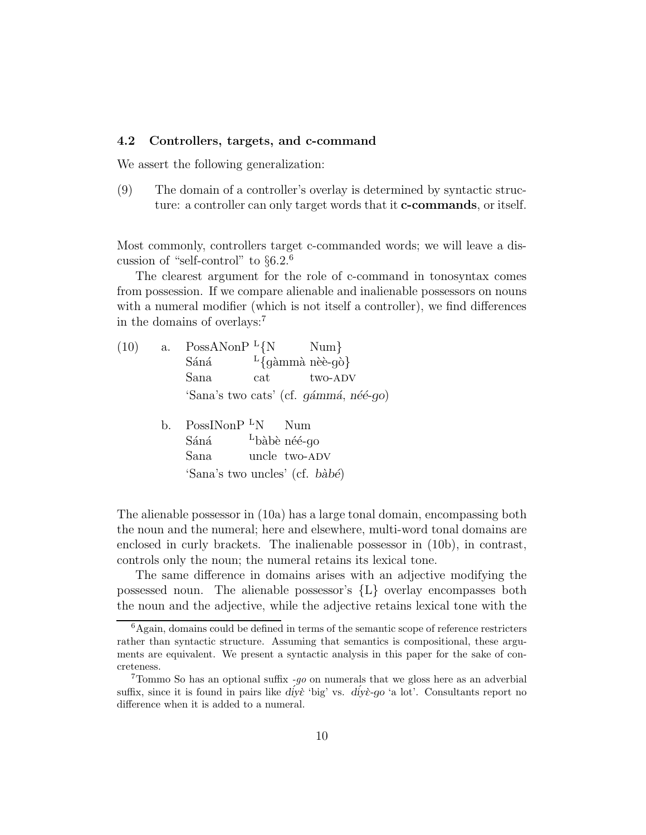#### 4.2 Controllers, targets, and c-command

We assert the following generalization:

(9) The domain of a controller's overlay is determined by syntactic structure: a controller can only target words that it **c-commands**, or itself.

Most commonly, controllers target c-commanded words; we will leave a discussion of "self-control" to  $\S6.2$ <sup>6</sup>

The clearest argument for the role of c-command in tonosyntax comes from possession. If we compare alienable and inalienable possessors on nouns with a numeral modifier (which is not itself a controller), we find differences in the domains of overlays:<sup>7</sup>

| (10) | a. | PossANonP ${}^L\{N$ Num                                                                                     |     |                                       |
|------|----|-------------------------------------------------------------------------------------------------------------|-----|---------------------------------------|
|      |    | Sáná                                                                                                        |     | $L$ {gàmmà nèè-gò}                    |
|      |    | Sana                                                                                                        | cat | two-ADV                               |
|      |    |                                                                                                             |     | 'Sana's two cats' (cf. gámmá, néé-go) |
|      | b. | $PossINonP KN$ Num<br>Sáná <sup>L</sup> bàbè néé-go<br>Sana uncle two-ADV<br>'Sana's two uncles' (cf. bàbé) |     |                                       |

The alienable possessor in (10a) has a large tonal domain, encompassing both the noun and the numeral; here and elsewhere, multi-word tonal domains are enclosed in curly brackets. The inalienable possessor in (10b), in contrast, controls only the noun; the numeral retains its lexical tone.

The same difference in domains arises with an adjective modifying the possessed noun. The alienable possessor's {L} overlay encompasses both the noun and the adjective, while the adjective retains lexical tone with the

 ${}^{6}$ Again, domains could be defined in terms of the semantic scope of reference restricters rather than syntactic structure. Assuming that semantics is compositional, these arguments are equivalent. We present a syntactic analysis in this paper for the sake of concreteness.

<sup>7</sup>Tommo So has an optional suffix *-go* on numerals that we gloss here as an adverbial suffix, since it is found in pairs like dive 'big' vs. divelge' a lot'. Consultants report no difference when it is added to a numeral.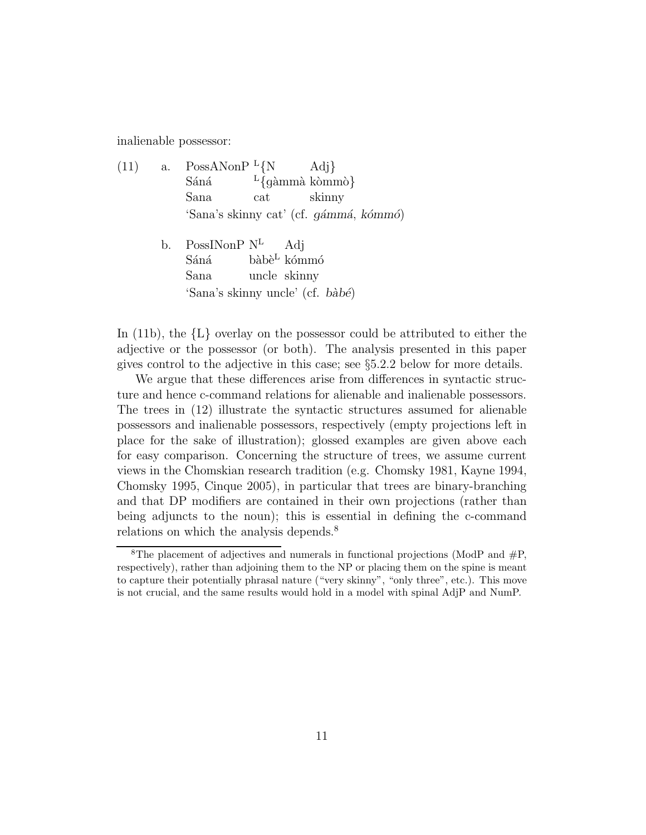inalienable possessor:

 $(11)$  a. PossANonP<sup>L</sup>{N Sáná Sana  $\rm ^L\{g\`amm\`a\ k\`omm\`o\}$ cat Adj} skinny 'Sana's skinny cat' (cf. gámmá, kómmó) b. PossINonP N<sup>L</sup> Sáná Sana  $b$ à $b$ è $^L$  kómmó uncle skinny Adj 'Sana's skinny uncle' (cf. bàbé)

In (11b), the  ${L}$  overlay on the possessor could be attributed to either the adjective or the possessor (or both). The analysis presented in this paper gives control to the adjective in this case; see §5.2.2 below for more details.

We argue that these differences arise from differences in syntactic structure and hence c-command relations for alienable and inalienable possessors. The trees in (12) illustrate the syntactic structures assumed for alienable possessors and inalienable possessors, respectively (empty projections left in place for the sake of illustration); glossed examples are given above each for easy comparison. Concerning the structure of trees, we assume current views in the Chomskian research tradition (e.g. Chomsky 1981, Kayne 1994, Chomsky 1995, Cinque 2005), in particular that trees are binary-branching and that DP modifiers are contained in their own projections (rather than being adjuncts to the noun); this is essential in defining the c-command relations on which the analysis depends.<sup>8</sup>

 ${}^{8}$ The placement of adjectives and numerals in functional projections (ModP and  $#P$ , respectively), rather than adjoining them to the NP or placing them on the spine is meant to capture their potentially phrasal nature ("very skinny", "only three", etc.). This move is not crucial, and the same results would hold in a model with spinal AdjP and NumP.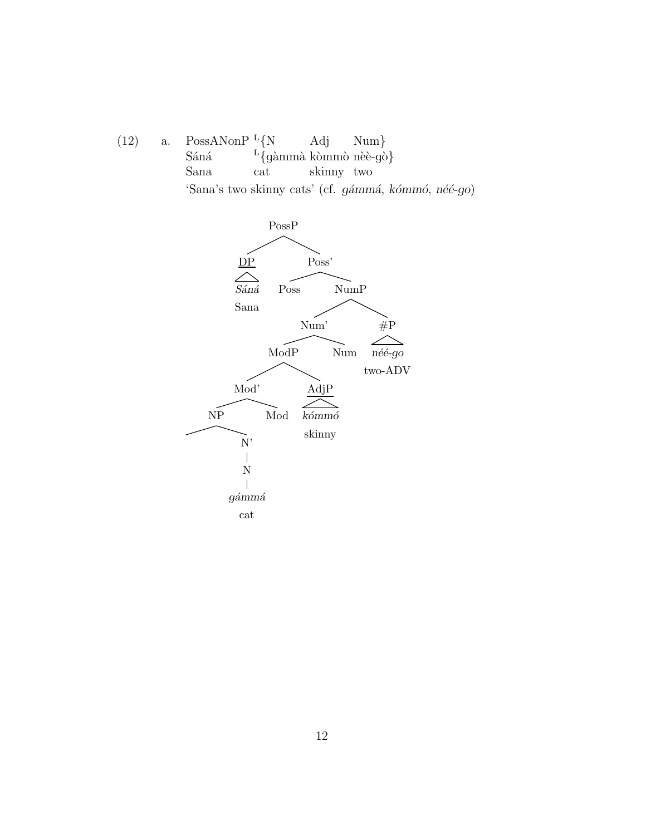(12) a. PossANonP Sáná Sana  $\mathrm{^{L} \{N}}$  $\rm{^{L}q\hat{a}mm\hat{a}}$ cat Adj  $k\grave{\text{om}}$ m $\grave{\text{o}}$ skinny two Num} nèè-gò} 'Sana's two skinny cats' (cf. gámmá, kómmó, néé-go)

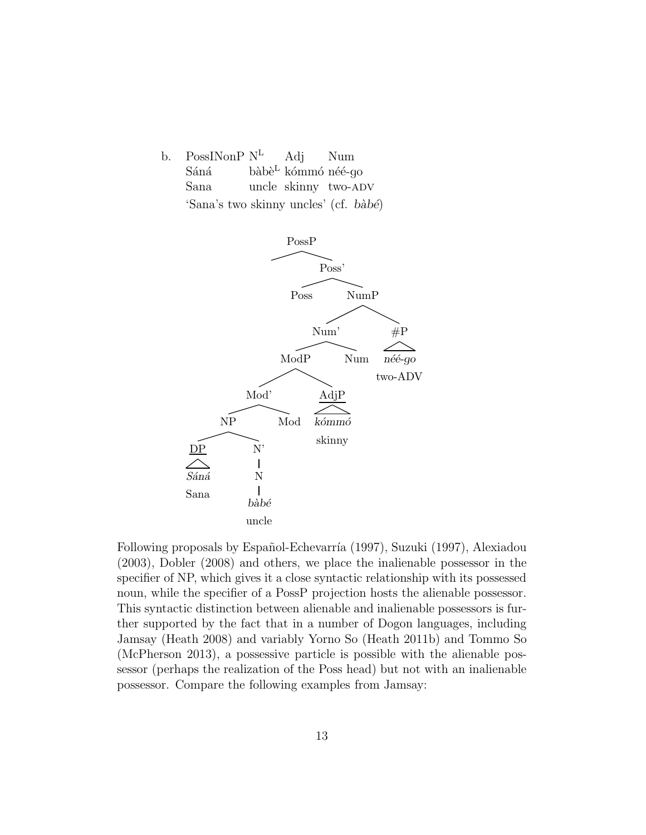| $\mathbf{b}$ . | PossINonP $N^L$                       | Adj Num                               |                      |
|----------------|---------------------------------------|---------------------------------------|----------------------|
|                | Sáná                                  | $b\grave{a}b\grave{b}^L$ kómmó néé-go |                      |
|                | Sana                                  |                                       | uncle skinny two-ADV |
|                | 'Sana's two skinny uncles' (cf. bàbé) |                                       |                      |



Following proposals by Español-Echevarría (1997), Suzuki (1997), Alexiadou (2003), Dobler (2008) and others, we place the inalienable possessor in the specifier of NP, which gives it a close syntactic relationship with its possessed noun, while the specifier of a PossP projection hosts the alienable possessor. This syntactic distinction between alienable and inalienable possessors is further supported by the fact that in a number of Dogon languages, including Jamsay (Heath 2008) and variably Yorno So (Heath 2011b) and Tommo So (McPherson 2013), a possessive particle is possible with the alienable possessor (perhaps the realization of the Poss head) but not with an inalienable possessor. Compare the following examples from Jamsay: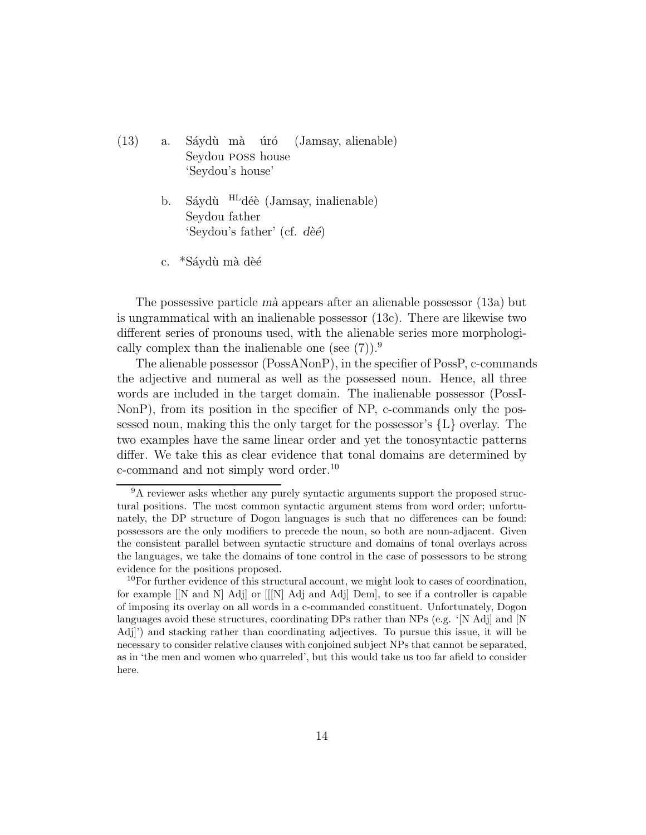- (13) a. Sáydù mà Seydou poss house úró (Jamsay, alienable) 'Seydou's house'
	- b. Sáydù <sup>HL</sup>déè (Jamsay, inalienable) Seydou father 'Seydou's father' (cf.  $d\grave{e}\acute{e}$ )
	- c. \*Sáydù mà dèé

The possessive particle  $m\dot{a}$  appears after an alienable possessor (13a) but is ungrammatical with an inalienable possessor (13c). There are likewise two different series of pronouns used, with the alienable series more morphologically complex than the inalienable one (see  $(7)$ ).<sup>9</sup>

The alienable possessor (PossANonP), in the specifier of PossP, c-commands the adjective and numeral as well as the possessed noun. Hence, all three words are included in the target domain. The inalienable possessor (PossI-NonP), from its position in the specifier of NP, c-commands only the possessed noun, making this the only target for the possessor's {L} overlay. The two examples have the same linear order and yet the tonosyntactic patterns differ. We take this as clear evidence that tonal domains are determined by c-command and not simply word order.<sup>10</sup>

<sup>&</sup>lt;sup>9</sup>A reviewer asks whether any purely syntactic arguments support the proposed structural positions. The most common syntactic argument stems from word order; unfortunately, the DP structure of Dogon languages is such that no differences can be found: possessors are the only modifiers to precede the noun, so both are noun-adjacent. Given the consistent parallel between syntactic structure and domains of tonal overlays across the languages, we take the domains of tone control in the case of possessors to be strong evidence for the positions proposed.

 $10$  For further evidence of this structural account, we might look to cases of coordination, for example [[N and N] Adj] or [[[N] Adj and Adj] Dem], to see if a controller is capable of imposing its overlay on all words in a c-commanded constituent. Unfortunately, Dogon languages avoid these structures, coordinating DPs rather than NPs (e.g. '[N Adj] and [N Adj]') and stacking rather than coordinating adjectives. To pursue this issue, it will be necessary to consider relative clauses with conjoined subject NPs that cannot be separated, as in 'the men and women who quarreled', but this would take us too far afield to consider here.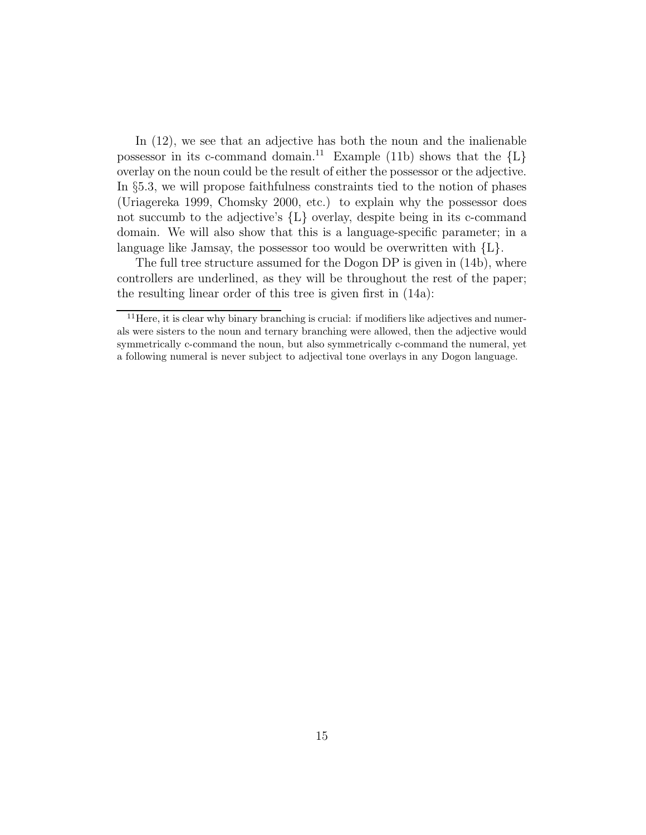In (12), we see that an adjective has both the noun and the inalienable possessor in its c-command domain.<sup>11</sup> Example (11b) shows that the  ${L}$ overlay on the noun could be the result of either the possessor or the adjective. In §5.3, we will propose faithfulness constraints tied to the notion of phases (Uriagereka 1999, Chomsky 2000, etc.) to explain why the possessor does not succumb to the adjective's  $\{L\}$  overlay, despite being in its c-command domain. We will also show that this is a language-specific parameter; in a language like Jamsay, the possessor too would be overwritten with  ${L}$ .

The full tree structure assumed for the Dogon DP is given in (14b), where controllers are underlined, as they will be throughout the rest of the paper; the resulting linear order of this tree is given first in (14a):

 $11$  Here, it is clear why binary branching is crucial: if modifiers like adjectives and numerals were sisters to the noun and ternary branching were allowed, then the adjective would symmetrically c-command the noun, but also symmetrically c-command the numeral, yet a following numeral is never subject to adjectival tone overlays in any Dogon language.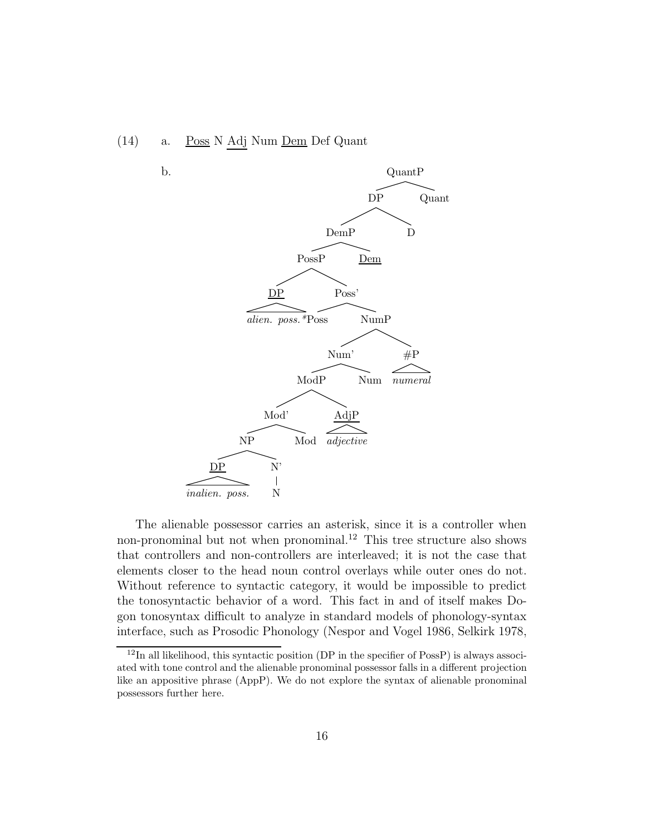### (14) a. Poss N Adj Num Dem Def Quant



The alienable possessor carries an asterisk, since it is a controller when non-pronominal but not when pronominal.<sup>12</sup> This tree structure also shows that controllers and non-controllers are interleaved; it is not the case that elements closer to the head noun control overlays while outer ones do not. Without reference to syntactic category, it would be impossible to predict the tonosyntactic behavior of a word. This fact in and of itself makes Dogon tonosyntax difficult to analyze in standard models of phonology-syntax interface, such as Prosodic Phonology (Nespor and Vogel 1986, Selkirk 1978,

 $12$ In all likelihood, this syntactic position (DP in the specifier of PossP) is always associated with tone control and the alienable pronominal possessor falls in a different projection like an appositive phrase (AppP). We do not explore the syntax of alienable pronominal possessors further here.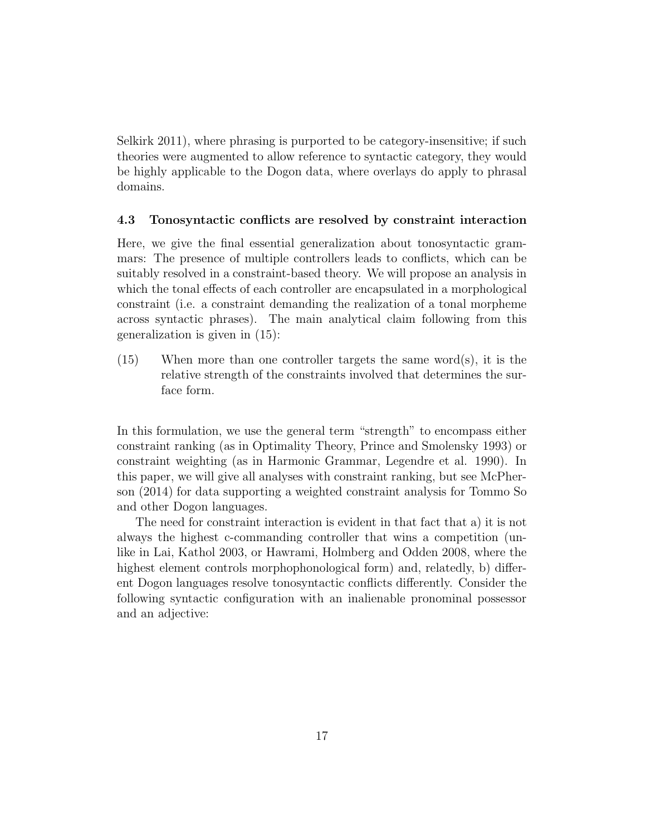Selkirk 2011), where phrasing is purported to be category-insensitive; if such theories were augmented to allow reference to syntactic category, they would be highly applicable to the Dogon data, where overlays do apply to phrasal domains.

### 4.3 Tonosyntactic conflicts are resolved by constraint interaction

Here, we give the final essential generalization about tonosyntactic grammars: The presence of multiple controllers leads to conflicts, which can be suitably resolved in a constraint-based theory. We will propose an analysis in which the tonal effects of each controller are encapsulated in a morphological constraint (i.e. a constraint demanding the realization of a tonal morpheme across syntactic phrases). The main analytical claim following from this generalization is given in (15):

(15) When more than one controller targets the same word(s), it is the relative strength of the constraints involved that determines the surface form.

In this formulation, we use the general term "strength" to encompass either constraint ranking (as in Optimality Theory, Prince and Smolensky 1993) or constraint weighting (as in Harmonic Grammar, Legendre et al. 1990). In this paper, we will give all analyses with constraint ranking, but see McPherson (2014) for data supporting a weighted constraint analysis for Tommo So and other Dogon languages.

The need for constraint interaction is evident in that fact that a) it is not always the highest c-commanding controller that wins a competition (unlike in Lai, Kathol 2003, or Hawrami, Holmberg and Odden 2008, where the highest element controls morphophonological form) and, relatedly, b) different Dogon languages resolve tonosyntactic conflicts differently. Consider the following syntactic configuration with an inalienable pronominal possessor and an adjective: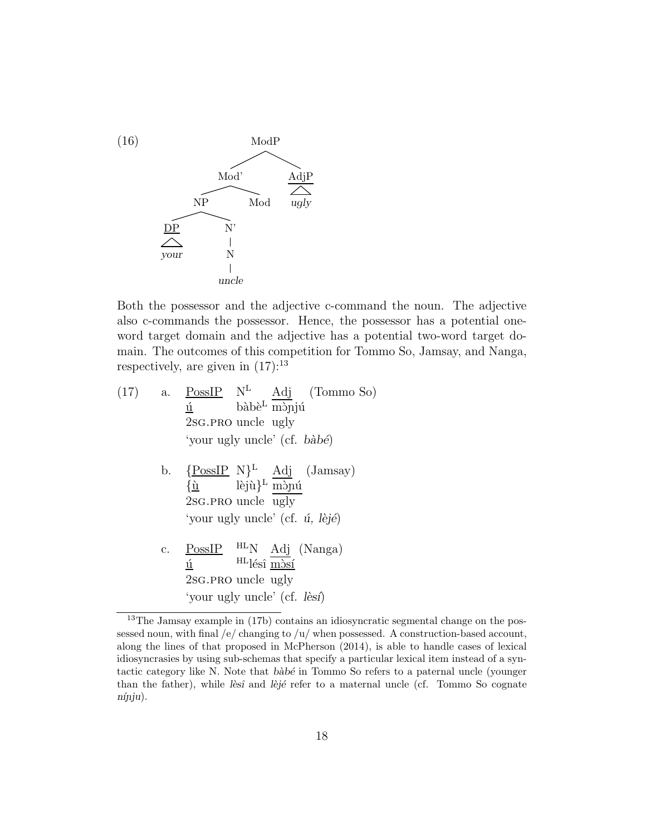

Both the possessor and the adjective c-command the noun. The adjective also c-commands the possessor. Hence, the possessor has a potential oneword target domain and the adjective has a potential two-word target domain. The outcomes of this competition for Tommo So, Jamsay, and Nanga, respectively, are given in  $(17):^{13}$ 

|    | $(17)$ a. $PossIP$ $N^L$ Adj (Tommo So)                                                                |
|----|--------------------------------------------------------------------------------------------------------|
|    | $\underline{\textbf{\textit{i}}}$ bàbè <sup>L</sup> mòniú                                              |
|    | 2sg. PRO uncle ugly                                                                                    |
|    | 'your ugly uncle' (cf. bàbé)                                                                           |
|    | b. $\{PossIP\ N\}^L$ Adj (Jamsay)<br>$\{\hat{u} \qquad \qquad$ lèjù $\}^L$ mònú<br>2sg. PRO uncle ugly |
|    | 'your ugly uncle' (cf. ú, lèjé)                                                                        |
| C. | PossIP <sup>HL</sup> N Adj (Nanga)<br>$^{HL}$ lésî $\overline{m}$ sí<br>ú<br>2sg.PRO uncle ugly        |
|    | 'your ugly uncle' (cf. <i>lèsi</i> )                                                                   |

<sup>13</sup>The Jamsay example in (17b) contains an idiosyncratic segmental change on the possessed noun, with final  $/e/$  changing to  $/u/$  when possessed. A construction-based account, along the lines of that proposed in McPherson (2014), is able to handle cases of lexical idiosyncrasies by using sub-schemas that specify a particular lexical item instead of a syntactic category like N. Note that bàbé in Tommo So refers to a paternal uncle (younger than the father), while lèsî and lèjé refer to a maternal uncle (cf. Tommo So cognate  $n$ inju).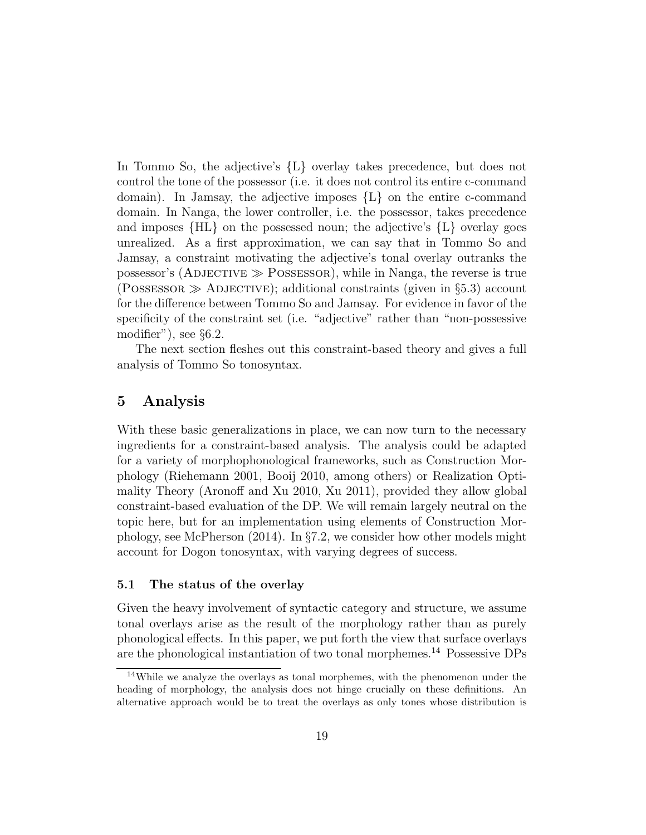In Tommo So, the adjective's {L} overlay takes precedence, but does not control the tone of the possessor (i.e. it does not control its entire c-command domain). In Jamsay, the adjective imposes  ${L}$  on the entire c-command domain. In Nanga, the lower controller, i.e. the possessor, takes precedence and imposes  $\{HL\}$  on the possessed noun; the adjective's  $\{L\}$  overlay goes unrealized. As a first approximation, we can say that in Tommo So and Jamsay, a constraint motivating the adjective's tonal overlay outranks the possessor's (ADJECTIVE  $\gg$  POSSESSOR), while in Nanga, the reverse is true  $(PossESSOR \gg ADJECTIVE)$ ; additional constraints (given in §5.3) account for the difference between Tommo So and Jamsay. For evidence in favor of the specificity of the constraint set (i.e. "adjective" rather than "non-possessive modifier"), see §6.2.

The next section fleshes out this constraint-based theory and gives a full analysis of Tommo So tonosyntax.

# 5 Analysis

With these basic generalizations in place, we can now turn to the necessary ingredients for a constraint-based analysis. The analysis could be adapted for a variety of morphophonological frameworks, such as Construction Morphology (Riehemann 2001, Booij 2010, among others) or Realization Optimality Theory (Aronoff and Xu 2010, Xu 2011), provided they allow global constraint-based evaluation of the DP. We will remain largely neutral on the topic here, but for an implementation using elements of Construction Morphology, see McPherson (2014). In §7.2, we consider how other models might account for Dogon tonosyntax, with varying degrees of success.

### 5.1 The status of the overlay

Given the heavy involvement of syntactic category and structure, we assume tonal overlays arise as the result of the morphology rather than as purely phonological effects. In this paper, we put forth the view that surface overlays are the phonological instantiation of two tonal morphemes.<sup>14</sup> Possessive DPs

<sup>14</sup>While we analyze the overlays as tonal morphemes, with the phenomenon under the heading of morphology, the analysis does not hinge crucially on these definitions. An alternative approach would be to treat the overlays as only tones whose distribution is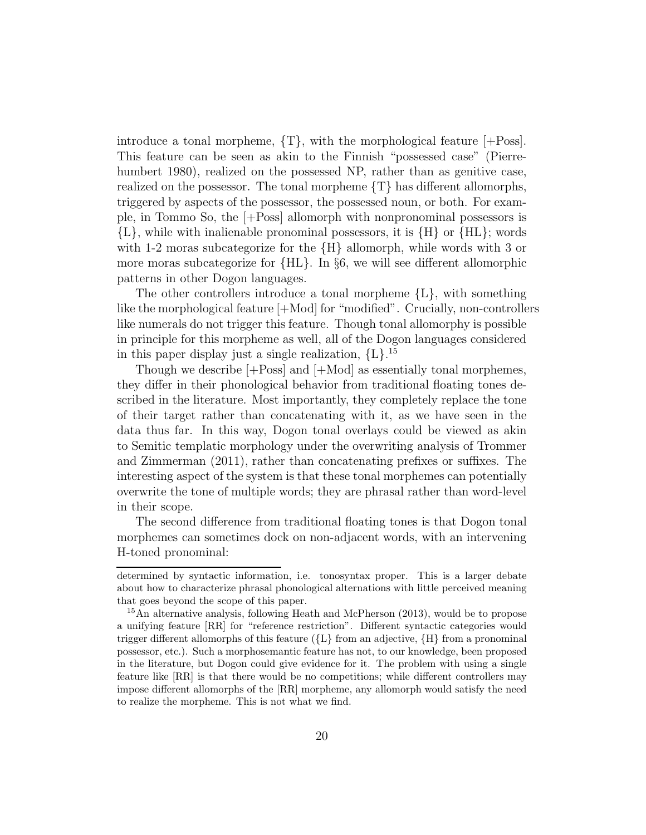introduce a tonal morpheme,  $\{T\}$ , with the morphological feature  $[+Poss]$ . This feature can be seen as akin to the Finnish "possessed case" (Pierrehumbert 1980), realized on the possessed NP, rather than as genitive case, realized on the possessor. The tonal morpheme {T} has different allomorphs, triggered by aspects of the possessor, the possessed noun, or both. For example, in Tommo So, the [+Poss] allomorph with nonpronominal possessors is  ${L}$ , while with inalienable pronominal possessors, it is  ${H}$  or  ${H}L$ ; words with 1-2 moras subcategorize for the  ${H}$  allomorph, while words with 3 or more moras subcategorize for  ${HL}$ . In §6, we will see different allomorphic patterns in other Dogon languages.

The other controllers introduce a tonal morpheme {L}, with something like the morphological feature [+Mod] for "modified". Crucially, non-controllers like numerals do not trigger this feature. Though tonal allomorphy is possible in principle for this morpheme as well, all of the Dogon languages considered in this paper display just a single realization,  ${L}$ .<sup>15</sup>

Though we describe [+Poss] and [+Mod] as essentially tonal morphemes, they differ in their phonological behavior from traditional floating tones described in the literature. Most importantly, they completely replace the tone of their target rather than concatenating with it, as we have seen in the data thus far. In this way, Dogon tonal overlays could be viewed as akin to Semitic templatic morphology under the overwriting analysis of Trommer and Zimmerman (2011), rather than concatenating prefixes or suffixes. The interesting aspect of the system is that these tonal morphemes can potentially overwrite the tone of multiple words; they are phrasal rather than word-level in their scope.

The second difference from traditional floating tones is that Dogon tonal morphemes can sometimes dock on non-adjacent words, with an intervening H-toned pronominal:

determined by syntactic information, i.e. tonosyntax proper. This is a larger debate about how to characterize phrasal phonological alternations with little perceived meaning that goes beyond the scope of this paper.

<sup>15</sup>An alternative analysis, following Heath and McPherson (2013), would be to propose a unifying feature [RR] for "reference restriction". Different syntactic categories would trigger different allomorphs of this feature  $({L} \$  from an adjective,  ${H}$  from a pronominal possessor, etc.). Such a morphosemantic feature has not, to our knowledge, been proposed in the literature, but Dogon could give evidence for it. The problem with using a single feature like [RR] is that there would be no competitions; while different controllers may impose different allomorphs of the [RR] morpheme, any allomorph would satisfy the need to realize the morpheme. This is not what we find.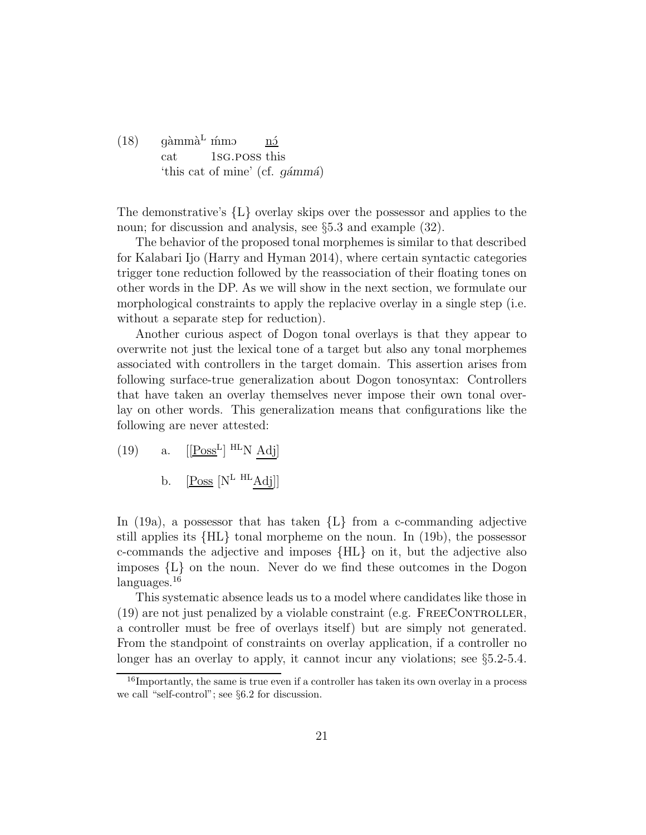$(18)$  gàmmà<sup>L</sup> mmo cat 1sg.poss this n5 'this cat of mine' (cf. gámmá)

The demonstrative's {L} overlay skips over the possessor and applies to the noun; for discussion and analysis, see  $\S 5.3$  and example (32).

The behavior of the proposed tonal morphemes is similar to that described for Kalabari Ijo (Harry and Hyman 2014), where certain syntactic categories trigger tone reduction followed by the reassociation of their floating tones on other words in the DP. As we will show in the next section, we formulate our morphological constraints to apply the replacive overlay in a single step (i.e. without a separate step for reduction).

Another curious aspect of Dogon tonal overlays is that they appear to overwrite not just the lexical tone of a target but also any tonal morphemes associated with controllers in the target domain. This assertion arises from following surface-true generalization about Dogon tonosyntax: Controllers that have taken an overlay themselves never impose their own tonal overlay on other words. This generalization means that configurations like the following are never attested:

- $(19)$  a.  $[[Poss<sup>L</sup>] <sup>HL</sup>N Adj]$ 
	- b.  $[\underline{Poss} [N^L H L \underline{Adj}]]$

In  $(19a)$ , a possessor that has taken  ${L}$  from a c-commanding adjective still applies its {HL} tonal morpheme on the noun. In (19b), the possessor c-commands the adjective and imposes {HL} on it, but the adjective also imposes {L} on the noun. Never do we find these outcomes in the Dogon languages.<sup>16</sup>

This systematic absence leads us to a model where candidates like those in  $(19)$  are not just penalized by a violable constraint (e.g. FREECONTROLLER, a controller must be free of overlays itself) but are simply not generated. From the standpoint of constraints on overlay application, if a controller no longer has an overlay to apply, it cannot incur any violations; see §5.2-5.4.

<sup>&</sup>lt;sup>16</sup>Importantly, the same is true even if a controller has taken its own overlay in a process we call "self-control"; see §6.2 for discussion.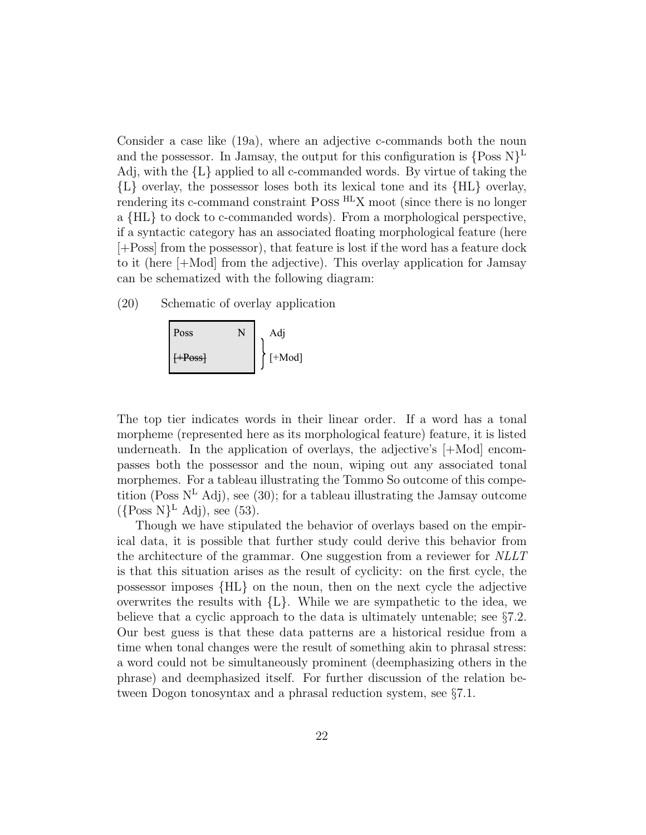Consider a case like (19a), where an adjective c-commands both the noun and the possessor. In Jamsay, the output for this configuration is  $\{Poss\ N\}^L$ Adj, with the {L} applied to all c-commanded words. By virtue of taking the {L} overlay, the possessor loses both its lexical tone and its {HL} overlay, rendering its c-command constraint Poss  $^{HL}X$  moot (since there is no longer a {HL} to dock to c-commanded words). From a morphological perspective, if a syntactic category has an associated floating morphological feature (here [+Poss] from the possessor), that feature is lost if the word has a feature dock to it (here [+Mod] from the adjective). This overlay application for Jamsay can be schematized with the following diagram:

(20) Schematic of overlay application



The top tier indicates words in their linear order. If a word has a tonal morpheme (represented here as its morphological feature) feature, it is listed underneath. In the application of overlays, the adjective's  $[+Mod]$  encompasses both the possessor and the noun, wiping out any associated tonal morphemes. For a tableau illustrating the Tommo So outcome of this competition (Poss  $N^L$  Adj), see (30); for a tableau illustrating the Jamsay outcome  $({\text{Poss N}}^L \text{Adj})$ , see (53).

Though we have stipulated the behavior of overlays based on the empirical data, it is possible that further study could derive this behavior from the architecture of the grammar. One suggestion from a reviewer for *NLLT* is that this situation arises as the result of cyclicity: on the first cycle, the possessor imposes {HL} on the noun, then on the next cycle the adjective overwrites the results with {L}. While we are sympathetic to the idea, we believe that a cyclic approach to the data is ultimately untenable; see §7.2. Our best guess is that these data patterns are a historical residue from a time when tonal changes were the result of something akin to phrasal stress: a word could not be simultaneously prominent (deemphasizing others in the phrase) and deemphasized itself. For further discussion of the relation between Dogon tonosyntax and a phrasal reduction system, see §7.1.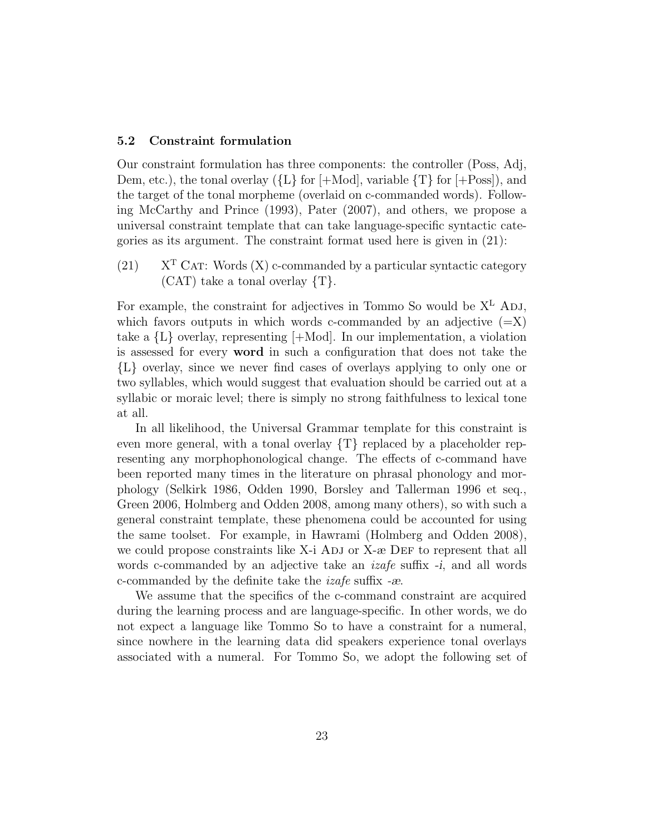#### 5.2 Constraint formulation

Our constraint formulation has three components: the controller (Poss, Adj, Dem, etc.), the tonal overlay  $({L} \$  for  $[+Mod]$ , variable  ${T}$  for  $[+Poss]$ , and the target of the tonal morpheme (overlaid on c-commanded words). Following McCarthy and Prince (1993), Pater (2007), and others, we propose a universal constraint template that can take language-specific syntactic categories as its argument. The constraint format used here is given in (21):

(21)  $X<sup>T</sup>$  CAT: Words (X) c-commanded by a particular syntactic category (CAT) take a tonal overlay {T}.

For example, the constraint for adjectives in Tommo So would be  $X<sup>L</sup>$  ADJ, which favors outputs in which words c-commanded by an adjective  $(=X)$ take a  ${L}$  overlay, representing  $[+Mod]$ . In our implementation, a violation is assessed for every word in such a configuration that does not take the {L} overlay, since we never find cases of overlays applying to only one or two syllables, which would suggest that evaluation should be carried out at a syllabic or moraic level; there is simply no strong faithfulness to lexical tone at all.

In all likelihood, the Universal Grammar template for this constraint is even more general, with a tonal overlay {T} replaced by a placeholder representing any morphophonological change. The effects of c-command have been reported many times in the literature on phrasal phonology and morphology (Selkirk 1986, Odden 1990, Borsley and Tallerman 1996 et seq., Green 2006, Holmberg and Odden 2008, among many others), so with such a general constraint template, these phenomena could be accounted for using the same toolset. For example, in Hawrami (Holmberg and Odden 2008), we could propose constraints like X-i ADJ or X-æ DEF to represent that all words c-commanded by an adjective take an *izafe* suffix -i, and all words c-commanded by the definite take the *izafe* suffix *-*æ.

We assume that the specifics of the c-command constraint are acquired during the learning process and are language-specific. In other words, we do not expect a language like Tommo So to have a constraint for a numeral, since nowhere in the learning data did speakers experience tonal overlays associated with a numeral. For Tommo So, we adopt the following set of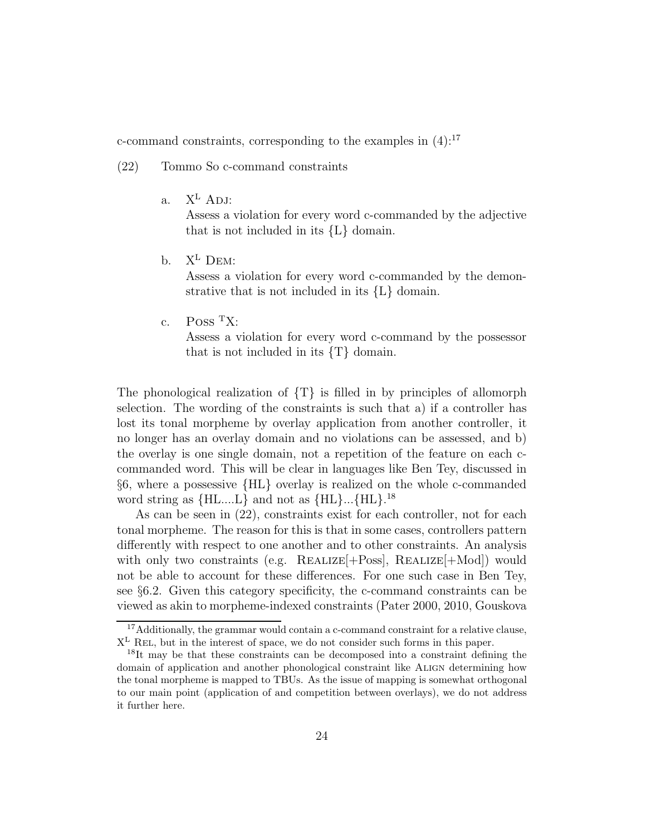c-command constraints, corresponding to the examples in  $(4)$ :<sup>17</sup>

- (22) Tommo So c-command constraints
	- a.  $X^L$  Adj: Assess a violation for every word c-commanded by the adjective that is not included in its {L} domain.
	- b.  $X^L$  DEM: Assess a violation for every word c-commanded by the demonstrative that is not included in its {L} domain.
	- c. Poss <sup>T</sup>X:

Assess a violation for every word c-command by the possessor that is not included in its {T} domain.

The phonological realization of  $\{T\}$  is filled in by principles of allomorph selection. The wording of the constraints is such that a) if a controller has lost its tonal morpheme by overlay application from another controller, it no longer has an overlay domain and no violations can be assessed, and b) the overlay is one single domain, not a repetition of the feature on each ccommanded word. This will be clear in languages like Ben Tey, discussed in §6, where a possessive {HL} overlay is realized on the whole c-commanded word string as  $\{HL....L\}$  and not as  $\{HL\}...\{HL\}$ .<sup>18</sup>

As can be seen in (22), constraints exist for each controller, not for each tonal morpheme. The reason for this is that in some cases, controllers pattern differently with respect to one another and to other constraints. An analysis with only two constraints (e.g.  $\text{REALIZE}$ + $\text{Poss}$ ),  $\text{REALIZE}$ + $\text{Mod}$ ) would not be able to account for these differences. For one such case in Ben Tey, see §6.2. Given this category specificity, the c-command constraints can be viewed as akin to morpheme-indexed constraints (Pater 2000, 2010, Gouskova

<sup>&</sup>lt;sup>17</sup>Additionally, the grammar would contain a c-command constraint for a relative clause, X<sup>L</sup> Rel, but in the interest of space, we do not consider such forms in this paper.

<sup>18</sup>It may be that these constraints can be decomposed into a constraint defining the domain of application and another phonological constraint like Align determining how the tonal morpheme is mapped to TBUs. As the issue of mapping is somewhat orthogonal to our main point (application of and competition between overlays), we do not address it further here.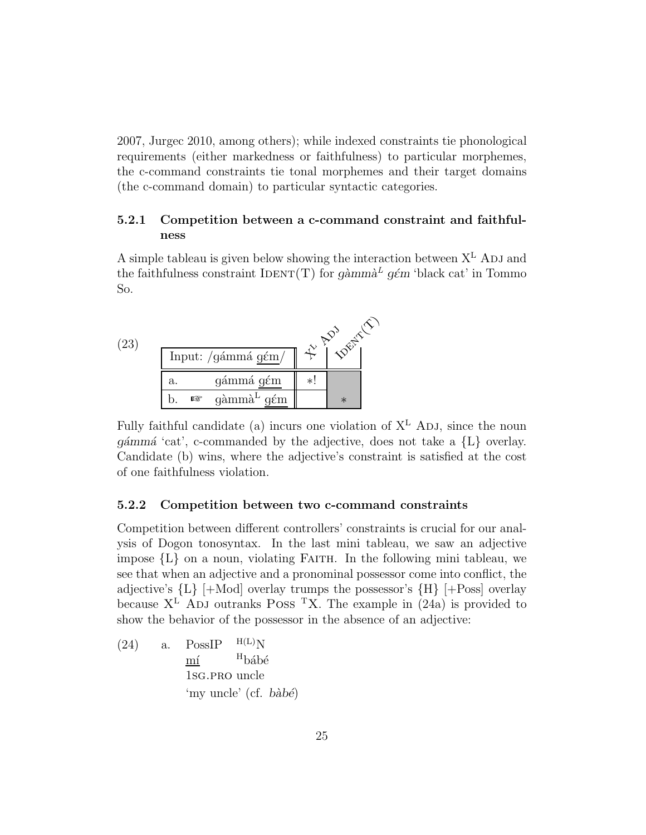2007, Jurgec 2010, among others); while indexed constraints tie phonological requirements (either markedness or faithfulness) to particular morphemes, the c-command constraints tie tonal morphemes and their target domains (the c-command domain) to particular syntactic categories.

# 5.2.1 Competition between a c-command constraint and faithfulness

A simple tableau is given below showing the interaction between  $X<sup>L</sup>$  Apj and the faithfulness constraint IDENT(T) for  $\phi$ amma<sup>L</sup>  $\phi$ *Em* 'black cat' in Tommo So.

| (23) | $\hat{\mathcal{R}}^{\mathcal{Z}}$   |        |  |  |  |  |
|------|-------------------------------------|--------|--|--|--|--|
|      | Input: /gámmá gém/                  |        |  |  |  |  |
|      | gámmá gém<br>а.                     | $\ast$ |  |  |  |  |
|      | $\gamma$ ammà <sup>L</sup> gém<br>哸 |        |  |  |  |  |

Fully faithful candidate (a) incurs one violation of  $X<sup>L</sup>$  ADJ, since the noun  $g\acute{a}mm\acute{a}$  'cat', c-commanded by the adjective, does not take a  ${L}$  overlay. Candidate (b) wins, where the adjective's constraint is satisfied at the cost of one faithfulness violation.

### 5.2.2 Competition between two c-command constraints

Competition between different controllers' constraints is crucial for our analysis of Dogon tonosyntax. In the last mini tableau, we saw an adjective impose  ${L}$  on a noun, violating FAITH. In the following mini tableau, we see that when an adjective and a pronominal possessor come into conflict, the adjective's  ${L}$  [+Mod] overlay trumps the possessor's  ${H}$  [+Poss] overlay because  $X<sup>L</sup>$  ADJ outranks POSS <sup>T</sup>X. The example in (24a) is provided to show the behavior of the possessor in the absence of an adjective:

(24) a. PossIP m´ı 1sg.pro uncle  $H(L)N$  $^{\rm H}$ bábé 'my uncle' (cf.  $b\grave{a}b\acute{e}$ )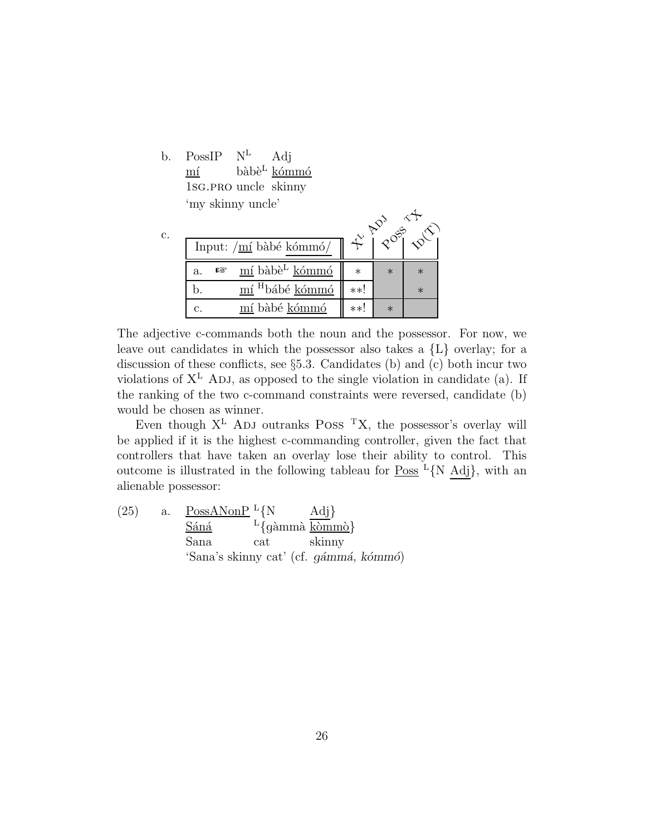| b. | PossIP               | $N^L$ | Adj                     |
|----|----------------------|-------|-------------------------|
|    | mí                   |       | bàbè <sup>L</sup> kómmó |
|    | 1sg.PRO uncle skinny |       |                         |
|    | 'my skinny uncle'    |       |                         |

| C. |         |                                                              |        | $\sim$ $\frac{1}{2}$ $\frac{1}{2}$ |        |
|----|---------|--------------------------------------------------------------|--------|------------------------------------|--------|
|    |         | Input: $\frac{\text{mí}}{\text{m} \cdot \text{b}$ àbé kómmó/ |        |                                    |        |
|    | 哸<br>a. | mí bàbè <sup>L</sup> kómmó                                   | $\ast$ | $\ast$                             | $\ast$ |
|    |         | mí <sup>H</sup> bábé kómmó                                   | $**!$  |                                    | $\ast$ |
|    | c.      | mí bàbé kómmó                                                | $**!$  | $\ast$                             |        |

The adjective c-commands both the noun and the possessor. For now, we leave out candidates in which the possessor also takes a {L} overlay; for a discussion of these conflicts, see §5.3. Candidates (b) and (c) both incur two violations of  $X<sup>L</sup>$  ADJ, as opposed to the single violation in candidate (a). If the ranking of the two c-command constraints were reversed, candidate (b) would be chosen as winner.

Even though  $X^L$  ADJ outranks POSS <sup>T</sup>X, the possessor's overlay will be applied if it is the highest c-commanding controller, given the fact that controllers that have taken an overlay lose their ability to control. This outcome is illustrated in the following tableau for  $Poss<sup>L</sup>{N \t{Adj}}$ , with an alienable possessor:

 $(25)$  a.  $PossANonP$ <u>Sáná</u> Sana  $\mathrm{^{L} \{N}}$  $\rm{^{L}q\hat{a}mm\hat{a}}$ cat Adj} <u>kòmmò}</u> skinny 'Sana's skinny cat' (cf. gámmá, kómmó)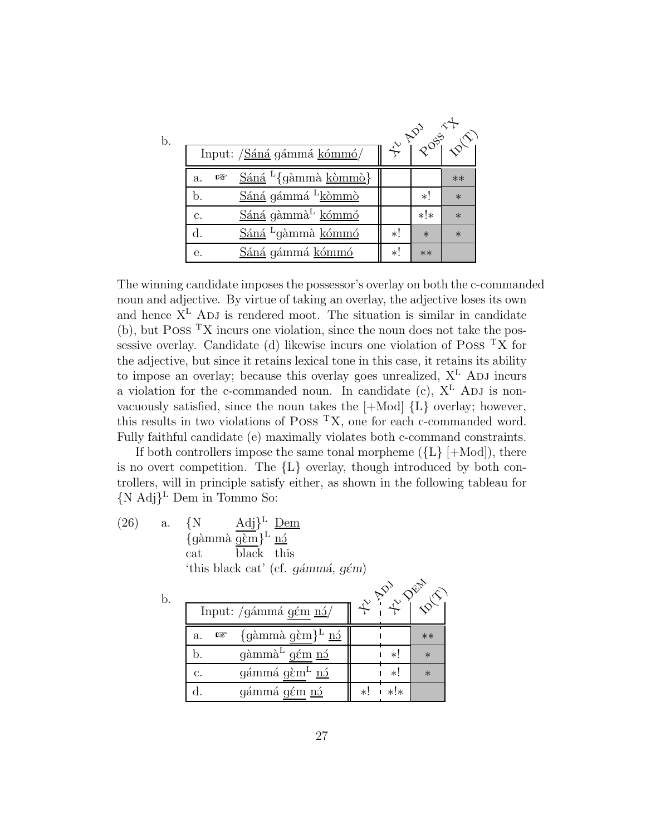| b. |                 |   |                                 |    |        | $\uparrow \qquad \qquad \uparrow \qquad \qquad \downarrow \qquad \qquad \downarrow \qquad \qquad \downarrow \qquad \qquad \downarrow \qquad \qquad \downarrow \qquad \downarrow \qquad \downarrow \qquad \downarrow \qquad \downarrow \qquad \downarrow \qquad \downarrow \qquad \downarrow \qquad \downarrow \qquad \downarrow \qquad \downarrow \qquad \downarrow \qquad \downarrow \qquad \downarrow \qquad \downarrow \qquad \downarrow \qquad \downarrow \qquad \downarrow \qquad \downarrow \qquad \downarrow \qquad \downarrow \qquad \downarrow \qquad \downarrow \qquad \downarrow \qquad \downarrow \qquad \downarrow \qquad \downarrow \qquad \downarrow \$ |
|----|-----------------|---|---------------------------------|----|--------|------------------------------------------------------------------------------------------------------------------------------------------------------------------------------------------------------------------------------------------------------------------------------------------------------------------------------------------------------------------------------------------------------------------------------------------------------------------------------------------------------------------------------------------------------------------------------------------------------------------------------------------------------------------------|
|    |                 |   | Input: /Sáná gámmá kómmó/       |    |        |                                                                                                                                                                                                                                                                                                                                                                                                                                                                                                                                                                                                                                                                        |
|    | $a_{\cdot}$     | 曙 | Sáná <sup>L</sup> {gàmmà kòmmò} |    |        | $**$                                                                                                                                                                                                                                                                                                                                                                                                                                                                                                                                                                                                                                                                   |
|    | b.              |   | Sáná gámmá <sup>L</sup> kòmmò   |    | ا∗     | $\ast$                                                                                                                                                                                                                                                                                                                                                                                                                                                                                                                                                                                                                                                                 |
|    | $\mathcal{C}$ . |   | Sáná gàmmà <sup>L</sup> kómmó   |    | $*!*$  | $\ast$                                                                                                                                                                                                                                                                                                                                                                                                                                                                                                                                                                                                                                                                 |
|    | d.              |   | Sáná <sup>L</sup> gàmmà kómmó   | !∗ | $\ast$ | $\ast$                                                                                                                                                                                                                                                                                                                                                                                                                                                                                                                                                                                                                                                                 |
|    | е.              |   | Sáná gámmá kómmó                | *! | $**$   |                                                                                                                                                                                                                                                                                                                                                                                                                                                                                                                                                                                                                                                                        |

The winning candidate imposes the possessor's overlay on both the c-commanded noun and adjective. By virtue of taking an overlay, the adjective loses its own and hence  $X^L$  ADJ is rendered moot. The situation is similar in candidate (b), but Poss <sup>T</sup>X incurs one violation, since the noun does not take the possessive overlay. Candidate (d) likewise incurs one violation of Poss <sup>T</sup>X for the adjective, but since it retains lexical tone in this case, it retains its ability to impose an overlay; because this overlay goes unrealized,  $X<sup>L</sup>$  ADJ incurs a violation for the c-commanded noun. In candidate  $(c)$ ,  $X<sup>L</sup>$  ADJ is nonvacuously satisfied, since the noun takes the  $[+Mod] \{L\}$  overlay; however, this results in two violations of POSS  $TX$ , one for each c-commanded word. Fully faithful candidate (e) maximally violates both c-command constraints.

If both controllers impose the same tonal morpheme  $({L} \ H_{\text{mod}})$ , there is no overt competition. The  ${L}$  overlay, though introduced by both controllers, will in principle satisfy either, as shown in the following tableau for {N Adj} <sup>L</sup> Dem in Tommo So:

|  | $(26)$ a. {N Adj} <sup>L</sup> <u>Dem</u> |
|--|-------------------------------------------|
|  | $\{\text{gàmmà gèm}\}^L$ nó               |
|  | cat black this                            |
|  | 'this black cat' (cf. gámmá, gém)         |
|  |                                           |

| $\mathbf b$ . |    |   |                                                        |        | El And Deve |        |
|---------------|----|---|--------------------------------------------------------|--------|-------------|--------|
|               |    |   | Input: /gámmá gém $\frac{n5}{ }$                       |        |             |        |
|               | a. | 哸 | $\{\text{gàmmà gèm}\}^L$ nó                            |        |             | $**$   |
|               | b. |   | $g\grave{a}mm\grave{a}^L$ gém $\underline{n}\acute{2}$ |        | ∗!          |        |
|               | c. |   | gámmá gèm <sup>L</sup> nó                              |        | *!          | $\ast$ |
|               |    |   | gámmá gém nó                                           | $\ast$ |             |        |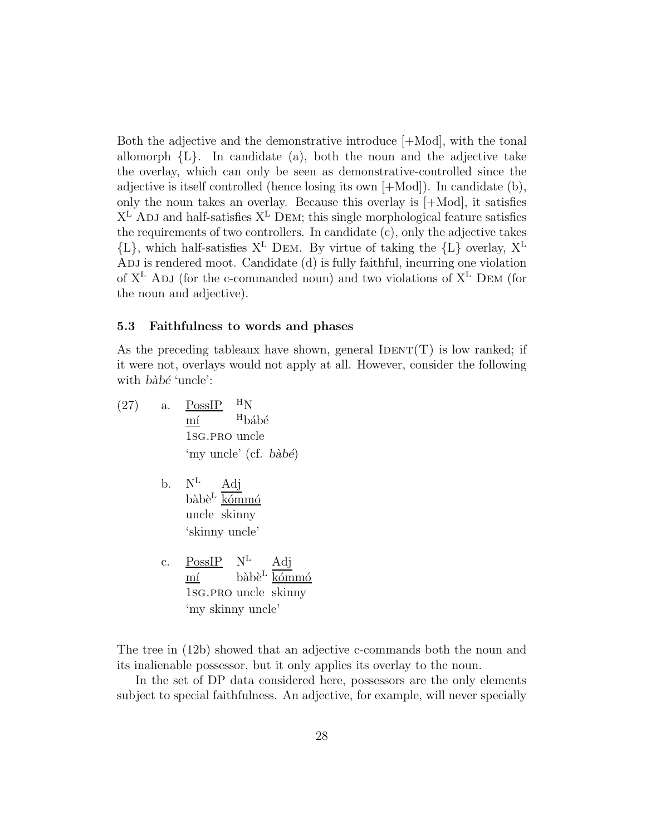Both the adjective and the demonstrative introduce [+Mod], with the tonal allomorph  ${L}$ . In candidate (a), both the noun and the adjective take the overlay, which can only be seen as demonstrative-controlled since the adjective is itself controlled (hence losing its own  $[+Mod]$ ). In candidate (b), only the noun takes an overlay. Because this overlay is [+Mod], it satisfies  $X<sup>L</sup>$  ADJ and half-satisfies  $X<sup>L</sup>$  DEM; this single morphological feature satisfies the requirements of two controllers. In candidate (c), only the adjective takes  ${L}$ , which half-satisfies  $X^L$  DEM. By virtue of taking the  ${L}$  overlay,  $X^L$  $ADJ$  is rendered moot. Candidate (d) is fully faithful, incurring one violation of  $X^L$  Adj (for the c-commanded noun) and two violations of  $X^L$  DEM (for the noun and adjective).

#### 5.3 Faithfulness to words and phases

As the preceding tableaux have shown, general  $IDENT(T)$  is low ranked; if it were not, overlays would not apply at all. However, consider the following with bàbé 'uncle':

- $(27)$  a. PossIP m´ı 1sg.PRO uncle  ${}^{\rm H}{\rm N}$  $H<sub>bá</sub>$ bé 'my uncle' (cf. bàbé)
	- $b. N^L$ bàbè<sup>L</sup> kómmó uncle skinny Adj 'skinny uncle'
	- c. PossIP m´ı 1sg.pro uncle skinny  $\mathrm{N}^{\mathrm{L}}$ bàbè<sup>L</sup> <u>kómmó</u> Adj 'my skinny uncle'

The tree in (12b) showed that an adjective c-commands both the noun and its inalienable possessor, but it only applies its overlay to the noun.

In the set of DP data considered here, possessors are the only elements subject to special faithfulness. An adjective, for example, will never specially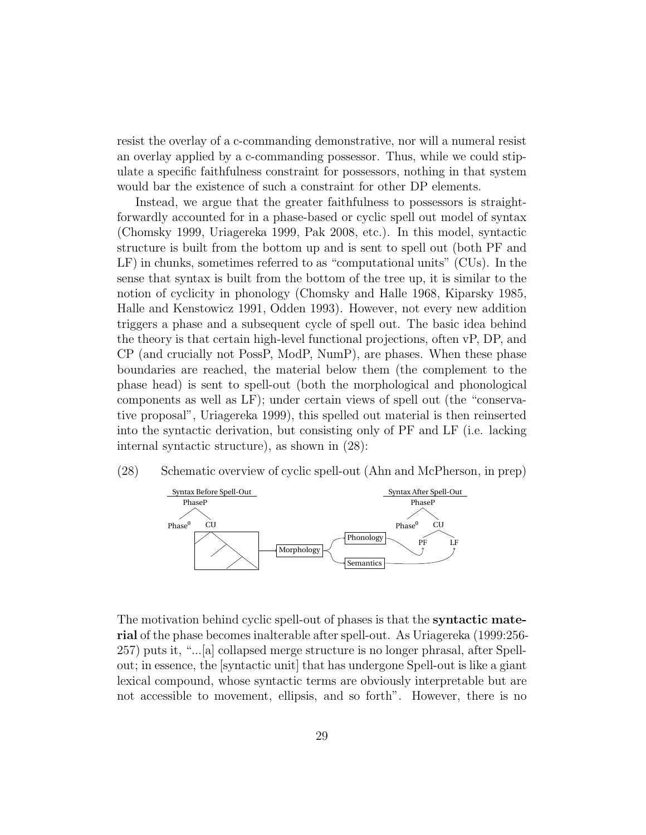resist the overlay of a c-commanding demonstrative, nor will a numeral resist an overlay applied by a c-commanding possessor. Thus, while we could stipulate a specific faithfulness constraint for possessors, nothing in that system would bar the existence of such a constraint for other DP elements.

Instead, we argue that the greater faithfulness to possessors is straightforwardly accounted for in a phase-based or cyclic spell out model of syntax (Chomsky 1999, Uriagereka 1999, Pak 2008, etc.). In this model, syntactic structure is built from the bottom up and is sent to spell out (both PF and LF) in chunks, sometimes referred to as "computational units" (CUs). In the sense that syntax is built from the bottom of the tree up, it is similar to the notion of cyclicity in phonology (Chomsky and Halle 1968, Kiparsky 1985, Halle and Kenstowicz 1991, Odden 1993). However, not every new addition triggers a phase and a subsequent cycle of spell out. The basic idea behind the theory is that certain high-level functional projections, often vP, DP, and CP (and crucially not PossP, ModP, NumP), are phases. When these phase boundaries are reached, the material below them (the complement to the phase head) is sent to spell-out (both the morphological and phonological components as well as LF); under certain views of spell out (the "conservative proposal", Uriagereka 1999), this spelled out material is then reinserted into the syntactic derivation, but consisting only of PF and LF (i.e. lacking internal syntactic structure), as shown in (28):

(28) Schematic overview of cyclic spell-out (Ahn and McPherson, in prep)



The motivation behind cyclic spell-out of phases is that the syntactic material of the phase becomes inalterable after spell-out. As Uriagereka (1999:256- 257) puts it, "...[a] collapsed merge structure is no longer phrasal, after Spellout; in essence, the [syntactic unit] that has undergone Spell-out is like a giant lexical compound, whose syntactic terms are obviously interpretable but are not accessible to movement, ellipsis, and so forth". However, there is no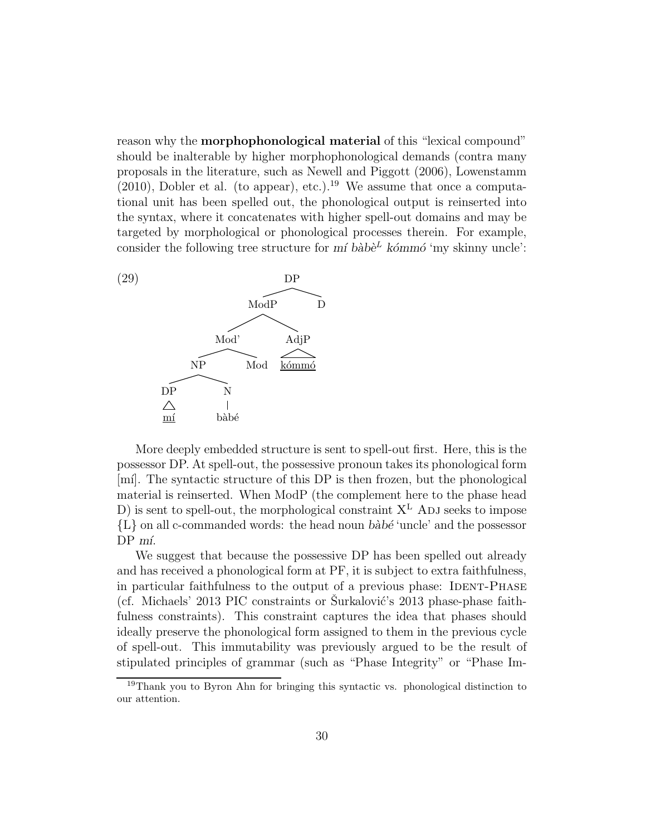reason why the **morphophonological material** of this "lexical compound" should be inalterable by higher morphophonological demands (contra many proposals in the literature, such as Newell and Piggott (2006), Lowenstamm  $(2010)$ , Dobler et al. (to appear), etc.).<sup>19</sup> We assume that once a computational unit has been spelled out, the phonological output is reinserted into the syntax, where it concatenates with higher spell-out domains and may be targeted by morphological or phonological processes therein. For example, consider the following tree structure for mí bàbe<sup>L</sup> kómmó 'my skinny uncle':



More deeply embedded structure is sent to spell-out first. Here, this is the possessor DP. At spell-out, the possessive pronoun takes its phonological form [m']. The syntactic structure of this DP is then frozen, but the phonological material is reinserted. When ModP (the complement here to the phase head D) is sent to spell-out, the morphological constraint  $X<sup>L</sup>$  ADJ seeks to impose  ${L}$  on all c-commanded words: the head noun bàbé 'uncle' and the possessor DP mí.

We suggest that because the possessive DP has been spelled out already and has received a phonological form at PF, it is subject to extra faithfulness, in particular faithfulness to the output of a previous phase: IDENT-PHASE (cf. Michaels' 2013 PIC constraints or Surkalović's  $2013$  phase-phase faithfulness constraints). This constraint captures the idea that phases should ideally preserve the phonological form assigned to them in the previous cycle of spell-out. This immutability was previously argued to be the result of stipulated principles of grammar (such as "Phase Integrity" or "Phase Im-

<sup>19</sup>Thank you to Byron Ahn for bringing this syntactic vs. phonological distinction to our attention.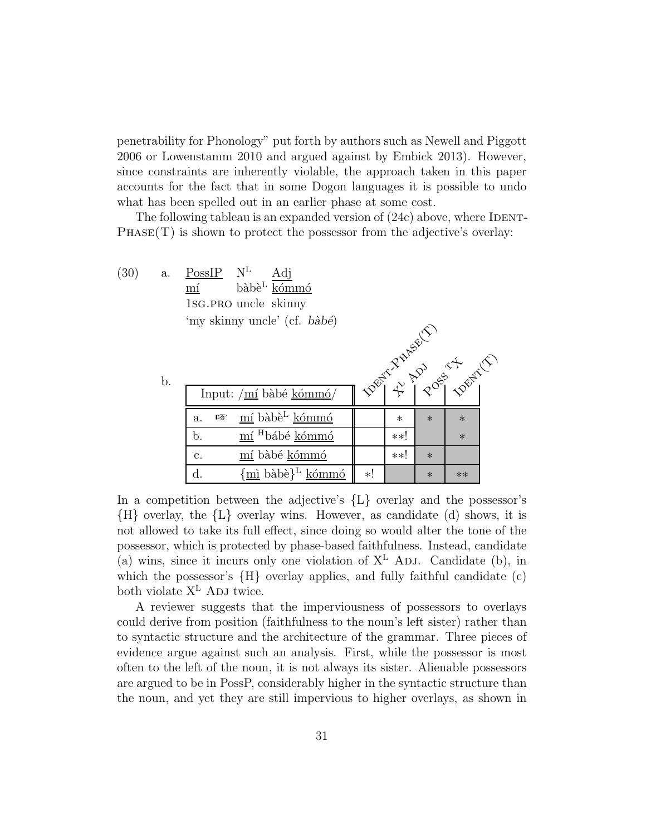penetrability for Phonology" put forth by authors such as Newell and Piggott 2006 or Lowenstamm 2010 and argued against by Embick 2013). However, since constraints are inherently violable, the approach taken in this paper accounts for the fact that in some Dogon languages it is possible to undo what has been spelled out in an earlier phase at some cost.

The following tableau is an expanded version of  $(24c)$  above, where IDENT- $PHASE(T)$  is shown to protect the possessor from the adjective's overlay:

| (30) | $a$ .          | $PossIP$ $N^L$ Adj<br>$\text{mí}$ bàbè <sup>L</sup> kómmó<br>1sg.PRO uncle skinny<br>'my skinny uncle' (cf. bàbé) |    |       |        |        |  |
|------|----------------|-------------------------------------------------------------------------------------------------------------------|----|-------|--------|--------|--|
|      | $\mathbf{b}$ . | Input: $\frac{m'_1}{m'_2}$ bàbé kómmó/                                                                            |    |       |        |        |  |
|      |                | mí bàbè <sup>L</sup> kómmó<br><b>IS</b><br>a.                                                                     |    |       |        |        |  |
|      |                | mí <sup>H</sup> bábé kómmó<br>b.                                                                                  |    | $**!$ |        | $\ast$ |  |
|      |                | mí bàbé kómmó<br>$\mathbf{c}$ .                                                                                   |    | $**!$ | $\ast$ |        |  |
|      |                | d.<br>$\{\underline{\text{mi}} \text{ bàbè}\}^{\text{L}}$ kómmó                                                   | *! |       | $\ast$ | $**$   |  |

In a competition between the adjective's  ${L}$  overlay and the possessor's  ${H}$  overlay, the  ${L}$  overlay wins. However, as candidate (d) shows, it is not allowed to take its full effect, since doing so would alter the tone of the possessor, which is protected by phase-based faithfulness. Instead, candidate (a) wins, since it incurs only one violation of  $X<sup>L</sup>$  ADJ. Candidate (b), in which the possessor's {H} overlay applies, and fully faithful candidate (c) both violate  $X^L$  Apj twice.

A reviewer suggests that the imperviousness of possessors to overlays could derive from position (faithfulness to the noun's left sister) rather than to syntactic structure and the architecture of the grammar. Three pieces of evidence argue against such an analysis. First, while the possessor is most often to the left of the noun, it is not always its sister. Alienable possessors are argued to be in PossP, considerably higher in the syntactic structure than the noun, and yet they are still impervious to higher overlays, as shown in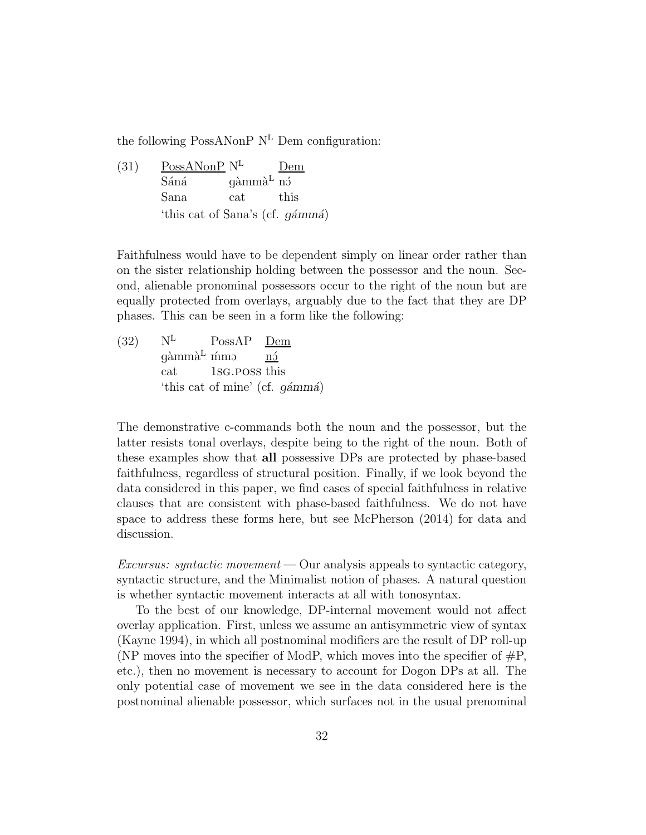the following PossANonP  $N^L$  Dem configuration:

 $(31)$  PossANonP N<sup>L</sup> Sáná Sana gàmmà $^{\rm L}$  nó cat Dem this 'this cat of Sana's (cf. gámmá)

Faithfulness would have to be dependent simply on linear order rather than on the sister relationship holding between the possessor and the noun. Second, alienable pronominal possessors occur to the right of the noun but are equally protected from overlays, arguably due to the fact that they are DP phases. This can be seen in a form like the following:

 $(32)$  N<sup>L</sup>  $\mathrm{g}\mathrm{a}\mathrm{mm}\mathrm{a}^\mathrm{L}$  mmo cat PossAP 1sg.poss this Dem nó 'this cat of mine' (cf.  $qámmá$ )

The demonstrative c-commands both the noun and the possessor, but the latter resists tonal overlays, despite being to the right of the noun. Both of these examples show that all possessive DPs are protected by phase-based faithfulness, regardless of structural position. Finally, if we look beyond the data considered in this paper, we find cases of special faithfulness in relative clauses that are consistent with phase-based faithfulness. We do not have space to address these forms here, but see McPherson (2014) for data and discussion.

*Excursus: syntactic movement* — Our analysis appeals to syntactic category, syntactic structure, and the Minimalist notion of phases. A natural question is whether syntactic movement interacts at all with tonosyntax.

To the best of our knowledge, DP-internal movement would not affect overlay application. First, unless we assume an antisymmetric view of syntax (Kayne 1994), in which all postnominal modifiers are the result of DP roll-up (NP moves into the specifier of ModP, which moves into the specifier of  $\#P$ , etc.), then no movement is necessary to account for Dogon DPs at all. The only potential case of movement we see in the data considered here is the postnominal alienable possessor, which surfaces not in the usual prenominal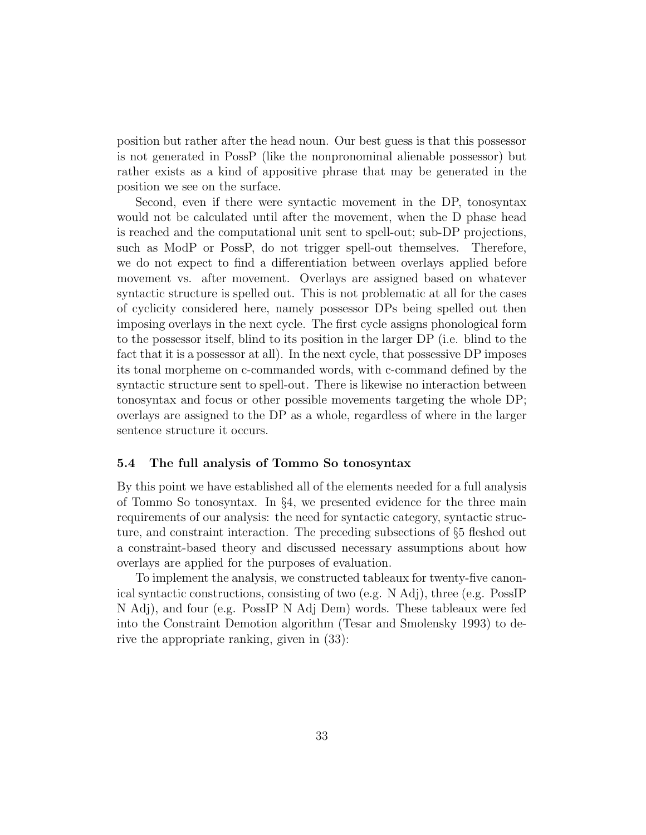position but rather after the head noun. Our best guess is that this possessor is not generated in PossP (like the nonpronominal alienable possessor) but rather exists as a kind of appositive phrase that may be generated in the position we see on the surface.

Second, even if there were syntactic movement in the DP, tonosyntax would not be calculated until after the movement, when the D phase head is reached and the computational unit sent to spell-out; sub-DP projections, such as ModP or PossP, do not trigger spell-out themselves. Therefore, we do not expect to find a differentiation between overlays applied before movement vs. after movement. Overlays are assigned based on whatever syntactic structure is spelled out. This is not problematic at all for the cases of cyclicity considered here, namely possessor DPs being spelled out then imposing overlays in the next cycle. The first cycle assigns phonological form to the possessor itself, blind to its position in the larger DP (i.e. blind to the fact that it is a possessor at all). In the next cycle, that possessive DP imposes its tonal morpheme on c-commanded words, with c-command defined by the syntactic structure sent to spell-out. There is likewise no interaction between tonosyntax and focus or other possible movements targeting the whole DP; overlays are assigned to the DP as a whole, regardless of where in the larger sentence structure it occurs.

### 5.4 The full analysis of Tommo So tonosyntax

By this point we have established all of the elements needed for a full analysis of Tommo So tonosyntax. In §4, we presented evidence for the three main requirements of our analysis: the need for syntactic category, syntactic structure, and constraint interaction. The preceding subsections of §5 fleshed out a constraint-based theory and discussed necessary assumptions about how overlays are applied for the purposes of evaluation.

To implement the analysis, we constructed tableaux for twenty-five canonical syntactic constructions, consisting of two (e.g. N Adj), three (e.g. PossIP N Adj), and four (e.g. PossIP N Adj Dem) words. These tableaux were fed into the Constraint Demotion algorithm (Tesar and Smolensky 1993) to derive the appropriate ranking, given in (33):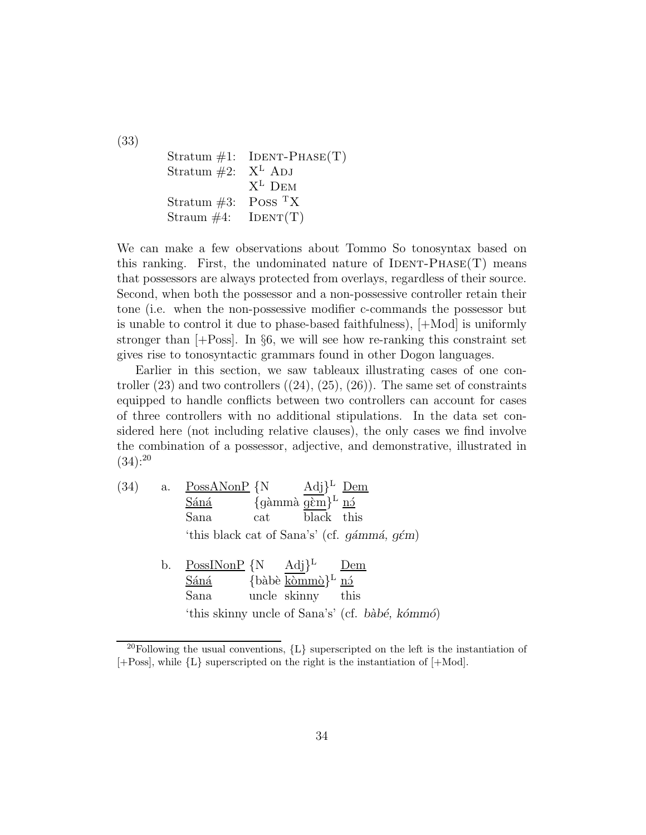(33)

|                         | Stratum $\#1$ : IDENT-PHASE(T) |
|-------------------------|--------------------------------|
| Stratum $#2$ :          | $X^L$ Adj                      |
|                         | $X^L$ DEM                      |
| Stratum $#3$ :          | Poss $TX$                      |
| Straum $\#4$ : IDENT(T) |                                |

We can make a few observations about Tommo So tonosyntax based on this ranking. First, the undominated nature of  $IDENT-PHASE(T)$  means that possessors are always protected from overlays, regardless of their source. Second, when both the possessor and a non-possessive controller retain their tone (i.e. when the non-possessive modifier c-commands the possessor but is unable to control it due to phase-based faithfulness), [+Mod] is uniformly stronger than  $[+P$ oss. In §6, we will see how re-ranking this constraint set gives rise to tonosyntactic grammars found in other Dogon languages.

Earlier in this section, we saw tableaux illustrating cases of one controller  $(23)$  and two controllers  $((24), (25), (26))$ . The same set of constraints equipped to handle conflicts between two controllers can account for cases of three controllers with no additional stipulations. In the data set considered here (not including relative clauses), the only cases we find involve the combination of a possessor, adjective, and demonstrative, illustrated in  $(34):^{20}$ 

| (34) | a. PossANonP {N Adj} <sup>L</sup> Dem<br>$\{\text{gàmmà gèm}\}^{\text{L}}$ nó<br>Sáná<br>black this<br>Sana<br>cat                                                                         |
|------|--------------------------------------------------------------------------------------------------------------------------------------------------------------------------------------------|
|      | 'this black cat of Sana's' (cf. gámmá, gém)                                                                                                                                                |
|      | b. PossINonP $\{N \text{ Adj}\}^L$ Dem<br>$\frac{\text{Sáná}}{\text{6}}$ {bàbè <u>kòmmò</u> } <sup>L</sup> ná<br>Sana uncle skinny this<br>'this skinny uncle of Sana's' (cf. bàbé, kómmó) |

<sup>&</sup>lt;sup>20</sup>Following the usual conventions,  ${L}$  superscripted on the left is the instantiation of [+Poss], while {L} superscripted on the right is the instantiation of [+Mod].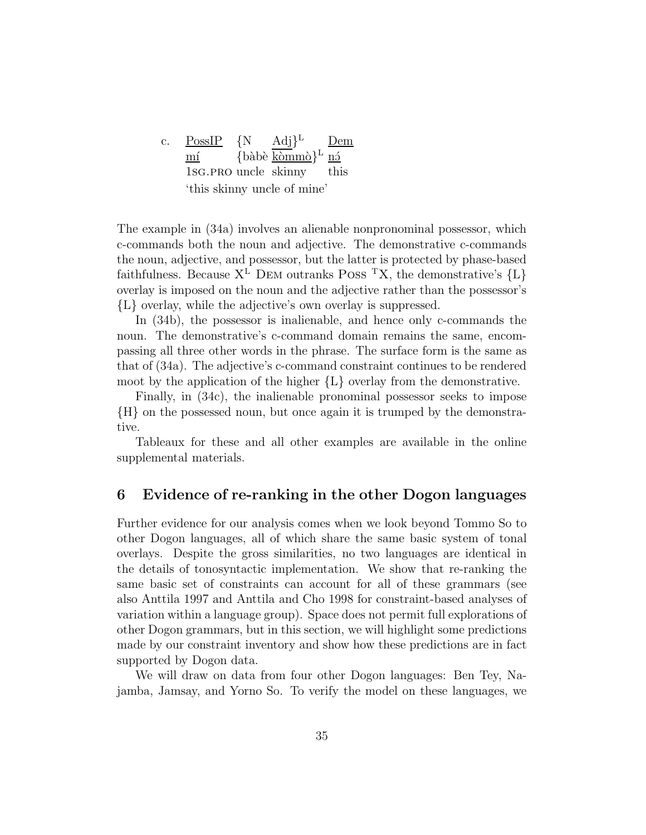c. PossIP m´ı 1sg.PRO uncle skinny  $\{N$  $\{\text{bàbè }\underline{\text{kommo}}\}^{\mathcal{L}}$  $\rm{Adj}\}^{\rm{L}}$ Dem n<sup>2</sup> this 'this skinny uncle of mine'

The example in (34a) involves an alienable nonpronominal possessor, which c-commands both the noun and adjective. The demonstrative c-commands the noun, adjective, and possessor, but the latter is protected by phase-based faithfulness. Because  $X^L$  DEM outranks POSS <sup>T</sup>X, the demonstrative's  $\{L\}$ overlay is imposed on the noun and the adjective rather than the possessor's {L} overlay, while the adjective's own overlay is suppressed.

In (34b), the possessor is inalienable, and hence only c-commands the noun. The demonstrative's c-command domain remains the same, encompassing all three other words in the phrase. The surface form is the same as that of (34a). The adjective's c-command constraint continues to be rendered moot by the application of the higher  ${L}$  overlay from the demonstrative.

Finally, in (34c), the inalienable pronominal possessor seeks to impose {H} on the possessed noun, but once again it is trumped by the demonstrative.

Tableaux for these and all other examples are available in the online supplemental materials.

# 6 Evidence of re-ranking in the other Dogon languages

Further evidence for our analysis comes when we look beyond Tommo So to other Dogon languages, all of which share the same basic system of tonal overlays. Despite the gross similarities, no two languages are identical in the details of tonosyntactic implementation. We show that re-ranking the same basic set of constraints can account for all of these grammars (see also Anttila 1997 and Anttila and Cho 1998 for constraint-based analyses of variation within a language group). Space does not permit full explorations of other Dogon grammars, but in this section, we will highlight some predictions made by our constraint inventory and show how these predictions are in fact supported by Dogon data.

We will draw on data from four other Dogon languages: Ben Tey, Najamba, Jamsay, and Yorno So. To verify the model on these languages, we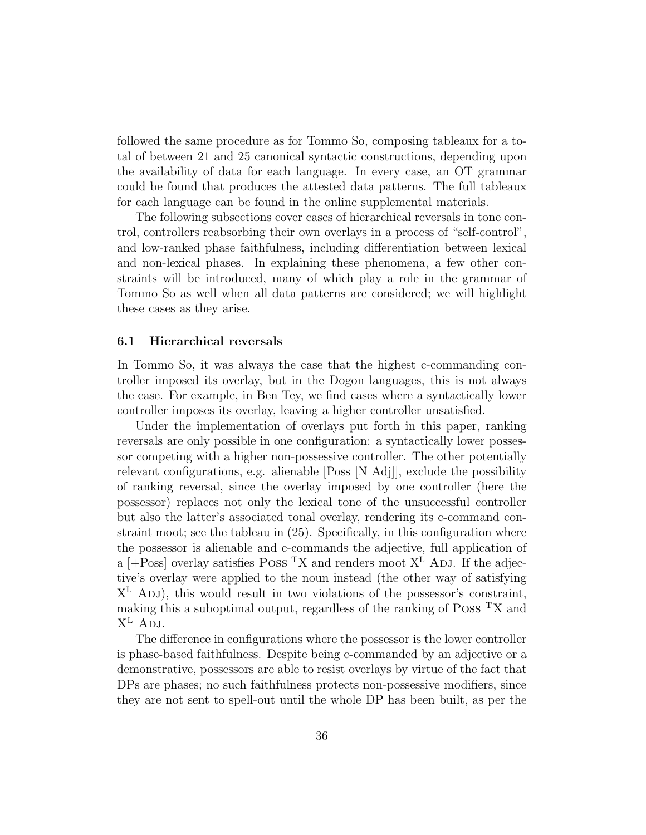followed the same procedure as for Tommo So, composing tableaux for a total of between 21 and 25 canonical syntactic constructions, depending upon the availability of data for each language. In every case, an OT grammar could be found that produces the attested data patterns. The full tableaux for each language can be found in the online supplemental materials.

The following subsections cover cases of hierarchical reversals in tone control, controllers reabsorbing their own overlays in a process of "self-control", and low-ranked phase faithfulness, including differentiation between lexical and non-lexical phases. In explaining these phenomena, a few other constraints will be introduced, many of which play a role in the grammar of Tommo So as well when all data patterns are considered; we will highlight these cases as they arise.

#### 6.1 Hierarchical reversals

In Tommo So, it was always the case that the highest c-commanding controller imposed its overlay, but in the Dogon languages, this is not always the case. For example, in Ben Tey, we find cases where a syntactically lower controller imposes its overlay, leaving a higher controller unsatisfied.

Under the implementation of overlays put forth in this paper, ranking reversals are only possible in one configuration: a syntactically lower possessor competing with a higher non-possessive controller. The other potentially relevant configurations, e.g. alienable [Poss [N Adj]], exclude the possibility of ranking reversal, since the overlay imposed by one controller (here the possessor) replaces not only the lexical tone of the unsuccessful controller but also the latter's associated tonal overlay, rendering its c-command constraint moot; see the tableau in (25). Specifically, in this configuration where the possessor is alienable and c-commands the adjective, full application of a  $[+P$ oss overlay satisfies Poss <sup>T</sup>X and renders moot  $X<sup>L</sup>$  ADJ. If the adjective's overlay were applied to the noun instead (the other way of satisfying  $X<sup>L</sup>$  ADJ), this would result in two violations of the possessor's constraint, making this a suboptimal output, regardless of the ranking of Poss  $TX$  and  $X^L$  ADJ.

The difference in configurations where the possessor is the lower controller is phase-based faithfulness. Despite being c-commanded by an adjective or a demonstrative, possessors are able to resist overlays by virtue of the fact that DPs are phases; no such faithfulness protects non-possessive modifiers, since they are not sent to spell-out until the whole DP has been built, as per the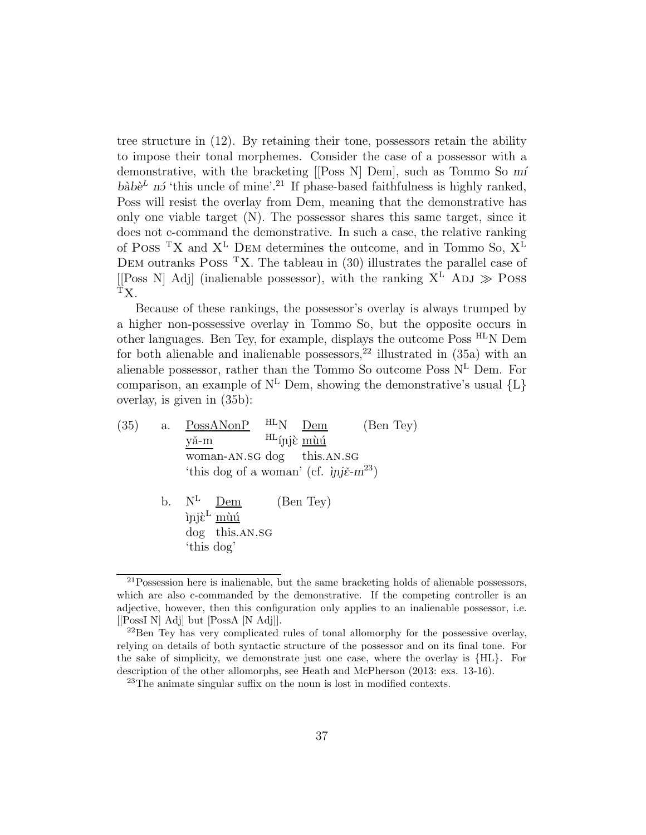tree structure in (12). By retaining their tone, possessors retain the ability to impose their tonal morphemes. Consider the case of a possessor with a demonstrative, with the bracketing [[Poss N] Dem], such as Tommo So mí  $b\ddot{a}b\dot{b}^L$  n's 'this uncle of mine'.<sup>21</sup> If phase-based faithfulness is highly ranked, Poss will resist the overlay from Dem, meaning that the demonstrative has only one viable target (N). The possessor shares this same target, since it does not c-command the demonstrative. In such a case, the relative ranking of Poss <sup>T</sup>X and  $X<sup>L</sup>$  DEM determines the outcome, and in Tommo So,  $X<sup>L</sup>$ DEM outranks POSS <sup>T</sup>X. The tableau in (30) illustrates the parallel case of [[Poss N] Adj] (inalienable possessor), with the ranking  $X^L$  ADJ  $\gg$  Poss <sup>T</sup>X.

Because of these rankings, the possessor's overlay is always trumped by a higher non-possessive overlay in Tommo So, but the opposite occurs in other languages. Ben Tey, for example, displays the outcome Poss HLN Dem for both alienable and inalienable possessors,  $2^2$  illustrated in (35a) with an alienable possessor, rather than the Tommo So outcome Poss  $N<sup>L</sup>$  Dem. For comparison, an example of  $N^L$  Dem, showing the demonstrative's usual  ${L}$ overlay, is given in (35b):

- (35) a. PossANonP yǎ-m woman-an.sg dog  $\rm{^{HL}N}$ <sup>HL</sup>ínjè <u>mùú</u> Dem this.an.sg (Ben Tey) 'this dog of a woman' (cf.  $inj\epsilon$ -m<sup>23</sup>) b.  $N^L$  <u>Dem</u> (Ben Tey)
	- ìnjè<sup>L</sup> <u>mùú</u> dog this.an.sg 'this dog'

 $^{21}$ Possession here is inalienable, but the same bracketing holds of alienable possessors, which are also c-commanded by the demonstrative. If the competing controller is an adjective, however, then this configuration only applies to an inalienable possessor, i.e. [[PossI N] Adj] but [PossA [N Adj]].

<sup>22</sup>Ben Tey has very complicated rules of tonal allomorphy for the possessive overlay, relying on details of both syntactic structure of the possessor and on its final tone. For the sake of simplicity, we demonstrate just one case, where the overlay is {HL}. For description of the other allomorphs, see Heath and McPherson (2013: exs. 13-16).

 $23$ The animate singular suffix on the noun is lost in modified contexts.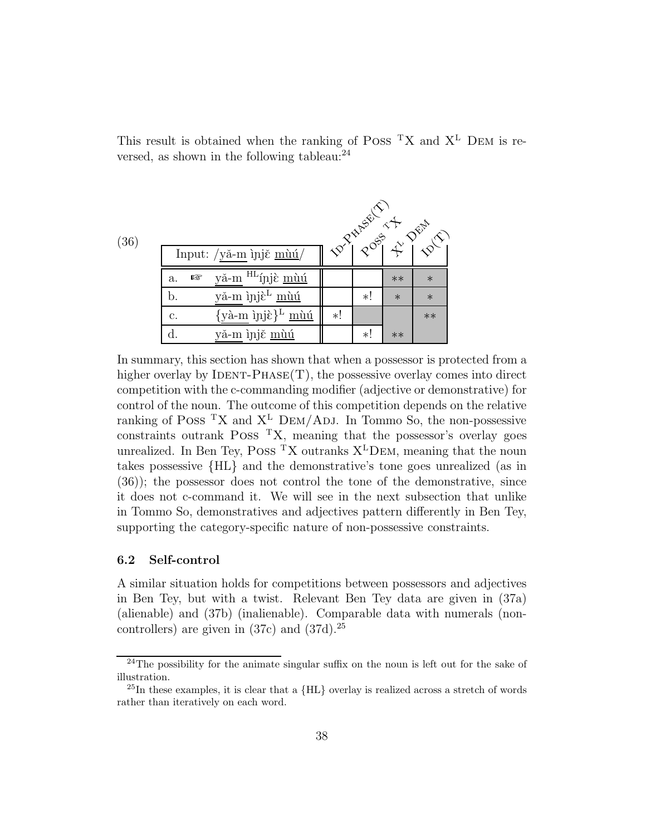This result is obtained when the ranking of POSS  $TX$  and  $X<sup>L</sup>$  DEM is reversed, as shown in the following tableau: $^{24}$ 

|      |                                                   |    |    |        | Prince - 1 Dept 2 |
|------|---------------------------------------------------|----|----|--------|-------------------|
| (36) | Input: /yǎ-m ìnjě $\frac{\text{min}}{\text{min}}$ |    |    |        |                   |
|      | yǎ-m <sup>HL</sup> ínjè mùú<br>曙<br>a.            |    |    | $**$   | $\ast$            |
|      | yǎ-m ìnjè $^{\rm L}$ mùú<br>b.                    |    | ∗! | $\ast$ | $\ast$            |
|      | {yà-m ìɲjὲ} <sup>L</sup> <u>mùú</u><br>c.         | *! |    |        | $**$              |
|      | d.<br>yǎ-m ìnjě mùú                               |    | *! | $**$   |                   |

In summary, this section has shown that when a possessor is protected from a higher overlay by IDENT-PHASE $(T)$ , the possessive overlay comes into direct competition with the c-commanding modifier (adjective or demonstrative) for control of the noun. The outcome of this competition depends on the relative ranking of POSS <sup>T</sup>X and  $X<sup>L</sup>$  DEM/ADJ. In Tommo So, the non-possessive constraints outrank Poss <sup>T</sup>X, meaning that the possessor's overlay goes unrealized. In Ben Tey, Poss  $TX$  outranks  $X<sup>L</sup>$ DEM, meaning that the noun takes possessive {HL} and the demonstrative's tone goes unrealized (as in (36)); the possessor does not control the tone of the demonstrative, since it does not c-command it. We will see in the next subsection that unlike in Tommo So, demonstratives and adjectives pattern differently in Ben Tey, supporting the category-specific nature of non-possessive constraints.

### 6.2 Self-control

A similar situation holds for competitions between possessors and adjectives in Ben Tey, but with a twist. Relevant Ben Tey data are given in (37a) (alienable) and (37b) (inalienable). Comparable data with numerals (noncontrollers) are given in  $(37c)$  and  $(37d).^{25}$ 

 $24$ The possibility for the animate singular suffix on the noun is left out for the sake of illustration.

 $^{25}$ In these examples, it is clear that a  ${HL}$  overlay is realized across a stretch of words rather than iteratively on each word.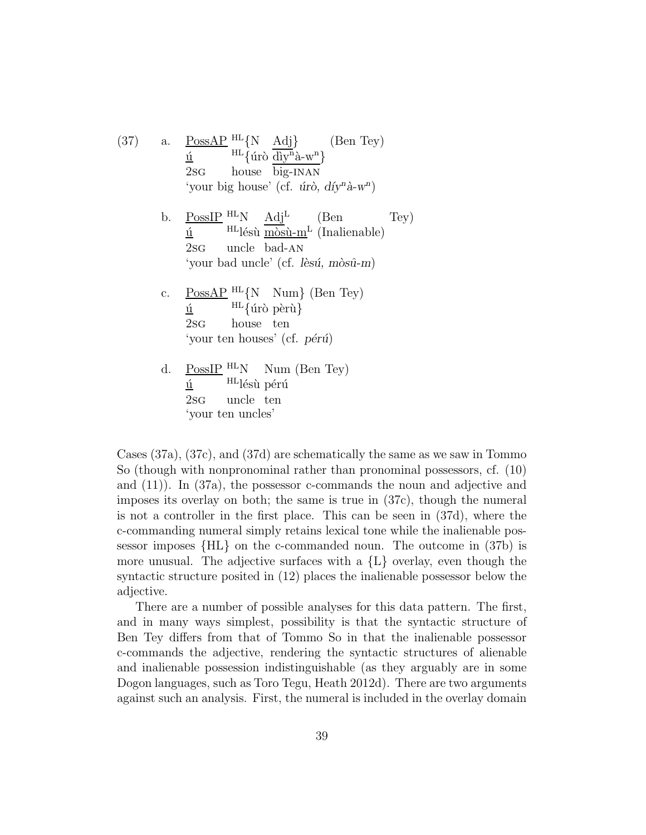- $(37)$  a.  $PossAP$  $\acute{\mathrm{u}}$ 2sg  $^{\rm HL}\{ {\rm N}$  $^{\rm HL}\{^{\rm ir}\}$ house big-inan Adj}  $\overline{\text{div}}^n\text{\^{a-w}}$ (Ben Tey) 'your big house' (cf. úrò, díy<sup>n</sup>à-w<sup>n</sup>)
	- b. <u>PossIP</u>  $\acute{\mathrm{u}}$ 2sg  $^{\rm HL}{\rm N}$  $^{\rm HL}$ lésù uncle bad-an  $\rm{Adj}^L$  $_{\rm m\dot{o}si-m^L}$ (Ben (Inalienable) Tey) 'your bad uncle' (cf. lèsú, mòsû-m)
	- c. PossAP  $\acute{\mathrm{u}}$  $2sG$  $^{\rm HL}\{ {\rm N}$  $^{\rm HL}\{$ úrò house ten Num} pèrù} (Ben Tey) 'your ten houses' (cf. pérú)
	- d. PossIP  $\acute{\mathrm{u}}$ 2sg  $^{\rm HL}{\rm N}$  $^{\rm HL}$ lésù uncle ten Num pérú (Ben Tey) 'your ten uncles'

Cases (37a), (37c), and (37d) are schematically the same as we saw in Tommo So (though with nonpronominal rather than pronominal possessors, cf. (10) and (11)). In (37a), the possessor c-commands the noun and adjective and imposes its overlay on both; the same is true in (37c), though the numeral is not a controller in the first place. This can be seen in (37d), where the c-commanding numeral simply retains lexical tone while the inalienable possessor imposes {HL} on the c-commanded noun. The outcome in (37b) is more unusual. The adjective surfaces with a  ${L}$  overlay, even though the syntactic structure posited in (12) places the inalienable possessor below the adjective.

There are a number of possible analyses for this data pattern. The first, and in many ways simplest, possibility is that the syntactic structure of Ben Tey differs from that of Tommo So in that the inalienable possessor c-commands the adjective, rendering the syntactic structures of alienable and inalienable possession indistinguishable (as they arguably are in some Dogon languages, such as Toro Tegu, Heath 2012d). There are two arguments against such an analysis. First, the numeral is included in the overlay domain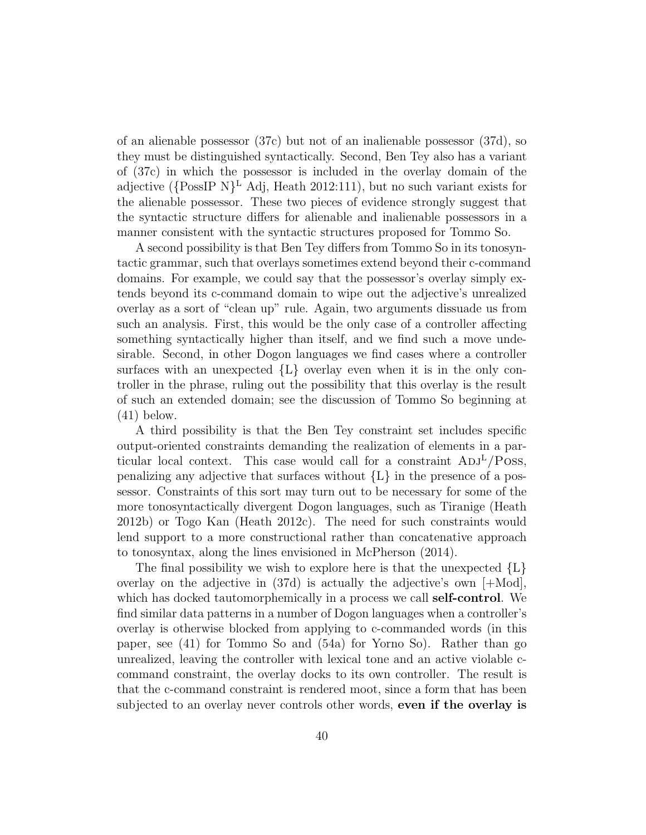of an alienable possessor (37c) but not of an inalienable possessor (37d), so they must be distinguished syntactically. Second, Ben Tey also has a variant of (37c) in which the possessor is included in the overlay domain of the adjective  $({\text{PossIP N}}^L$  Adj, Heath 2012:111), but no such variant exists for the alienable possessor. These two pieces of evidence strongly suggest that the syntactic structure differs for alienable and inalienable possessors in a manner consistent with the syntactic structures proposed for Tommo So.

A second possibility is that Ben Tey differs from Tommo So in its tonosyntactic grammar, such that overlays sometimes extend beyond their c-command domains. For example, we could say that the possessor's overlay simply extends beyond its c-command domain to wipe out the adjective's unrealized overlay as a sort of "clean up" rule. Again, two arguments dissuade us from such an analysis. First, this would be the only case of a controller affecting something syntactically higher than itself, and we find such a move undesirable. Second, in other Dogon languages we find cases where a controller surfaces with an unexpected  ${L}$  overlay even when it is in the only controller in the phrase, ruling out the possibility that this overlay is the result of such an extended domain; see the discussion of Tommo So beginning at (41) below.

A third possibility is that the Ben Tey constraint set includes specific output-oriented constraints demanding the realization of elements in a particular local context. This case would call for a constraint  $\text{ADJ}^{\text{L}}/\text{Poss}$ , penalizing any adjective that surfaces without  ${L}$  in the presence of a possessor. Constraints of this sort may turn out to be necessary for some of the more tonosyntactically divergent Dogon languages, such as Tiranige (Heath 2012b) or Togo Kan (Heath 2012c). The need for such constraints would lend support to a more constructional rather than concatenative approach to tonosyntax, along the lines envisioned in McPherson (2014).

The final possibility we wish to explore here is that the unexpected  ${L}$ overlay on the adjective in  $(37d)$  is actually the adjective's own  $|+\text{Mod}|$ , which has docked tautomorphemically in a process we call **self-control**. We find similar data patterns in a number of Dogon languages when a controller's overlay is otherwise blocked from applying to c-commanded words (in this paper, see (41) for Tommo So and (54a) for Yorno So). Rather than go unrealized, leaving the controller with lexical tone and an active violable ccommand constraint, the overlay docks to its own controller. The result is that the c-command constraint is rendered moot, since a form that has been subjected to an overlay never controls other words, even if the overlay is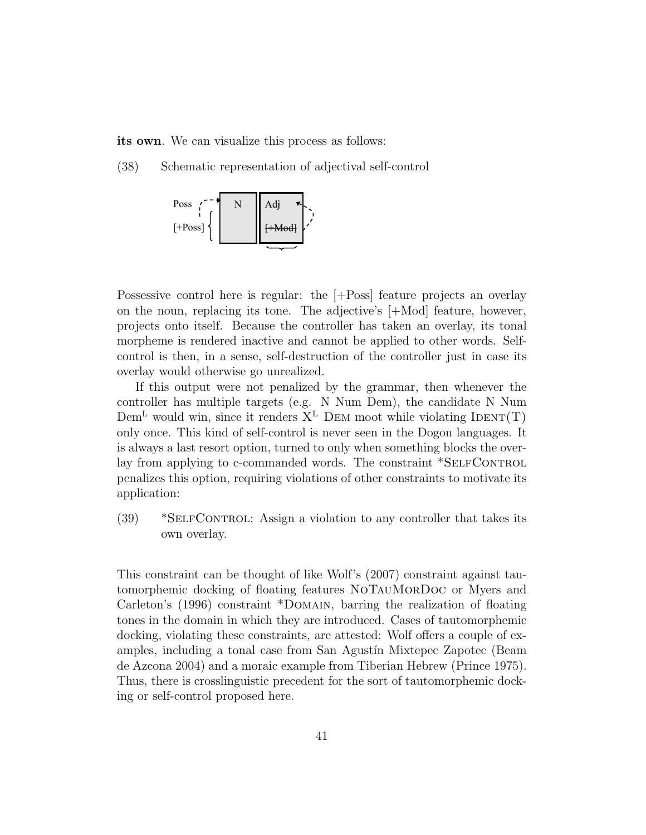its own. We can visualize this process as follows:

(38) Schematic representation of adjectival self-control



Possessive control here is regular: the [+Poss] feature projects an overlay on the noun, replacing its tone. The adjective's [+Mod] feature, however, projects onto itself. Because the controller has taken an overlay, its tonal morpheme is rendered inactive and cannot be applied to other words. Selfcontrol is then, in a sense, self-destruction of the controller just in case its overlay would otherwise go unrealized.

If this output were not penalized by the grammar, then whenever the controller has multiple targets (e.g. N Num Dem), the candidate N Num  $Dem<sup>L</sup>$  would win, since it renders  $X<sup>L</sup>$  DEM moot while violating IDENT(T) only once. This kind of self-control is never seen in the Dogon languages. It is always a last resort option, turned to only when something blocks the overlay from applying to c-commanded words. The constraint \*SELFCONTROL penalizes this option, requiring violations of other constraints to motivate its application:

 $(39)$  \*SELFCONTROL: Assign a violation to any controller that takes its own overlay.

This constraint can be thought of like Wolf's (2007) constraint against tautomorphemic docking of floating features NoTauMorDoc or Myers and Carleton's (1996) constraint \*Domain, barring the realization of floating tones in the domain in which they are introduced. Cases of tautomorphemic docking, violating these constraints, are attested: Wolf offers a couple of examples, including a tonal case from San Agustín Mixtepec Zapotec (Beam de Azcona 2004) and a moraic example from Tiberian Hebrew (Prince 1975). Thus, there is crosslinguistic precedent for the sort of tautomorphemic docking or self-control proposed here.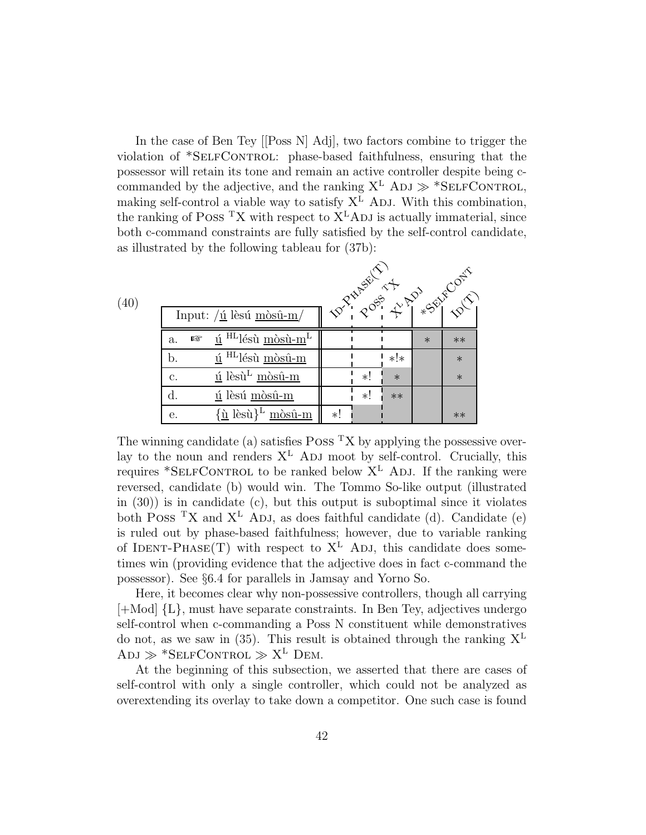In the case of Ben Tey [[Poss N] Adj], two factors combine to trigger the violation of \*SELFCONTROL: phase-based faithfulness, ensuring that the possessor will retain its tone and remain an active controller despite being ccommanded by the adjective, and the ranking  $X^L$  ADJ  $\gg$  \*SELFCONTROL, making self-control a viable way to satisfy  $X<sup>L</sup>$  ADJ. With this combination, the ranking of Poss <sup>T</sup>X with respect to  $X<sup>L</sup>$ ADJ is actually immaterial, since both c-command constraints are fully satisfied by the self-control candidate, as illustrated by the following tableau for (37b):

| (40) |                      |           | Input: $/\underline{\textbf{u}}$ lès $\underline{\textbf{u}}$ mòs $\underline{\textbf{u}}$ -m/ |                                              |    |    |               |        | BY REALLY ASSESSED BY |
|------|----------------------|-----------|------------------------------------------------------------------------------------------------|----------------------------------------------|----|----|---------------|--------|-----------------------|
|      | a.                   | <b>IS</b> |                                                                                                | <u>ú HLlésù mòsù-m<sup>L</sup></u>           |    |    |               | $\ast$ | $**$                  |
|      | b.<br>c.             |           | $\underline{\acute{\mathrm{u}}}$ lès<br>ù $\underline{\mathrm{m}}$ basû-m                      | ú <sup>HL</sup> lésù mòsû-m                  |    | ∗! | *!∗<br>$\ast$ |        | $\ast$<br>$\ast$      |
|      | $\mathbf{d}$ .<br>е. |           | $\underline{\acute{\mathrm{u}}}$ lès<br>ú $\underline{\mathrm{m\`{o}}\mathrm{s\`u}\text{-m}}$  | $\{\underline{\hat{u}}\}$ lèsù $\}^L$ mòsû-m | *! | ∗! | $**$          |        | $**$                  |

The winning candidate (a) satisfies  $\text{Poss}^{\text{T}}\text{X}$  by applying the possessive overlay to the noun and renders  $X<sup>L</sup>$  ADJ moot by self-control. Crucially, this requires \*SELFCONTROL to be ranked below  $X<sup>L</sup>$  ADJ. If the ranking were reversed, candidate (b) would win. The Tommo So-like output (illustrated in  $(30)$  is in candidate (c), but this output is suboptimal since it violates both Poss <sup>T</sup>X and  $X<sup>L</sup>$  ADJ, as does faithful candidate (d). Candidate (e) is ruled out by phase-based faithfulness; however, due to variable ranking of IDENT-PHASE(T) with respect to  $X<sup>L</sup>$  ADJ, this candidate does sometimes win (providing evidence that the adjective does in fact c-command the possessor). See §6.4 for parallels in Jamsay and Yorno So.

Here, it becomes clear why non-possessive controllers, though all carrying [+Mod] {L}, must have separate constraints. In Ben Tey, adjectives undergo self-control when c-commanding a Poss N constituent while demonstratives do not, as we saw in (35). This result is obtained through the ranking  $X<sup>L</sup>$  $\text{AbJ} \gg$  \*SelfControl  $\gg X^L$  Dem.

At the beginning of this subsection, we asserted that there are cases of self-control with only a single controller, which could not be analyzed as overextending its overlay to take down a competitor. One such case is found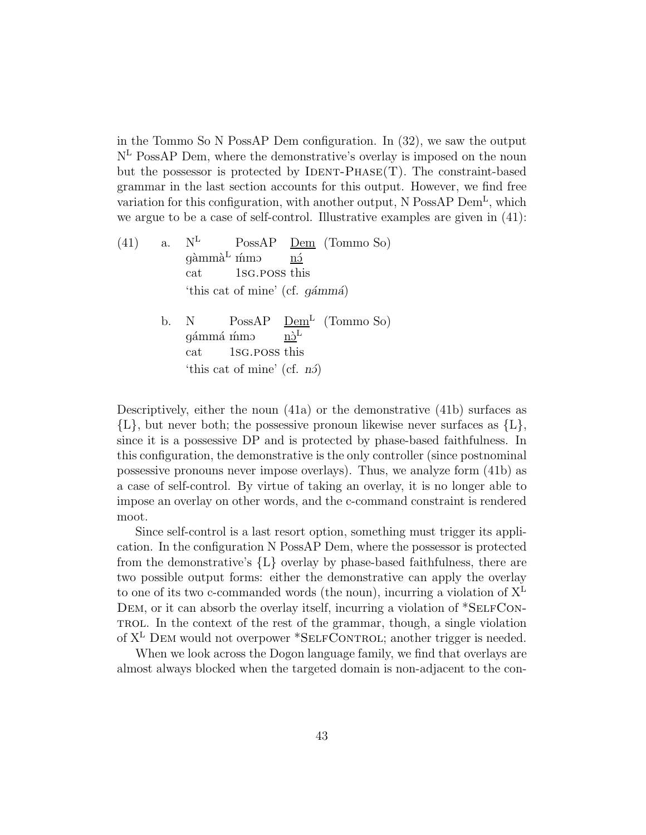in the Tommo So N PossAP Dem configuration. In (32), we saw the output N<sup>L</sup> PossAP Dem, where the demonstrative's overlay is imposed on the noun but the possessor is protected by IDENT-PHASE $(T)$ . The constraint-based grammar in the last section accounts for this output. However, we find free variation for this configuration, with another output, N PossAP Dem<sup>L</sup>, which we argue to be a case of self-control. Illustrative examples are given in (41):

- $(41)$  a. N<sup>L</sup>  $\mathrm{g}\mathrm{a}\mathrm{mm}\mathrm{a}^\mathrm{L}$  mmo cat PossAP 1sg.poss this Dem (Tommo So) nó 'this cat of mine' (cf.  $qámmá$ )
	- b. N gámmá mmo cat PossAP 1sg.poss this  $Dem^L$  (Tommo So)  $n\underline{\eth}^{\mathrm{L}}$ 'this cat of mine' (cf.  $n\delta$ )

Descriptively, either the noun (41a) or the demonstrative (41b) surfaces as  ${L}$ , but never both; the possessive pronoun likewise never surfaces as  ${L}$ , since it is a possessive DP and is protected by phase-based faithfulness. In this configuration, the demonstrative is the only controller (since postnominal possessive pronouns never impose overlays). Thus, we analyze form (41b) as a case of self-control. By virtue of taking an overlay, it is no longer able to impose an overlay on other words, and the c-command constraint is rendered moot.

Since self-control is a last resort option, something must trigger its application. In the configuration N PossAP Dem, where the possessor is protected from the demonstrative's  ${L}$  overlay by phase-based faithfulness, there are two possible output forms: either the demonstrative can apply the overlay to one of its two c-commanded words (the noun), incurring a violation of  $X<sup>L</sup>$ DEM, or it can absorb the overlay itself, incurring a violation of \*SELFCONtrol. In the context of the rest of the grammar, though, a single violation of  $X<sup>L</sup>$  DEM would not overpower \*SELFCONTROL; another trigger is needed.

When we look across the Dogon language family, we find that overlays are almost always blocked when the targeted domain is non-adjacent to the con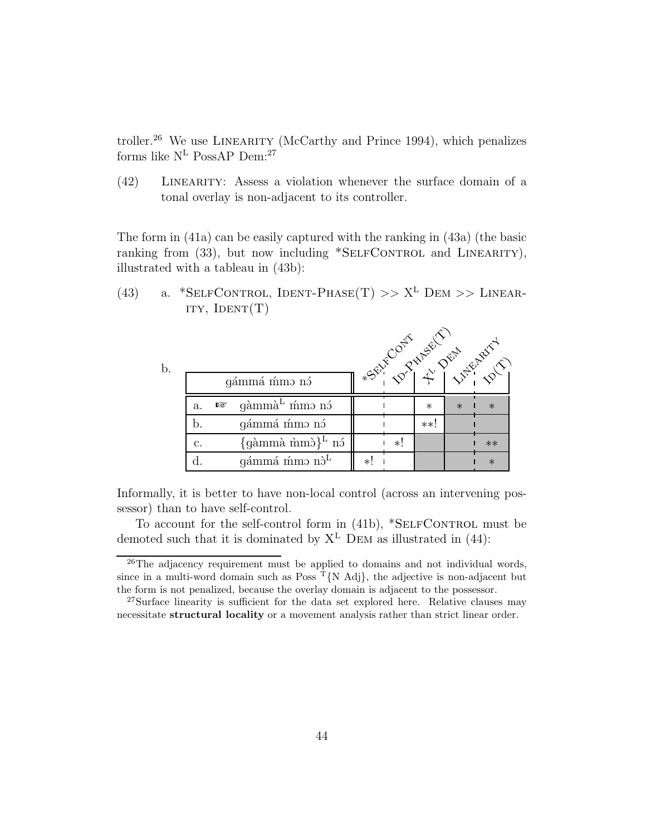troller.<sup>26</sup> We use LINEARITY (McCarthy and Prince 1994), which penalizes forms like  $\mathrm{N}^{\mathrm{L}}$  PossAP Dem:  $^{27}$ 

(42) Linearity: Assess a violation whenever the surface domain of a tonal overlay is non-adjacent to its controller.

The form in (41a) can be easily captured with the ranking in (43a) (the basic ranking from  $(33)$ , but now including \*SELFCONTROL and LINEARITY), illustrated with a tableau in (43b):

 $ITY, IDENT(T)$  $\hat{P}_{\text{A}}$ 

(43) a. \*SELFCONTROL, IDENT-PHASE(T) >>  $X^L$  DEM >> LINEAR-

| b. |    | gámmá mmo nó              |    |    |         |        | *5818 Contra Reserve Reserved |
|----|----|---------------------------|----|----|---------|--------|-------------------------------|
|    | a. | gàmmà mm nó<br>曙          |    |    | $^\ast$ | $\ast$ | $\ast$                        |
|    | D. | gámmá mmo nó              |    |    | $**!$   |        |                               |
|    | c. | ${g\text{àmmà àmò}}^L$ nó |    | ∗! |         |        | $**$                          |
|    |    | gámmá mmo $n^L$           | *! |    |         |        | $\ast$                        |

Informally, it is better to have non-local control (across an intervening possessor) than to have self-control.

To account for the self-control form in  $(41b)$ ,  $*SELFCONTROL$  must be demoted such that it is dominated by  $X<sup>L</sup>$  DEM as illustrated in (44):

<sup>&</sup>lt;sup>26</sup>The adjacency requirement must be applied to domains and not individual words, since in a multi-word domain such as Poss  $T\{N \text{ Adj}\}\$ , the adjective is non-adjacent but the form is not penalized, because the overlay domain is adjacent to the possessor.

<sup>&</sup>lt;sup>27</sup>Surface linearity is sufficient for the data set explored here. Relative clauses may necessitate structural locality or a movement analysis rather than strict linear order.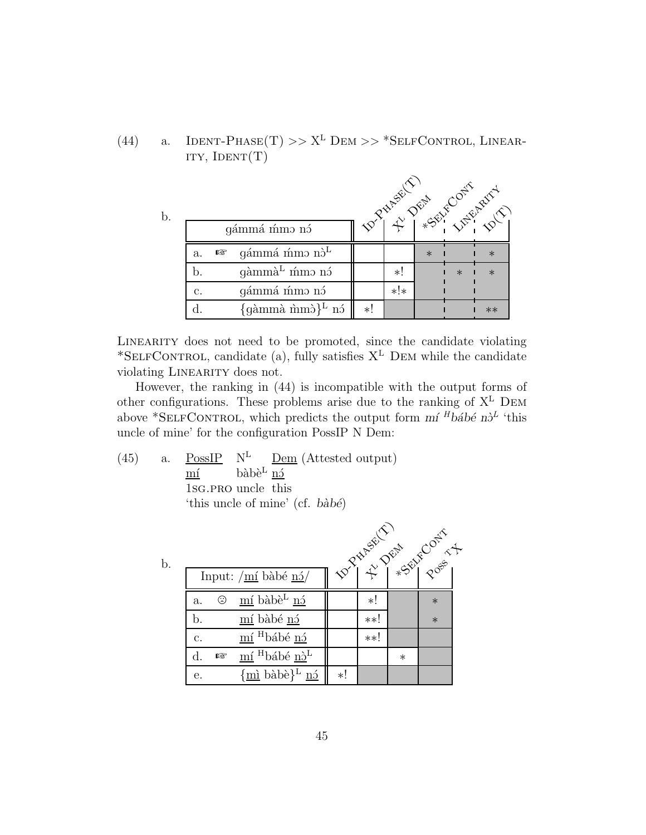| D. |                                        | <b>AAREE</b> | $\hat{z}_2$<br>$V'_{*S}$ | J. Ref<br>$\mathcal{L}^{\prime}$ |        |
|----|----------------------------------------|--------------|--------------------------|----------------------------------|--------|
|    | gámmá mmo nó                           |              |                          |                                  |        |
|    | gámmá mm no no <sup>L</sup><br>昭<br>a. |              | $\ast$                   |                                  | $\ast$ |
|    | $q\text{àmmà}^L$ mm n n o              |              |                          |                                  | $\ast$ |

(44) a. IDENT-PHASE $(T) >> X^L$  DEM  $>>$  \*SELFCONTROL, LINEAR- $ITY, IDENT(T)$ 

Linearity does not need to be promoted, since the candidate violating \*SELFCONTROL, candidate (a), fully satisfies  $X<sup>L</sup>$  DEM while the candidate violating LINEARITY does not.

d. {g`amm`a `mm`O} <sup>L</sup> n´O ∗! ∗∗

c. gámmá mmo nó  $\|\cdot\|_*!$ 

However, the ranking in (44) is incompatible with the output forms of other configurations. These problems arise due to the ranking of  $X<sup>L</sup>$  DEM above \*SELFCONTROL, which predicts the output form  $m\acute{i}$  Hb $\acute{a}$ bé n $\grave{o}^L$  'this uncle of mine' for the configuration PossIP N Dem:

(45) a. PossIP m´ı 1sg.pro uncle this  $\rm N^L$ bàbè<sup>L</sup> <u>nó</u> Dem (Attested output) 'this uncle of mine' (cf.  $b\grave{a}b\acute{e}$ )

| Input: $\frac{\text{mí}}{\text{m} \cdot \text{b} \cdot \text{b} \cdot \text{m} \cdot \text{b}}$                  |                                                                   |    |       |        | <b>DRAMES (2)</b> |
|------------------------------------------------------------------------------------------------------------------|-------------------------------------------------------------------|----|-------|--------|-------------------|
| ☺<br>a.                                                                                                          | mí bàbè <sup>L</sup> nó                                           |    | *!    |        | $\ast$            |
| b.                                                                                                               | mí bàbé nó                                                        |    | $**!$ |        | $\ast$            |
| $\overline{c}$ .                                                                                                 | mí <sup>H</sup> bábé nó                                           |    | $**!$ |        |                   |
| $\mathrm{d}% \left( \mathcal{M}_{1}\right) =\mathrm{d}\mathcal{M}^{I}\left( \mathcal{M}_{2}\right)$<br><b>IS</b> | $\text{mi}$ <sup>H</sup> bábé $\text{n}\dot{\text{o}}^{\text{L}}$ |    |       | $\ast$ |                   |
| е.                                                                                                               | $\{\underline{\text{mi}}\}$ bàbè} <sup>L</sup> <u>nó</u>          | !∗ |       |        |                   |

b.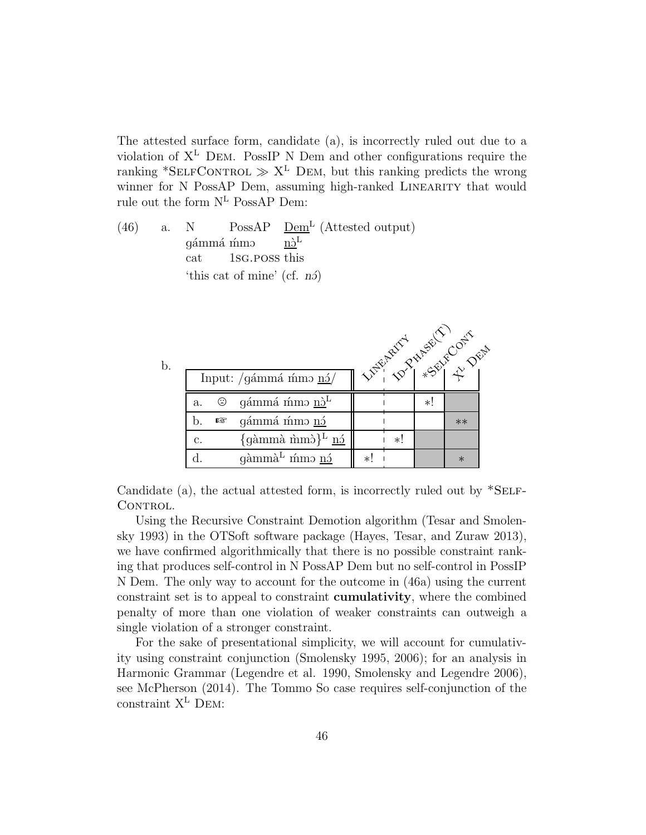The attested surface form, candidate (a), is incorrectly ruled out due to a violation of  $X^L$  DEM. PossIP N Dem and other configurations require the ranking \*SELFCONTROL  $\gg X^L$  DEM, but this ranking predicts the wrong winner for N PossAP Dem, assuming high-ranked LINEARITY that would rule out the form  $N^L$  PossAP Dem:

(46) a. N gámmá mmo cat PossAP 1sg.poss this  $\text{Dem}^{\text{L}}$  $\overline{\mathrm{n2}}^{\mathrm{L}}$ (Attested output) 'this cat of mine' (cf.  $n\delta$ )

| b. |                |         |                                                    |    |    |    | LIFE ARTY ASSESSMENT |  |
|----|----------------|---------|----------------------------------------------------|----|----|----|----------------------|--|
|    |                |         | Input: /gámmá mmo $n2/$                            |    |    |    |                      |  |
|    | a.             | $\odot$ | gámmá mmo no <sup>L</sup>                          |    |    | *! |                      |  |
|    |                | 曙       | gámmá mmo nó                                       |    |    |    | $**$                 |  |
|    | $\mathbf{c}$ . |         | ${q\text{àmmà \n mmin}}^L \underline{n\text{\'o}}$ |    | ∗! |    |                      |  |
|    |                |         | gàmmà $\frac{L}{m}$ mm $\frac{n}{2}$               | *! |    |    | $\ast$               |  |

Candidate (a), the actual attested form, is incorrectly ruled out by  $*SELF-$ CONTROL.

Using the Recursive Constraint Demotion algorithm (Tesar and Smolensky 1993) in the OTSoft software package (Hayes, Tesar, and Zuraw 2013), we have confirmed algorithmically that there is no possible constraint ranking that produces self-control in N PossAP Dem but no self-control in PossIP N Dem. The only way to account for the outcome in (46a) using the current constraint set is to appeal to constraint cumulativity, where the combined penalty of more than one violation of weaker constraints can outweigh a single violation of a stronger constraint.

For the sake of presentational simplicity, we will account for cumulativity using constraint conjunction (Smolensky 1995, 2006); for an analysis in Harmonic Grammar (Legendre et al. 1990, Smolensky and Legendre 2006), see McPherson (2014). The Tommo So case requires self-conjunction of the constraint  $X^L$  DEM: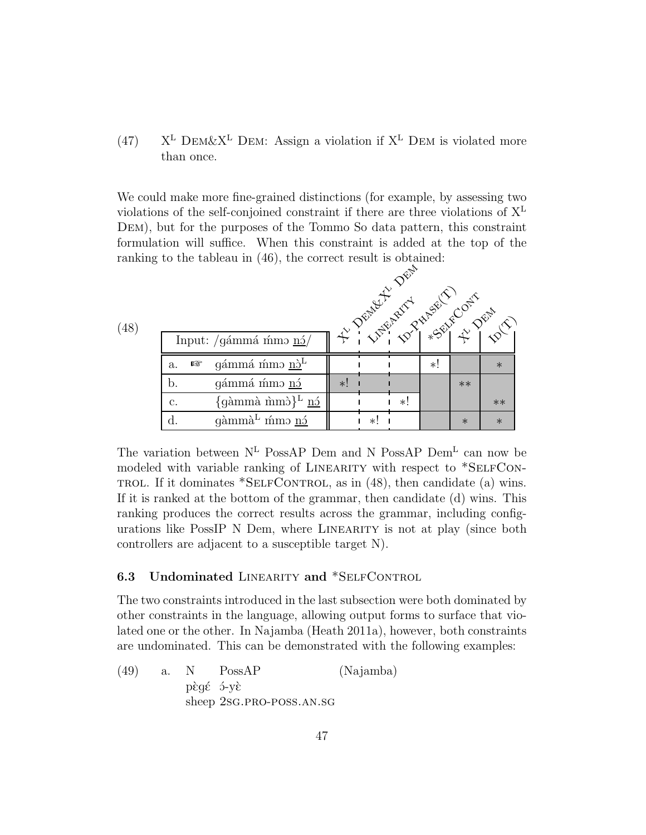(47)  $X^L$  DEM&X<sup>L</sup> DEM: Assign a violation if  $X^L$  DEM is violated more than once.

We could make more fine-grained distinctions (for example, by assessing two violations of the self-conjoined constraint if there are three violations of  $X<sup>L</sup>$ Dem), but for the purposes of the Tommo So data pattern, this constraint formulation will suffice. When this constraint is added at the top of the ranking to the tableau in (46), the correct result is obtained:

| (48) |            |   | Input: /gámmá mmo ná/                              |      |    |      |    |        | 1 7 2 3 3 4 3 4 4 5 4 7 2 3 4 4 4 5 4 7 8 1 4 7 8 1 4 5 4 7 8 1 4 7 8 1 4 7 8 1 1 4 7 8 1 1 4 7 8 1 1 1 1 1 1 1 |
|------|------------|---|----------------------------------------------------|------|----|------|----|--------|-----------------------------------------------------------------------------------------------------------------|
|      | a.         | 曙 | gámmá mmo no L                                     |      |    |      | *! |        | $\ast$                                                                                                          |
|      | b.         |   | gámmá mmo nó                                       | $*!$ |    |      |    | $**$   |                                                                                                                 |
|      | C.         |   | ${q\text{àmmà \n mmin}}^L \underline{n\text{\'o}}$ |      |    | $*!$ |    |        | $***$                                                                                                           |
|      | $_{\rm d}$ |   | gàmmà <sup>L</sup> mmo nó                          |      | *! |      |    | $\ast$ | $\ast$                                                                                                          |

The variation between  $N^L$  PossAP Dem and N PossAP Dem<sup>L</sup> can now be modeled with variable ranking of LINEARITY with respect to \*SELFCON-TROL. If it dominates  $*SELFCONTROL$ , as in (48), then candidate (a) wins. If it is ranked at the bottom of the grammar, then candidate (d) wins. This ranking produces the correct results across the grammar, including configurations like PossIP N Dem, where Linearity is not at play (since both controllers are adjacent to a susceptible target N).

### 6.3 Undominated LINEARITY and \*SELFCONTROL

The two constraints introduced in the last subsection were both dominated by other constraints in the language, allowing output forms to surface that violated one or the other. In Najamba (Heath 2011a), however, both constraints are undominated. This can be demonstrated with the following examples:

(49) a. N pègé ó-yè sheep 2sg.pro-poss.an.sg PossAP (Najamba)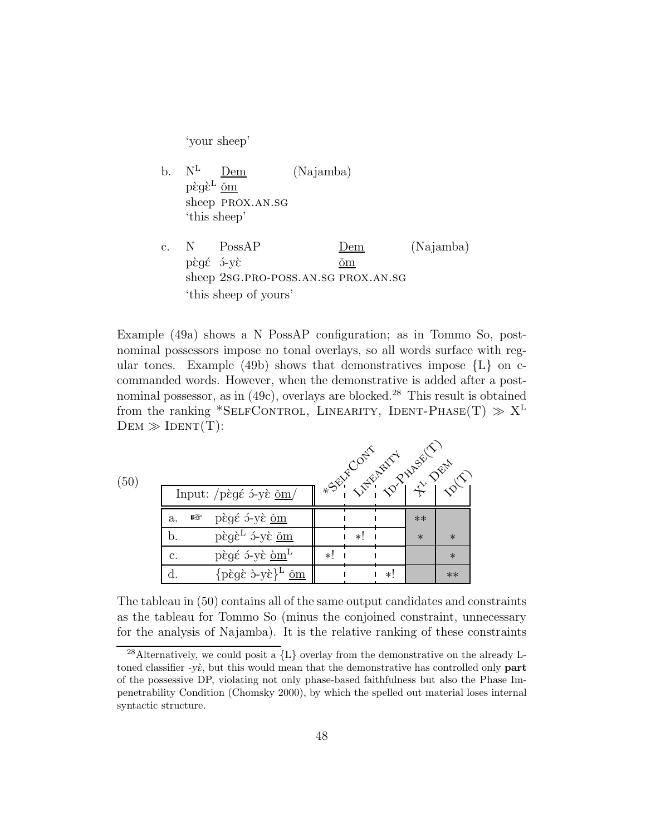'your sheep'

- b.  $N^L$ pègè<sup>L</sup> <u>ŏm</u> sheep prox.an.sg Dem (Najamba) 'this sheep'
- c. N pègé ó-yè sheep 2sg.pro-poss.an.sg prox.an.sg PossAP Dem ˇom (Najamba) 'this sheep of yours'

Example (49a) shows a N PossAP configuration; as in Tommo So, postnominal possessors impose no tonal overlays, so all words surface with regular tones. Example (49b) shows that demonstratives impose  ${L}$  on ccommanded words. However, when the demonstrative is added after a postnominal possessor, as in  $(49c)$ , overlays are blocked.<sup>28</sup> This result is obtained from the ranking \*SELFCONTROL, LINEARITY, IDENT-PHASE(T)  $\gg X^L$  $DEM \gg IDENT(T)$ :

| (50) |                                                                                    |    |    |    |        | *SELE CONTRACT AREA DEM |
|------|------------------------------------------------------------------------------------|----|----|----|--------|-------------------------|
|      | Input: /pègé 5-yè $\frac{\delta m}{\delta}$                                        |    |    |    |        |                         |
|      | pègé ó-yè <u>ŏm</u><br>昭<br>a.                                                     |    |    |    | $**$   |                         |
|      | pègè <sup>L</sup> ó-yè om                                                          |    | *! |    | $\ast$ | $\ast$                  |
|      | pègé ó-yè $\delta m^L$<br>$\mathbf{c}$ .                                           | !∗ |    |    |        | $\ast$                  |
|      | $\{\rm p\grave{e}g\grave{e}~\grave{\rm o}\textrm{-y}\grave{e}\}^{\rm L}$ <u>ŏm</u> |    |    | ∗' |        | $**$                    |

The tableau in (50) contains all of the same output candidates and constraints as the tableau for Tommo So (minus the conjoined constraint, unnecessary for the analysis of Najamba). It is the relative ranking of these constraints

 $^{28}$ Alternatively, we could posit a  ${L}$  overlay from the demonstrative on the already Ltoned classifier  $-y\dot{\epsilon}$ , but this would mean that the demonstrative has controlled only **part** of the possessive DP, violating not only phase-based faithfulness but also the Phase Impenetrability Condition (Chomsky 2000), by which the spelled out material loses internal syntactic structure.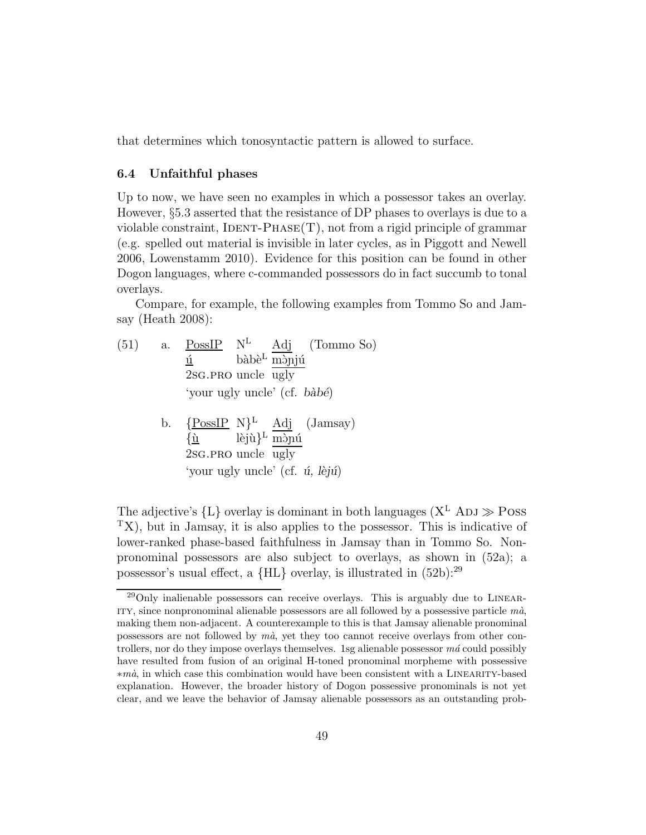that determines which tonosyntactic pattern is allowed to surface.

### 6.4 Unfaithful phases

Up to now, we have seen no examples in which a possessor takes an overlay. However, §5.3 asserted that the resistance of DP phases to overlays is due to a violable constraint,  $IDENT-PHASE(T)$ , not from a rigid principle of grammar (e.g. spelled out material is invisible in later cycles, as in Piggott and Newell 2006, Lowenstamm 2010). Evidence for this position can be found in other Dogon languages, where c-commanded possessors do in fact succumb to tonal overlays.

Compare, for example, the following examples from Tommo So and Jamsay (Heath 2008):

| $(51)$ a. | $\frac{\text{PossIP}}{\text{N}^L}$ Adj (Tommo So)                                                                                                   |
|-----------|-----------------------------------------------------------------------------------------------------------------------------------------------------|
|           | $\underline{\mathbf{u}}$ bàbè <sup>L</sup> mònjú                                                                                                    |
|           | 2sG.PRO uncle ugly                                                                                                                                  |
|           | 'your ugly uncle' (cf. bàbé)                                                                                                                        |
|           | b. $\{PossIP\ N\}^L$ Adj (Jamsay)<br>$\{\underline{\hat{u}} \quad \underline{\hat{v}}\}^L \overline{m \underline{\hat{v}} m}$<br>2sG.PRO uncle ugly |
|           | 'your ugly uncle' (cf. ú, lèjú)                                                                                                                     |

The adjective's  ${L}$  overlay is dominant in both languages  $(X^L \text{ ADJ} \gg \text{Poss})$  $TX$ ), but in Jamsay, it is also applies to the possessor. This is indicative of lower-ranked phase-based faithfulness in Jamsay than in Tommo So. Nonpronominal possessors are also subject to overlays, as shown in (52a); a possessor's usual effect, a  $\{HL\}$  overlay, is illustrated in  $(52b)$ :<sup>29</sup>

<sup>&</sup>lt;sup>29</sup>Only inalienable possessors can receive overlays. This is arguably due to LINEAR-ITY, since nonpronominal alienable possessors are all followed by a possessive particle  $m\dot{a}$ , making them non-adjacent. A counterexample to this is that Jamsay alienable pronominal possessors are not followed by *m`a*, yet they too cannot receive overlays from other controllers, nor do they impose overlays themselves. 1sg alienable possessor *m´a* could possibly have resulted from fusion of an original H-toned pronominal morpheme with possessive ∗*m`a*, in which case this combination would have been consistent with a Linearity-based explanation. However, the broader history of Dogon possessive pronominals is not yet clear, and we leave the behavior of Jamsay alienable possessors as an outstanding prob-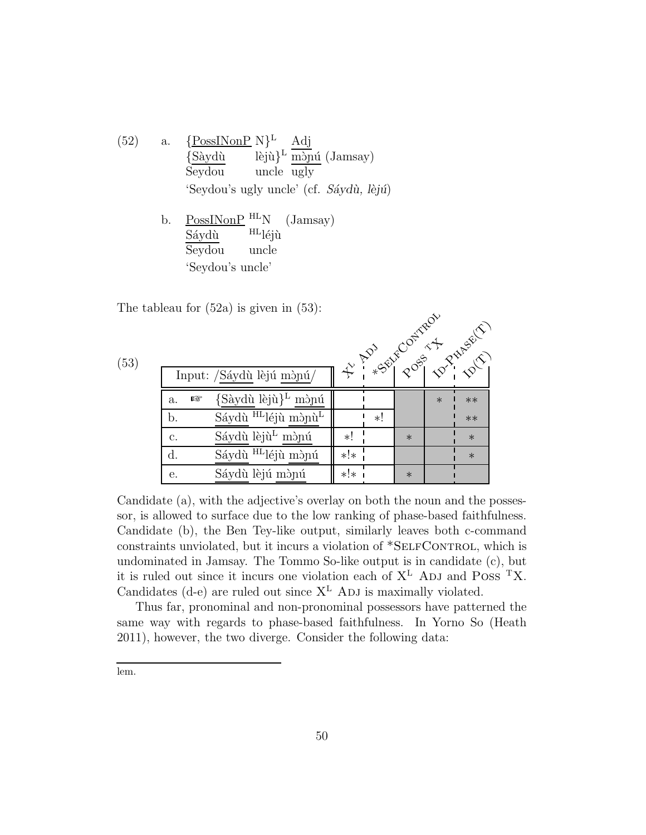- $(52)$  a.  ${\frac{\text{PossINonP}}{\text{}} }$  ${S\text{àydi}}$ Seydou  $\mathrm{N}\}^{\mathrm{L}}$ lèjù $\}^{\mathrm{L}}$ uncle Adj mònú ugly (Jamsay) 'Seydou's ugly uncle' (cf. *Sáydù*, lèjú)
	- b. <u>PossINonP</u> Sáydù Seydou  $\rm ^{HL}N$ <sup>HL</sup>léjù uncle (Jamsay) 'Seydou's uncle'

The tableau for  $(52a)$  is given in  $(53)$ :

|               | $\frac{1}{2}$                  |       |    |        |        | X ASSIM PONTAGE A |  |
|---------------|--------------------------------|-------|----|--------|--------|-------------------|--|
|               | Input: /Sáydù lèjú mònú/       |       |    |        |        |                   |  |
| 曙<br>a.       | $\{S\$ àydù lèjù $\}^L$ mònú   |       |    |        | $\ast$ | $**$              |  |
| $\mathbf b$ . | Sáydù <sup>HL</sup> léjù mònùL |       | *! |        |        | $**$              |  |
| c.            | Sáydù lèjù <sup>L</sup> mònú   | !∗    |    | $\ast$ |        | $\ast$            |  |
| d.            | Sáydù <sup>HL</sup> léjù mònú  | $*!*$ |    |        |        | $\ast$            |  |
| е.            | Sáydù lèjú mònú                | $*!*$ |    | $\ast$ |        |                   |  |

Candidate (a), with the adjective's overlay on both the noun and the possessor, is allowed to surface due to the low ranking of phase-based faithfulness. Candidate (b), the Ben Tey-like output, similarly leaves both c-command constraints unviolated, but it incurs a violation of \*SELFCONTROL, which is undominated in Jamsay. The Tommo So-like output is in candidate (c), but it is ruled out since it incurs one violation each of  $X<sup>L</sup>$  ADJ and POSS <sup>T</sup>X. Candidates (d-e) are ruled out since  $X<sup>L</sup>$  ADJ is maximally violated.

Thus far, pronominal and non-pronominal possessors have patterned the same way with regards to phase-based faithfulness. In Yorno So (Heath 2011), however, the two diverge. Consider the following data:

lem.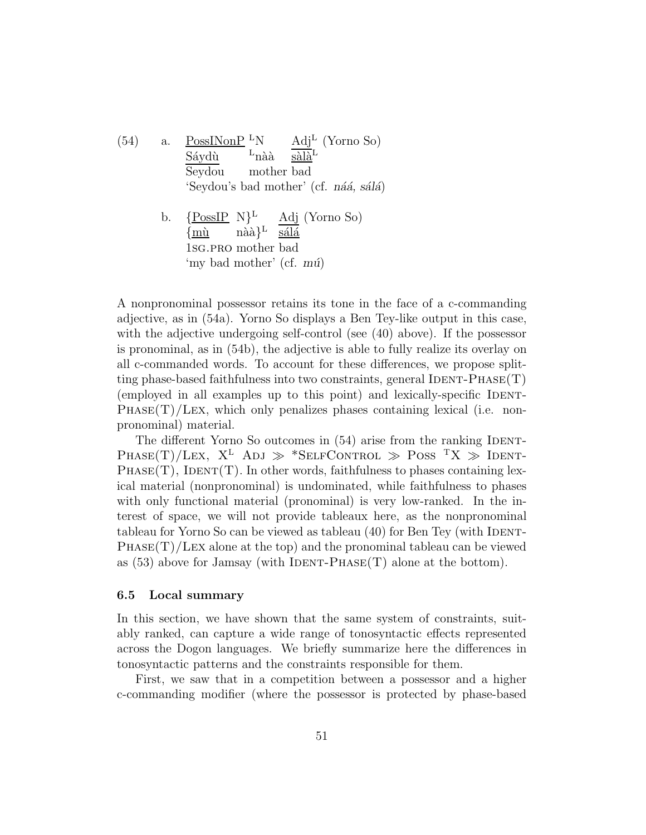$(54)$  a.  $PossINonP$ </u> Sáydù Seydou  $\rm{^{L}N}$  $\rm^L$ nàà mother bad  $\rm{Adj}^L$  $\mathrm{sal\`a^L}$ (Yorno So) 'Seydou's bad mother' (cf. náá, sálá)

> b. {PossIP  $\{\underline{\text{mi}}\}$ 1sg.pro mother bad  $\mathrm{N}\}^{\mathrm{L}}$  $\mathrm{na\grave{a}}\}^{\mathrm{L}}$ Adj <u>sálá</u> (Yorno So) 'my bad mother' (cf.  $m\acute{u}$ )

A nonpronominal possessor retains its tone in the face of a c-commanding adjective, as in (54a). Yorno So displays a Ben Tey-like output in this case, with the adjective undergoing self-control (see (40) above). If the possessor is pronominal, as in (54b), the adjective is able to fully realize its overlay on all c-commanded words. To account for these differences, we propose splitting phase-based faithfulness into two constraints, general IDENT-PHASE $(T)$ (employed in all examples up to this point) and lexically-specific IDENT- $PHASE(T)/LEX$ , which only penalizes phases containing lexical (i.e. nonpronominal) material.

The different Yorno So outcomes in  $(54)$  arise from the ranking IDENT- $PHASE(T)/LEX$ ,  $X^L$  Adj  $\gg$  \*SelfControl  $\gg$  Poss <sup>T</sup>X  $\gg$  Ident- $PHASE(T)$ , IDENT(T). In other words, faithfulness to phases containing lexical material (nonpronominal) is undominated, while faithfulness to phases with only functional material (pronominal) is very low-ranked. In the interest of space, we will not provide tableaux here, as the nonpronominal tableau for Yorno So can be viewed as tableau  $(40)$  for Ben Tey (with IDENT- $PHASE(T)/LEX$  alone at the top) and the pronominal tableau can be viewed as  $(53)$  above for Jamsay (with IDENT-PHASE(T) alone at the bottom).

#### 6.5 Local summary

In this section, we have shown that the same system of constraints, suitably ranked, can capture a wide range of tonosyntactic effects represented across the Dogon languages. We briefly summarize here the differences in tonosyntactic patterns and the constraints responsible for them.

First, we saw that in a competition between a possessor and a higher c-commanding modifier (where the possessor is protected by phase-based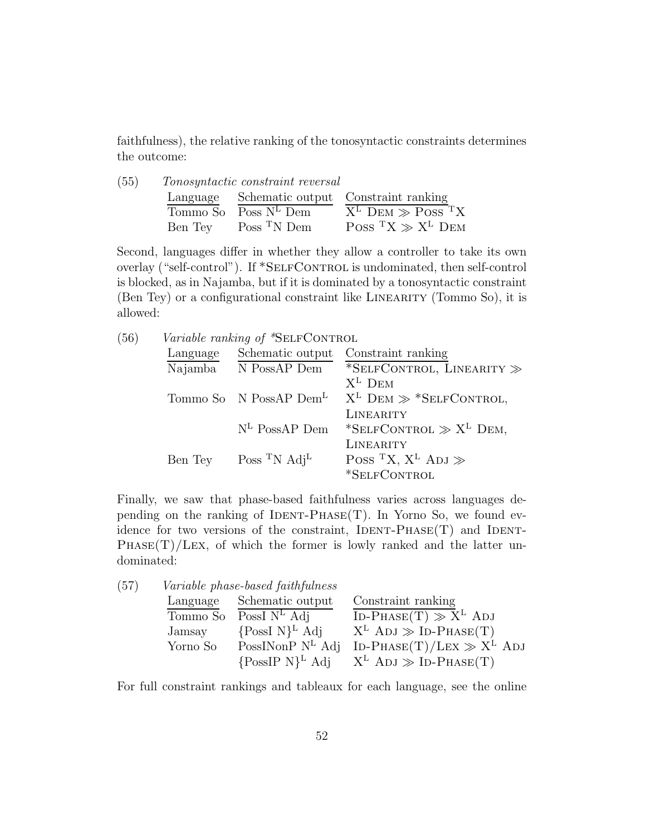faithfulness), the relative ranking of the tonosyntactic constraints determines the outcome:

| (55) | Tonosyntactic constraint reversal |                                  |                                              |  |  |
|------|-----------------------------------|----------------------------------|----------------------------------------------|--|--|
|      |                                   |                                  | Language Schematic output Constraint ranking |  |  |
|      |                                   | Tommo So Poss N <sup>L</sup> Dem | $X^L$ DEM $\gg$ POSS <sup>T</sup> X          |  |  |
|      | Ben Tey                           | Poss <sup>T</sup> N Dem          | POSS $TX \gg X^L$ DEM                        |  |  |

Second, languages differ in whether they allow a controller to take its own overlay ("self-control"). If \*SelfControl is undominated, then self-control is blocked, as in Najamba, but if it is dominated by a tonosyntactic constraint (Ben Tey) or a configurational constraint like Linearity (Tommo So), it is allowed:

| Variable ranking of *SELFCONTROL |  |  |  |  |  |
|----------------------------------|--|--|--|--|--|
| Constraint ranking               |  |  |  |  |  |
| *SELFCONTROL, LINEARITY >>       |  |  |  |  |  |
|                                  |  |  |  |  |  |
| $X^L$ DEM $\gg$ *SELFCONTROL,    |  |  |  |  |  |
|                                  |  |  |  |  |  |
| *SELFCONTROL $\gg X^L$ DEM,      |  |  |  |  |  |
|                                  |  |  |  |  |  |
|                                  |  |  |  |  |  |
|                                  |  |  |  |  |  |
|                                  |  |  |  |  |  |

Finally, we saw that phase-based faithfulness varies across languages depending on the ranking of IDENT-PHASE $(T)$ . In Yorno So, we found evidence for two versions of the constraint,  $IDENT-PHASE(T)$  and IDENT- $PHASE(T)/LEX$ , of which the former is lowly ranked and the latter undominated:

| (57) | Variable phase-based faithfulness |                                   |                                   |  |  |  |  |
|------|-----------------------------------|-----------------------------------|-----------------------------------|--|--|--|--|
|      | Language                          | Schematic output                  | Constraint ranking                |  |  |  |  |
|      |                                   | Tommo So PossI N <sup>L</sup> Adj | ID-PHASE $(T) \gg X^L$ ADJ        |  |  |  |  |
|      | Jamsay                            | ${PosI} N^L$ Adj                  | $X^L$ ADJ $\gg$ ID-PHASE(T)       |  |  |  |  |
|      | Yorno So                          | PossINonP $N^L$ Adj               | ID-PHASE $(T)/$ LEX $\gg X^L$ ADJ |  |  |  |  |
|      |                                   | ${PossIP} N^L \text{Adj}$         | $X^L$ ADJ $\gg$ ID-PHASE(T)       |  |  |  |  |

For full constraint rankings and tableaux for each language, see the online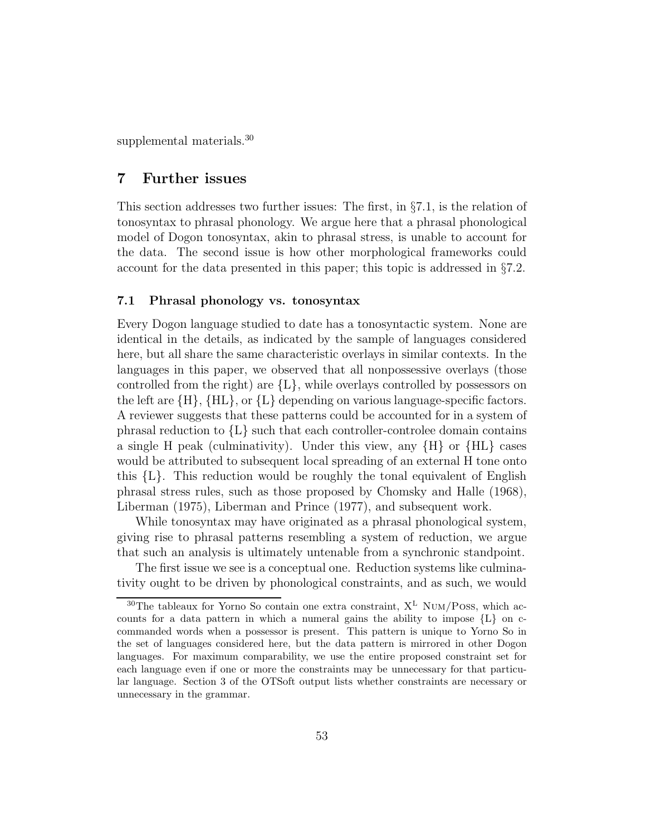supplemental materials.<sup>30</sup>

# 7 Further issues

This section addresses two further issues: The first, in §7.1, is the relation of tonosyntax to phrasal phonology. We argue here that a phrasal phonological model of Dogon tonosyntax, akin to phrasal stress, is unable to account for the data. The second issue is how other morphological frameworks could account for the data presented in this paper; this topic is addressed in §7.2.

#### 7.1 Phrasal phonology vs. tonosyntax

Every Dogon language studied to date has a tonosyntactic system. None are identical in the details, as indicated by the sample of languages considered here, but all share the same characteristic overlays in similar contexts. In the languages in this paper, we observed that all nonpossessive overlays (those controlled from the right) are  ${L}$ , while overlays controlled by possessors on the left are  ${H}, {H_L},$  or  ${L}$  depending on various language-specific factors. A reviewer suggests that these patterns could be accounted for in a system of phrasal reduction to  ${L}$  such that each controller-controlee domain contains a single H peak (culminativity). Under this view, any  ${H}$  or  ${HL}$  cases would be attributed to subsequent local spreading of an external H tone onto this  ${L}$ . This reduction would be roughly the tonal equivalent of English phrasal stress rules, such as those proposed by Chomsky and Halle (1968), Liberman (1975), Liberman and Prince (1977), and subsequent work.

While tonosyntax may have originated as a phrasal phonological system, giving rise to phrasal patterns resembling a system of reduction, we argue that such an analysis is ultimately untenable from a synchronic standpoint.

The first issue we see is a conceptual one. Reduction systems like culminativity ought to be driven by phonological constraints, and as such, we would

<sup>&</sup>lt;sup>30</sup>The tableaux for Yorno So contain one extra constraint,  $X^L$  NUM/Poss, which accounts for a data pattern in which a numeral gains the ability to impose  ${L}$  on ccommanded words when a possessor is present. This pattern is unique to Yorno So in the set of languages considered here, but the data pattern is mirrored in other Dogon languages. For maximum comparability, we use the entire proposed constraint set for each language even if one or more the constraints may be unnecessary for that particular language. Section 3 of the OTSoft output lists whether constraints are necessary or unnecessary in the grammar.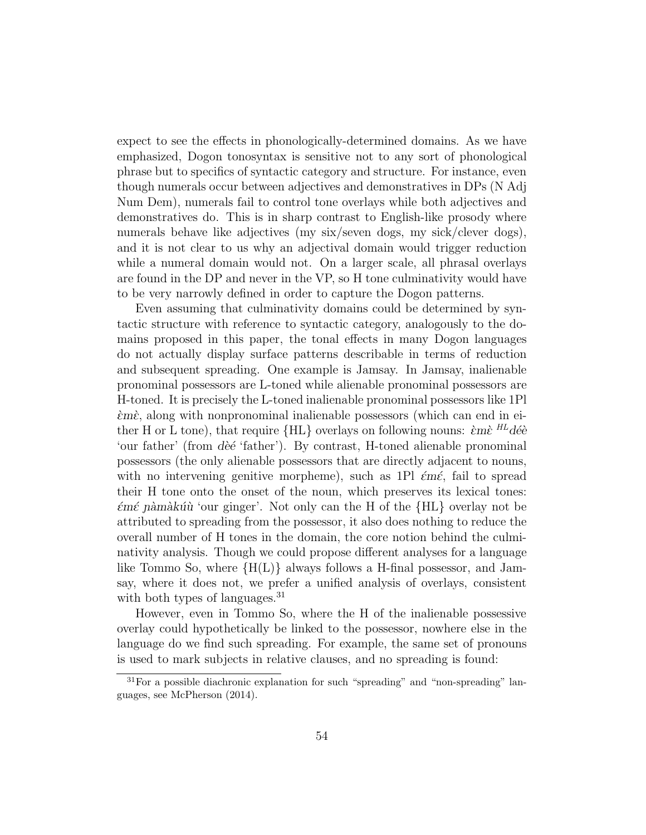expect to see the effects in phonologically-determined domains. As we have emphasized, Dogon tonosyntax is sensitive not to any sort of phonological phrase but to specifics of syntactic category and structure. For instance, even though numerals occur between adjectives and demonstratives in DPs (N Adj Num Dem), numerals fail to control tone overlays while both adjectives and demonstratives do. This is in sharp contrast to English-like prosody where numerals behave like adjectives (my six/seven dogs, my sick/clever dogs), and it is not clear to us why an adjectival domain would trigger reduction while a numeral domain would not. On a larger scale, all phrasal overlays are found in the DP and never in the VP, so H tone culminativity would have to be very narrowly defined in order to capture the Dogon patterns.

Even assuming that culminativity domains could be determined by syntactic structure with reference to syntactic category, analogously to the domains proposed in this paper, the tonal effects in many Dogon languages do not actually display surface patterns describable in terms of reduction and subsequent spreading. One example is Jamsay. In Jamsay, inalienable pronominal possessors are L-toned while alienable pronominal possessors are H-toned. It is precisely the L-toned inalienable pronominal possessors like 1Pl  $\hat{\epsilon}m\hat{\epsilon}$ , along with nonpronominal inalienable possessors (which can end in either H or L tone), that require  ${HL}$  overlays on following nouns:  $\dot{\epsilon}m\dot{\epsilon}^{HL}d\acute{e}\dot{\epsilon}$ 'our father' (from dèé 'father'). By contrast, H-toned alienable pronominal possessors (the only alienable possessors that are directly adjacent to nouns, with no intervening genitive morpheme), such as 1Pl  $\epsilon m \epsilon$ , fail to spread their H tone onto the onset of the noun, which preserves its lexical tones:  $\epsilon$ m $\epsilon$  nàmàkúù 'our ginger'. Not only can the H of the  ${HL}$  overlay not be attributed to spreading from the possessor, it also does nothing to reduce the overall number of H tones in the domain, the core notion behind the culminativity analysis. Though we could propose different analyses for a language like Tommo So, where  ${H(L)}$  always follows a H-final possessor, and Jamsay, where it does not, we prefer a unified analysis of overlays, consistent with both types of languages.<sup>31</sup>

However, even in Tommo So, where the H of the inalienable possessive overlay could hypothetically be linked to the possessor, nowhere else in the language do we find such spreading. For example, the same set of pronouns is used to mark subjects in relative clauses, and no spreading is found:

<sup>&</sup>lt;sup>31</sup>For a possible diachronic explanation for such "spreading" and "non-spreading" languages, see McPherson (2014).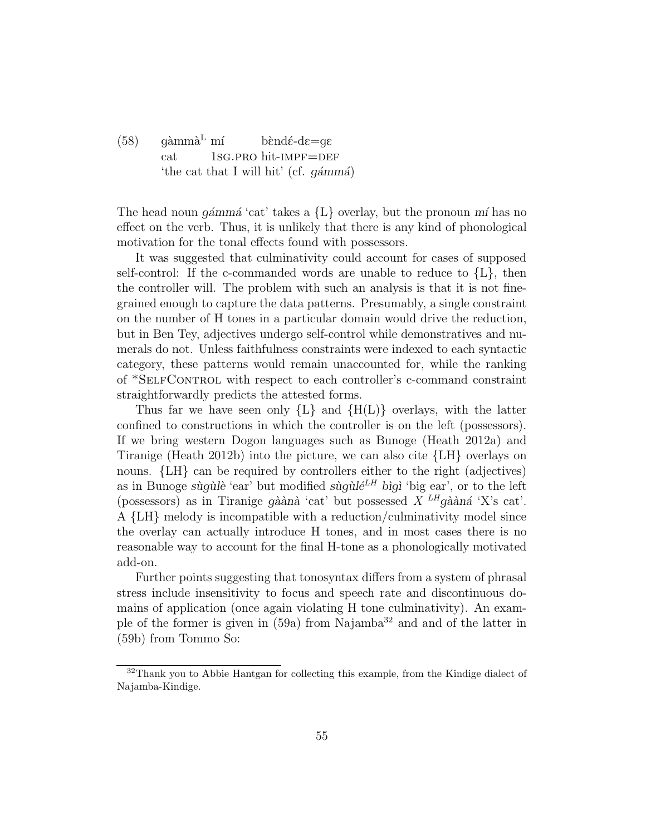$(58)$  gàmmà<sup>L</sup> mí cat 1sg.pro hit-impf=def  $b\hat{\epsilon}$ nd $\hat{\epsilon}$ -d $\varepsilon$ =g $\varepsilon$ 'the cat that I will hit' (cf.  $q\acute{a}mm\acute{a}$ )

The head noun gámmá 'cat' takes a  ${L}$  overlay, but the pronoun mí has no effect on the verb. Thus, it is unlikely that there is any kind of phonological motivation for the tonal effects found with possessors.

It was suggested that culminativity could account for cases of supposed self-control: If the c-commanded words are unable to reduce to  ${L}$ , then the controller will. The problem with such an analysis is that it is not finegrained enough to capture the data patterns. Presumably, a single constraint on the number of H tones in a particular domain would drive the reduction, but in Ben Tey, adjectives undergo self-control while demonstratives and numerals do not. Unless faithfulness constraints were indexed to each syntactic category, these patterns would remain unaccounted for, while the ranking of \*SelfControl with respect to each controller's c-command constraint straightforwardly predicts the attested forms.

Thus far we have seen only  ${L}$  and  ${H(L)}$  overlays, with the latter confined to constructions in which the controller is on the left (possessors). If we bring western Dogon languages such as Bunoge (Heath 2012a) and Tiranige (Heath 2012b) into the picture, we can also cite {LH} overlays on nouns.  ${LH}$  can be required by controllers either to the right (adjectives) as in Bunoge sùgùlè 'ear' but modified sùgùlé<sup>LH</sup> bìgì 'big ear', or to the left (possessors) as in Tiranige gàànà 'cat' but possessed  $X^{LH}$ gààná 'X's cat'. A {LH} melody is incompatible with a reduction/culminativity model since the overlay can actually introduce H tones, and in most cases there is no reasonable way to account for the final H-tone as a phonologically motivated add-on.

Further points suggesting that tonosyntax differs from a system of phrasal stress include insensitivity to focus and speech rate and discontinuous domains of application (once again violating H tone culminativity). An example of the former is given in  $(59a)$  from Najamba<sup>32</sup> and and of the latter in (59b) from Tommo So:

<sup>&</sup>lt;sup>32</sup>Thank you to Abbie Hantgan for collecting this example, from the Kindige dialect of Najamba-Kindige.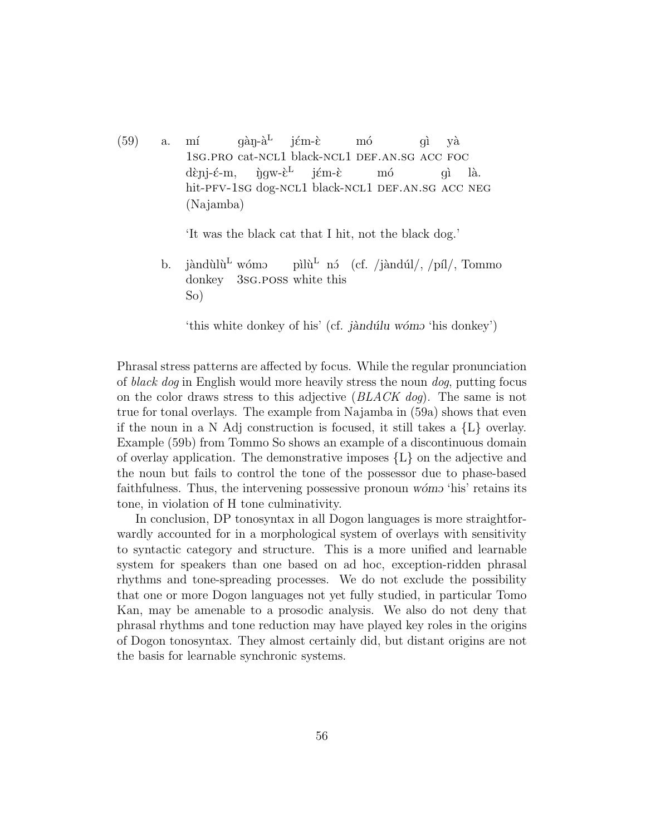$(59)$  a. mí 1sg.PRO cat-NCL1 black-NCL1 DEF.AN.SG ACC FOC  $q$ àn-à $^L$  $j\acute{\epsilon}m-\grave{\epsilon}$ m´o g`ı y`a  $d\grave{\epsilon}$ nj- $\acute{\epsilon}$ -m, hit-PFV-1SG dog-NCL1 black-NCL1 DEF.AN.SG ACC NEG  $\hat{\eta}$ gw- $\hat{\epsilon}^L$  $j\acute{\epsilon}m-\grave{\epsilon}$ m´o g`ı là. (Najamba)

'It was the black cat that I hit, not the black dog.'

b.  $\;$ jàndùlù $^{\rm L}$  wóm $\;$ donkey 3sg.poss white this  $pi^L$  nó (cf. /jàndúl/, /píl/, Tommo So)

'this white donkey of his' (cf. *jàndúlu wómo* 'his donkey')

Phrasal stress patterns are affected by focus. While the regular pronunciation of *black dog* in English would more heavily stress the noun *dog*, putting focus on the color draws stress to this adjective (*BLACK dog*). The same is not true for tonal overlays. The example from Najamba in (59a) shows that even if the noun in a N Adj construction is focused, it still takes a  ${L}$  overlay. Example (59b) from Tommo So shows an example of a discontinuous domain of overlay application. The demonstrative imposes  $\{L\}$  on the adjective and the noun but fails to control the tone of the possessor due to phase-based faithfulness. Thus, the intervening possessive pronoun  $w\acute{o}m\acute{o}$  'his' retains its tone, in violation of H tone culminativity.

In conclusion, DP tonosyntax in all Dogon languages is more straightforwardly accounted for in a morphological system of overlays with sensitivity to syntactic category and structure. This is a more unified and learnable system for speakers than one based on ad hoc, exception-ridden phrasal rhythms and tone-spreading processes. We do not exclude the possibility that one or more Dogon languages not yet fully studied, in particular Tomo Kan, may be amenable to a prosodic analysis. We also do not deny that phrasal rhythms and tone reduction may have played key roles in the origins of Dogon tonosyntax. They almost certainly did, but distant origins are not the basis for learnable synchronic systems.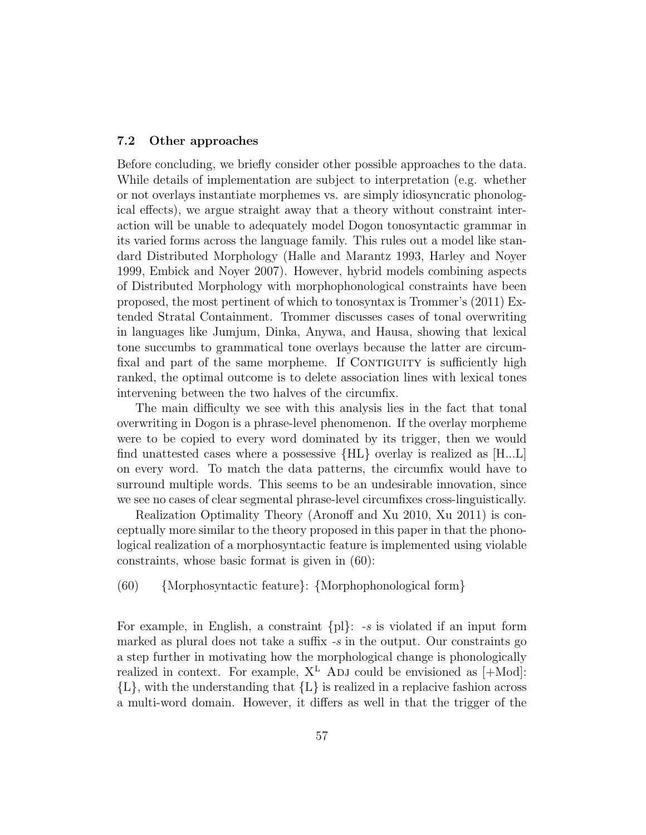#### 7.2 Other approaches

Before concluding, we briefly consider other possible approaches to the data. While details of implementation are subject to interpretation (e.g. whether or not overlays instantiate morphemes vs. are simply idiosyncratic phonological effects), we argue straight away that a theory without constraint interaction will be unable to adequately model Dogon tonosyntactic grammar in its varied forms across the language family. This rules out a model like standard Distributed Morphology (Halle and Marantz 1993, Harley and Noyer 1999, Embick and Noyer 2007). However, hybrid models combining aspects of Distributed Morphology with morphophonological constraints have been proposed, the most pertinent of which to tonosyntax is Trommer's (2011) Extended Stratal Containment. Trommer discusses cases of tonal overwriting in languages like Jumjum, Dinka, Anywa, and Hausa, showing that lexical tone succumbs to grammatical tone overlays because the latter are circumfixal and part of the same morpheme. If CONTIGUITY is sufficiently high ranked, the optimal outcome is to delete association lines with lexical tones intervening between the two halves of the circumfix.

The main difficulty we see with this analysis lies in the fact that tonal overwriting in Dogon is a phrase-level phenomenon. If the overlay morpheme were to be copied to every word dominated by its trigger, then we would find unattested cases where a possessive  ${HLL}$  overlay is realized as  $[H...L]$ on every word. To match the data patterns, the circumfix would have to surround multiple words. This seems to be an undesirable innovation, since we see no cases of clear segmental phrase-level circumfixes cross-linguistically.

Realization Optimality Theory (Aronoff and Xu 2010, Xu 2011) is conceptually more similar to the theory proposed in this paper in that the phonological realization of a morphosyntactic feature is implemented using violable constraints, whose basic format is given in (60):

(60) {Morphosyntactic feature}: {Morphophonological form}

For example, in English, a constraint {pl}: *-s* is violated if an input form marked as plural does not take a suffix *-s* in the output. Our constraints go a step further in motivating how the morphological change is phonologically realized in context. For example,  $X^L$  ADJ could be envisioned as  $[+Mod]$ : {L}, with the understanding that {L} is realized in a replacive fashion across a multi-word domain. However, it differs as well in that the trigger of the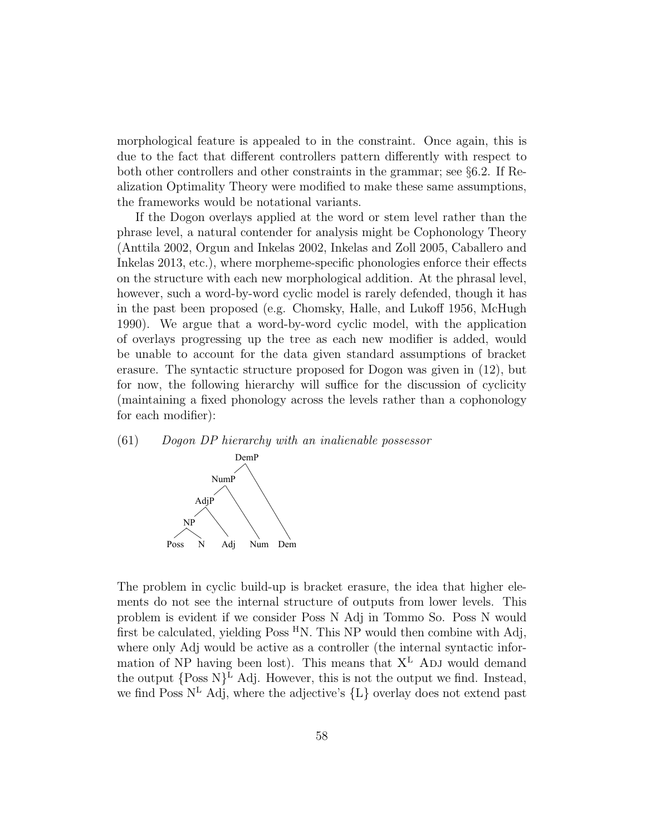morphological feature is appealed to in the constraint. Once again, this is due to the fact that different controllers pattern differently with respect to both other controllers and other constraints in the grammar; see §6.2. If Realization Optimality Theory were modified to make these same assumptions, the frameworks would be notational variants.

If the Dogon overlays applied at the word or stem level rather than the phrase level, a natural contender for analysis might be Cophonology Theory (Anttila 2002, Orgun and Inkelas 2002, Inkelas and Zoll 2005, Caballero and Inkelas 2013, etc.), where morpheme-specific phonologies enforce their effects on the structure with each new morphological addition. At the phrasal level, however, such a word-by-word cyclic model is rarely defended, though it has in the past been proposed (e.g. Chomsky, Halle, and Lukoff 1956, McHugh 1990). We argue that a word-by-word cyclic model, with the application of overlays progressing up the tree as each new modifier is added, would be unable to account for the data given standard assumptions of bracket erasure. The syntactic structure proposed for Dogon was given in (12), but for now, the following hierarchy will suffice for the discussion of cyclicity (maintaining a fixed phonology across the levels rather than a cophonology for each modifier):



The problem in cyclic build-up is bracket erasure, the idea that higher elements do not see the internal structure of outputs from lower levels. This problem is evident if we consider Poss N Adj in Tommo So. Poss N would first be calculated, yielding Poss  $H_N$ . This NP would then combine with Adj, where only Adj would be active as a controller (the internal syntactic information of NP having been lost). This means that  $X<sup>L</sup>$  ADJ would demand the output  ${Pos N}^L$  Adj. However, this is not the output we find. Instead, we find Poss  $N^L$  Adj, where the adjective's  $\{L\}$  overlay does not extend past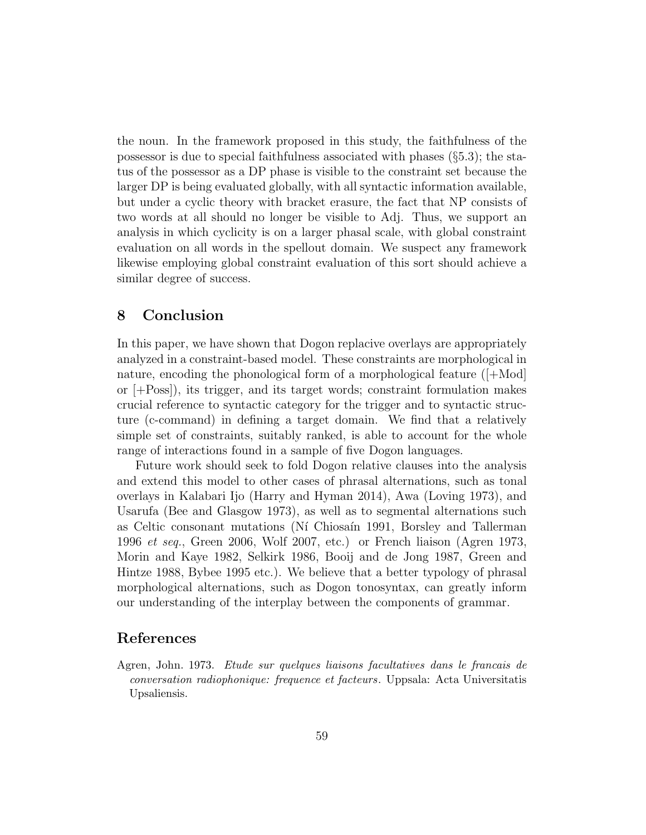the noun. In the framework proposed in this study, the faithfulness of the possessor is due to special faithfulness associated with phases (§5.3); the status of the possessor as a DP phase is visible to the constraint set because the larger DP is being evaluated globally, with all syntactic information available, but under a cyclic theory with bracket erasure, the fact that NP consists of two words at all should no longer be visible to Adj. Thus, we support an analysis in which cyclicity is on a larger phasal scale, with global constraint evaluation on all words in the spellout domain. We suspect any framework likewise employing global constraint evaluation of this sort should achieve a similar degree of success.

# 8 Conclusion

In this paper, we have shown that Dogon replacive overlays are appropriately analyzed in a constraint-based model. These constraints are morphological in nature, encoding the phonological form of a morphological feature  $($  $|+Mod|$ or [+Poss]), its trigger, and its target words; constraint formulation makes crucial reference to syntactic category for the trigger and to syntactic structure (c-command) in defining a target domain. We find that a relatively simple set of constraints, suitably ranked, is able to account for the whole range of interactions found in a sample of five Dogon languages.

Future work should seek to fold Dogon relative clauses into the analysis and extend this model to other cases of phrasal alternations, such as tonal overlays in Kalabari Ijo (Harry and Hyman 2014), Awa (Loving 1973), and Usarufa (Bee and Glasgow 1973), as well as to segmental alternations such as Celtic consonant mutations (N´ı Chiosa´ın 1991, Borsley and Tallerman 1996 *et seq.*, Green 2006, Wolf 2007, etc.) or French liaison (Agren 1973, Morin and Kaye 1982, Selkirk 1986, Booij and de Jong 1987, Green and Hintze 1988, Bybee 1995 etc.). We believe that a better typology of phrasal morphological alternations, such as Dogon tonosyntax, can greatly inform our understanding of the interplay between the components of grammar.

# References

Agren, John. 1973. *Etude sur quelques liaisons facultatives dans le francais de conversation radiophonique: frequence et facteurs*. Uppsala: Acta Universitatis Upsaliensis.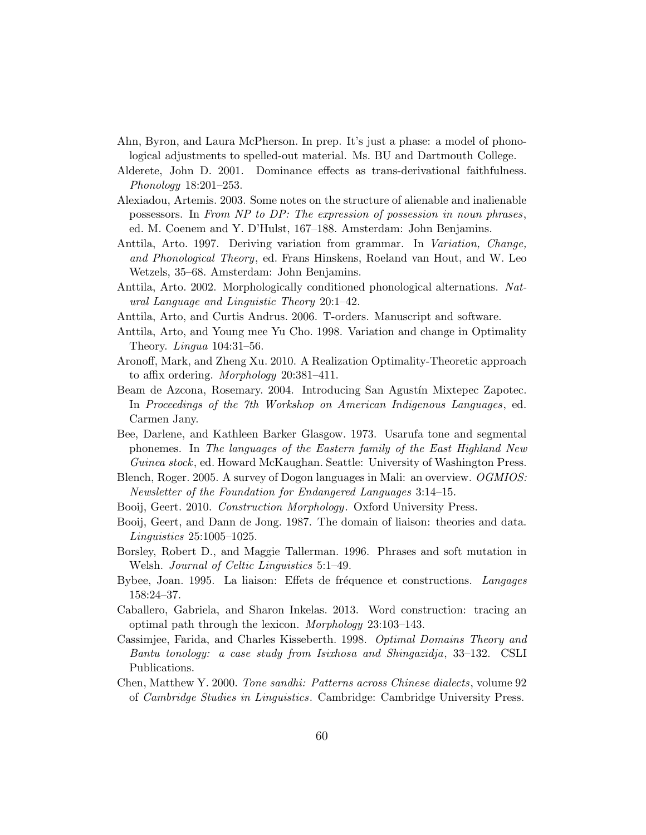- Ahn, Byron, and Laura McPherson. In prep. It's just a phase: a model of phonological adjustments to spelled-out material. Ms. BU and Dartmouth College.
- Alderete, John D. 2001. Dominance effects as trans-derivational faithfulness. *Phonology* 18:201–253.
- Alexiadou, Artemis. 2003. Some notes on the structure of alienable and inalienable possessors. In *From NP to DP: The expression of possession in noun phrases*, ed. M. Coenem and Y. D'Hulst, 167–188. Amsterdam: John Benjamins.
- Anttila, Arto. 1997. Deriving variation from grammar. In *Variation, Change, and Phonological Theory*, ed. Frans Hinskens, Roeland van Hout, and W. Leo Wetzels, 35–68. Amsterdam: John Benjamins.
- Anttila, Arto. 2002. Morphologically conditioned phonological alternations. *Natural Language and Linguistic Theory* 20:1–42.
- Anttila, Arto, and Curtis Andrus. 2006. T-orders. Manuscript and software.
- Anttila, Arto, and Young mee Yu Cho. 1998. Variation and change in Optimality Theory. *Lingua* 104:31–56.
- Aronoff, Mark, and Zheng Xu. 2010. A Realization Optimality-Theoretic approach to affix ordering. *Morphology* 20:381–411.
- Beam de Azcona, Rosemary. 2004. Introducing San Agustín Mixtepec Zapotec. In *Proceedings of the 7th Workshop on American Indigenous Languages*, ed. Carmen Jany.
- Bee, Darlene, and Kathleen Barker Glasgow. 1973. Usarufa tone and segmental phonemes. In *The languages of the Eastern family of the East Highland New Guinea stock*, ed. Howard McKaughan. Seattle: University of Washington Press.
- Blench, Roger. 2005. A survey of Dogon languages in Mali: an overview. *OGMIOS: Newsletter of the Foundation for Endangered Languages* 3:14–15.
- Booij, Geert. 2010. *Construction Morphology*. Oxford University Press.
- Booij, Geert, and Dann de Jong. 1987. The domain of liaison: theories and data. *Linguistics* 25:1005–1025.
- Borsley, Robert D., and Maggie Tallerman. 1996. Phrases and soft mutation in Welsh. *Journal of Celtic Linguistics* 5:1–49.
- Bybee, Joan. 1995. La liaison: Effets de fr´equence et constructions. *Langages* 158:24–37.
- Caballero, Gabriela, and Sharon Inkelas. 2013. Word construction: tracing an optimal path through the lexicon. *Morphology* 23:103–143.
- Cassimjee, Farida, and Charles Kisseberth. 1998. *Optimal Domains Theory and Bantu tonology: a case study from Isixhosa and Shingazidja*, 33–132. CSLI Publications.
- Chen, Matthew Y. 2000. *Tone sandhi: Patterns across Chinese dialects*, volume 92 of *Cambridge Studies in Linguistics*. Cambridge: Cambridge University Press.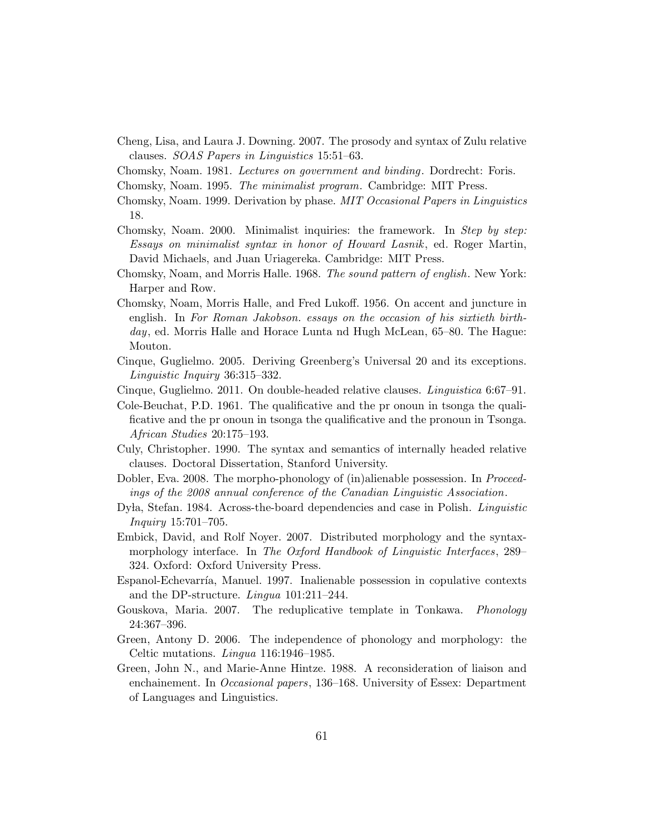- Cheng, Lisa, and Laura J. Downing. 2007. The prosody and syntax of Zulu relative clauses. *SOAS Papers in Linguistics* 15:51–63.
- Chomsky, Noam. 1981. *Lectures on government and binding*. Dordrecht: Foris.
- Chomsky, Noam. 1995. *The minimalist program*. Cambridge: MIT Press.
- Chomsky, Noam. 1999. Derivation by phase. *MIT Occasional Papers in Linguistics* 18.
- Chomsky, Noam. 2000. Minimalist inquiries: the framework. In *Step by step: Essays on minimalist syntax in honor of Howard Lasnik*, ed. Roger Martin, David Michaels, and Juan Uriagereka. Cambridge: MIT Press.
- Chomsky, Noam, and Morris Halle. 1968. *The sound pattern of english*. New York: Harper and Row.
- Chomsky, Noam, Morris Halle, and Fred Lukoff. 1956. On accent and juncture in english. In *For Roman Jakobson. essays on the occasion of his sixtieth birthday*, ed. Morris Halle and Horace Lunta nd Hugh McLean, 65–80. The Hague: Mouton.
- Cinque, Guglielmo. 2005. Deriving Greenberg's Universal 20 and its exceptions. *Linguistic Inquiry* 36:315–332.
- Cinque, Guglielmo. 2011. On double-headed relative clauses. *Linguistica* 6:67–91.
- Cole-Beuchat, P.D. 1961. The qualificative and the pr onoun in tsonga the qualificative and the pr onoun in tsonga the qualificative and the pronoun in Tsonga. *African Studies* 20:175–193.
- Culy, Christopher. 1990. The syntax and semantics of internally headed relative clauses. Doctoral Dissertation, Stanford University.
- Dobler, Eva. 2008. The morpho-phonology of (in)alienable possession. In *Proceedings of the 2008 annual conference of the Canadian Linguistic Association*.
- Dy la, Stefan. 1984. Across-the-board dependencies and case in Polish. *Linguistic Inquiry* 15:701–705.
- Embick, David, and Rolf Noyer. 2007. Distributed morphology and the syntaxmorphology interface. In *The Oxford Handbook of Linguistic Interfaces*, 289– 324. Oxford: Oxford University Press.
- Espanol-Echevarr´ıa, Manuel. 1997. Inalienable possession in copulative contexts and the DP-structure. *Lingua* 101:211–244.
- Gouskova, Maria. 2007. The reduplicative template in Tonkawa. *Phonology* 24:367–396.
- Green, Antony D. 2006. The independence of phonology and morphology: the Celtic mutations. *Lingua* 116:1946–1985.
- Green, John N., and Marie-Anne Hintze. 1988. A reconsideration of liaison and enchainement. In *Occasional papers*, 136–168. University of Essex: Department of Languages and Linguistics.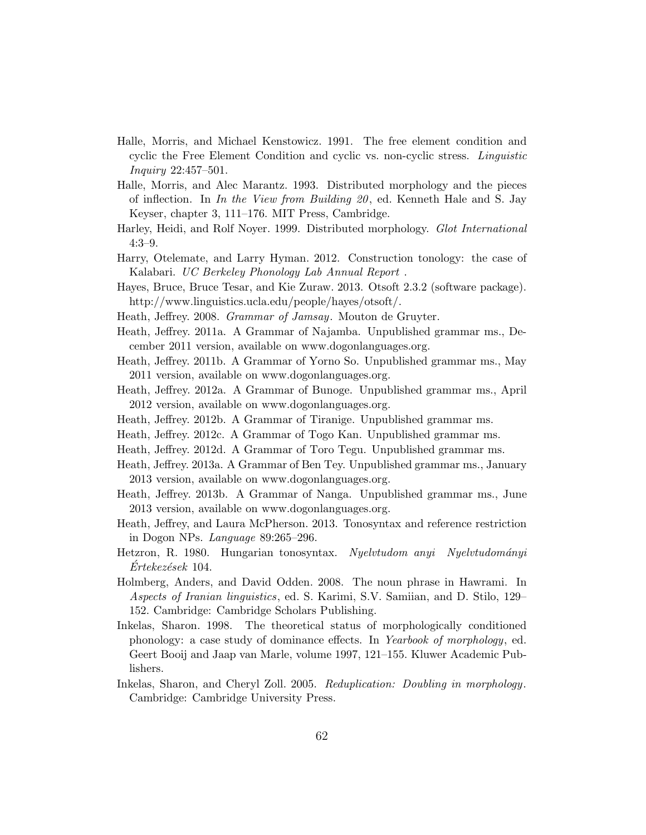- Halle, Morris, and Michael Kenstowicz. 1991. The free element condition and cyclic the Free Element Condition and cyclic vs. non-cyclic stress. *Linguistic Inquiry* 22:457–501.
- Halle, Morris, and Alec Marantz. 1993. Distributed morphology and the pieces of inflection. In *In the View from Building 20*, ed. Kenneth Hale and S. Jay Keyser, chapter 3, 111–176. MIT Press, Cambridge.
- Harley, Heidi, and Rolf Noyer. 1999. Distributed morphology. *Glot International* 4:3–9.
- Harry, Otelemate, and Larry Hyman. 2012. Construction tonology: the case of Kalabari. *UC Berkeley Phonology Lab Annual Report* .
- Hayes, Bruce, Bruce Tesar, and Kie Zuraw. 2013. Otsoft 2.3.2 (software package). http://www.linguistics.ucla.edu/people/hayes/otsoft/.
- Heath, Jeffrey. 2008. *Grammar of Jamsay*. Mouton de Gruyter.
- Heath, Jeffrey. 2011a. A Grammar of Najamba. Unpublished grammar ms., December 2011 version, available on www.dogonlanguages.org.
- Heath, Jeffrey. 2011b. A Grammar of Yorno So. Unpublished grammar ms., May 2011 version, available on www.dogonlanguages.org.
- Heath, Jeffrey. 2012a. A Grammar of Bunoge. Unpublished grammar ms., April 2012 version, available on www.dogonlanguages.org.
- Heath, Jeffrey. 2012b. A Grammar of Tiranige. Unpublished grammar ms.
- Heath, Jeffrey. 2012c. A Grammar of Togo Kan. Unpublished grammar ms.
- Heath, Jeffrey. 2012d. A Grammar of Toro Tegu. Unpublished grammar ms.
- Heath, Jeffrey. 2013a. A Grammar of Ben Tey. Unpublished grammar ms., January 2013 version, available on www.dogonlanguages.org.
- Heath, Jeffrey. 2013b. A Grammar of Nanga. Unpublished grammar ms., June 2013 version, available on www.dogonlanguages.org.
- Heath, Jeffrey, and Laura McPherson. 2013. Tonosyntax and reference restriction in Dogon NPs. *Language* 89:265–296.
- Hetzron, R. 1980. Hungarian tonosyntax. *Nyelvtudom anyi Nyelvtudom´anyi Ertekez´esek ´* 104.
- Holmberg, Anders, and David Odden. 2008. The noun phrase in Hawrami. In *Aspects of Iranian linguistics*, ed. S. Karimi, S.V. Samiian, and D. Stilo, 129– 152. Cambridge: Cambridge Scholars Publishing.
- Inkelas, Sharon. 1998. The theoretical status of morphologically conditioned phonology: a case study of dominance effects. In *Yearbook of morphology*, ed. Geert Booij and Jaap van Marle, volume 1997, 121–155. Kluwer Academic Publishers.
- Inkelas, Sharon, and Cheryl Zoll. 2005. *Reduplication: Doubling in morphology*. Cambridge: Cambridge University Press.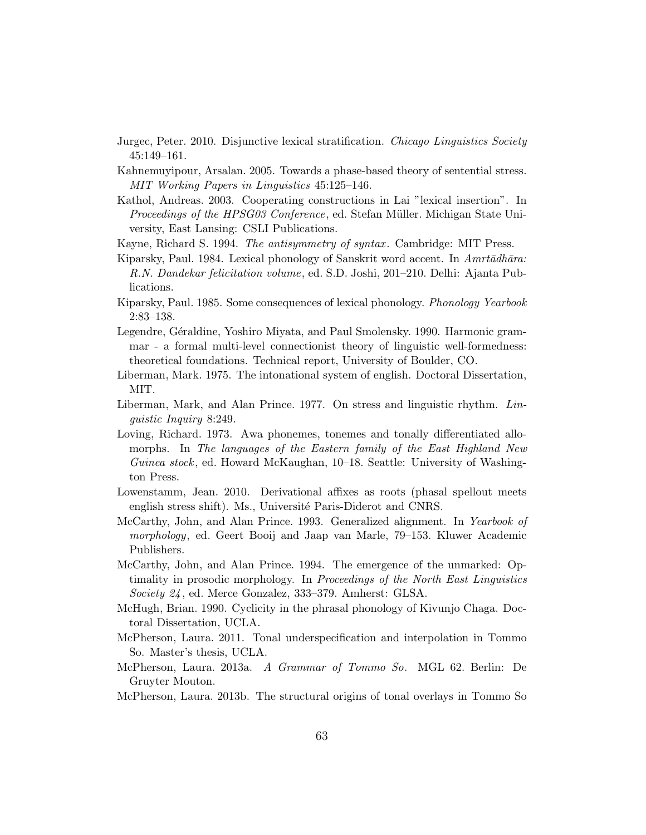- Jurgec, Peter. 2010. Disjunctive lexical stratification. *Chicago Linguistics Society* 45:149–161.
- Kahnemuyipour, Arsalan. 2005. Towards a phase-based theory of sentential stress. *MIT Working Papers in Linguistics* 45:125–146.
- Kathol, Andreas. 2003. Cooperating constructions in Lai "lexical insertion". In *Proceedings of the HPSG03 Conference*, ed. Stefan Müller. Michigan State University, East Lansing: CSLI Publications.
- Kayne, Richard S. 1994. *The antisymmetry of syntax* . Cambridge: MIT Press.
- Kiparsky, Paul. 1984. Lexical phonology of Sanskrit word accent. In *Amrt* $\bar{a}$ *dhara*: *R.N. Dandekar felicitation volume*, ed. S.D. Joshi, 201–210. Delhi: Ajanta Publications.
- Kiparsky, Paul. 1985. Some consequences of lexical phonology. *Phonology Yearbook* 2:83–138.
- Legendre, Géraldine, Yoshiro Miyata, and Paul Smolensky. 1990. Harmonic grammar - a formal multi-level connectionist theory of linguistic well-formedness: theoretical foundations. Technical report, University of Boulder, CO.
- Liberman, Mark. 1975. The intonational system of english. Doctoral Dissertation, MIT.
- Liberman, Mark, and Alan Prince. 1977. On stress and linguistic rhythm. *Linguistic Inquiry* 8:249.
- Loving, Richard. 1973. Awa phonemes, tonemes and tonally differentiated allomorphs. In *The languages of the Eastern family of the East Highland New Guinea stock*, ed. Howard McKaughan, 10–18. Seattle: University of Washington Press.
- Lowenstamm, Jean. 2010. Derivational affixes as roots (phasal spellout meets english stress shift). Ms., Université Paris-Diderot and CNRS.
- McCarthy, John, and Alan Prince. 1993. Generalized alignment. In *Yearbook of morphology*, ed. Geert Booij and Jaap van Marle, 79–153. Kluwer Academic Publishers.
- McCarthy, John, and Alan Prince. 1994. The emergence of the unmarked: Optimality in prosodic morphology. In *Proceedings of the North East Linguistics Society 24*, ed. Merce Gonzalez, 333–379. Amherst: GLSA.
- McHugh, Brian. 1990. Cyclicity in the phrasal phonology of Kivunjo Chaga. Doctoral Dissertation, UCLA.
- McPherson, Laura. 2011. Tonal underspecification and interpolation in Tommo So. Master's thesis, UCLA.
- McPherson, Laura. 2013a. *A Grammar of Tommo So*. MGL 62. Berlin: De Gruyter Mouton.
- McPherson, Laura. 2013b. The structural origins of tonal overlays in Tommo So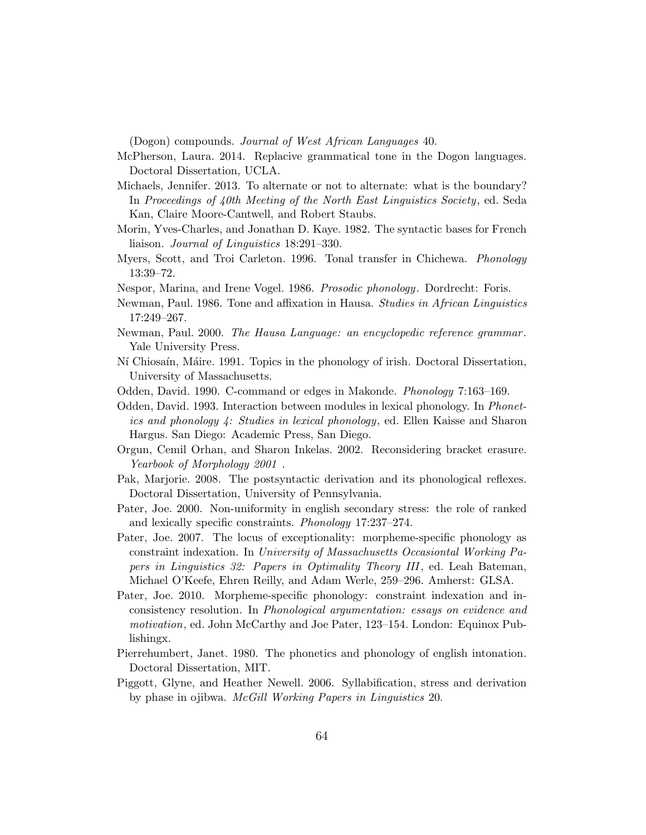(Dogon) compounds. *Journal of West African Languages* 40.

- McPherson, Laura. 2014. Replacive grammatical tone in the Dogon languages. Doctoral Dissertation, UCLA.
- Michaels, Jennifer. 2013. To alternate or not to alternate: what is the boundary? In *Proceedings of 40th Meeting of the North East Linguistics Society*, ed. Seda Kan, Claire Moore-Cantwell, and Robert Staubs.
- Morin, Yves-Charles, and Jonathan D. Kaye. 1982. The syntactic bases for French liaison. *Journal of Linguistics* 18:291–330.
- Myers, Scott, and Troi Carleton. 1996. Tonal transfer in Chichewa. *Phonology* 13:39–72.
- Nespor, Marina, and Irene Vogel. 1986. *Prosodic phonology*. Dordrecht: Foris.
- Newman, Paul. 1986. Tone and affixation in Hausa. *Studies in African Linguistics* 17:249–267.
- Newman, Paul. 2000. *The Hausa Language: an encyclopedic reference grammar* . Yale University Press.
- Ní Chiosaín, Máire. 1991. Topics in the phonology of irish. Doctoral Dissertation, University of Massachusetts.
- Odden, David. 1990. C-command or edges in Makonde. *Phonology* 7:163–169.
- Odden, David. 1993. Interaction between modules in lexical phonology. In *Phonetics and phonology 4: Studies in lexical phonology*, ed. Ellen Kaisse and Sharon Hargus. San Diego: Academic Press, San Diego.
- Orgun, Cemil Orhan, and Sharon Inkelas. 2002. Reconsidering bracket erasure. *Yearbook of Morphology 2001* .
- Pak, Marjorie. 2008. The postsyntactic derivation and its phonological reflexes. Doctoral Dissertation, University of Pennsylvania.
- Pater, Joe. 2000. Non-uniformity in english secondary stress: the role of ranked and lexically specific constraints. *Phonology* 17:237–274.
- Pater, Joe. 2007. The locus of exceptionality: morpheme-specific phonology as constraint indexation. In *University of Massachusetts Occasiontal Working Papers in Linguistics 32: Papers in Optimality Theory III*, ed. Leah Bateman, Michael O'Keefe, Ehren Reilly, and Adam Werle, 259–296. Amherst: GLSA.
- Pater, Joe. 2010. Morpheme-specific phonology: constraint indexation and inconsistency resolution. In *Phonological argumentation: essays on evidence and motivation*, ed. John McCarthy and Joe Pater, 123–154. London: Equinox Publishingx.
- Pierrehumbert, Janet. 1980. The phonetics and phonology of english intonation. Doctoral Dissertation, MIT.
- Piggott, Glyne, and Heather Newell. 2006. Syllabification, stress and derivation by phase in ojibwa. *McGill Working Papers in Linguistics* 20.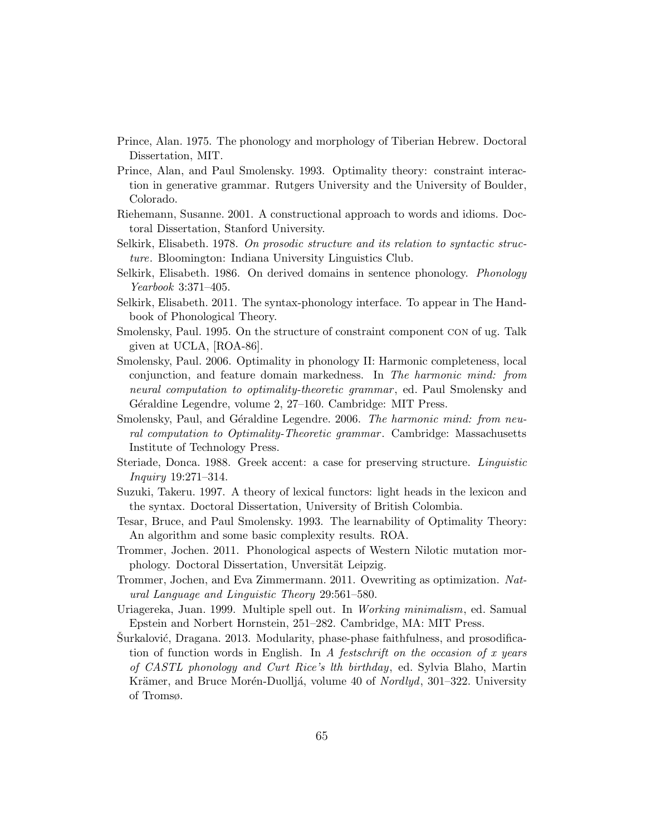- Prince, Alan. 1975. The phonology and morphology of Tiberian Hebrew. Doctoral Dissertation, MIT.
- Prince, Alan, and Paul Smolensky. 1993. Optimality theory: constraint interaction in generative grammar. Rutgers University and the University of Boulder, Colorado.
- Riehemann, Susanne. 2001. A constructional approach to words and idioms. Doctoral Dissertation, Stanford University.
- Selkirk, Elisabeth. 1978. *On prosodic structure and its relation to syntactic structure*. Bloomington: Indiana University Linguistics Club.
- Selkirk, Elisabeth. 1986. On derived domains in sentence phonology. *Phonology Yearbook* 3:371–405.
- Selkirk, Elisabeth. 2011. The syntax-phonology interface. To appear in The Handbook of Phonological Theory.
- Smolensky, Paul. 1995. On the structure of constraint component con of ug. Talk given at UCLA, [ROA-86].
- Smolensky, Paul. 2006. Optimality in phonology II: Harmonic completeness, local conjunction, and feature domain markedness. In *The harmonic mind: from neural computation to optimality-theoretic grammar* , ed. Paul Smolensky and Géraldine Legendre, volume 2, 27–160. Cambridge: MIT Press.
- Smolensky, Paul, and Géraldine Legendre. 2006. *The harmonic mind: from neural computation to Optimality-Theoretic grammar* . Cambridge: Massachusetts Institute of Technology Press.
- Steriade, Donca. 1988. Greek accent: a case for preserving structure. *Linguistic Inquiry* 19:271–314.
- Suzuki, Takeru. 1997. A theory of lexical functors: light heads in the lexicon and the syntax. Doctoral Dissertation, University of British Colombia.
- Tesar, Bruce, and Paul Smolensky. 1993. The learnability of Optimality Theory: An algorithm and some basic complexity results. ROA.
- Trommer, Jochen. 2011. Phonological aspects of Western Nilotic mutation morphology. Doctoral Dissertation, Unversität Leipzig.
- Trommer, Jochen, and Eva Zimmermann. 2011. Ovewriting as optimization. *Natural Language and Linguistic Theory* 29:561–580.
- Uriagereka, Juan. 1999. Multiple spell out. In *Working minimalism*, ed. Samual Epstein and Norbert Hornstein, 251–282. Cambridge, MA: MIT Press.
- Surkalović, Dragana. 2013. Modularity, phase-phase faithfulness, and prosodification of function words in English. In *A festschrift on the occasion of x years of CASTL phonology and Curt Rice's lth birthday*, ed. Sylvia Blaho, Martin Krämer, and Bruce Morén-Duolljá, volume 40 of *Nordlyd*, 301–322. University of Tromsø.